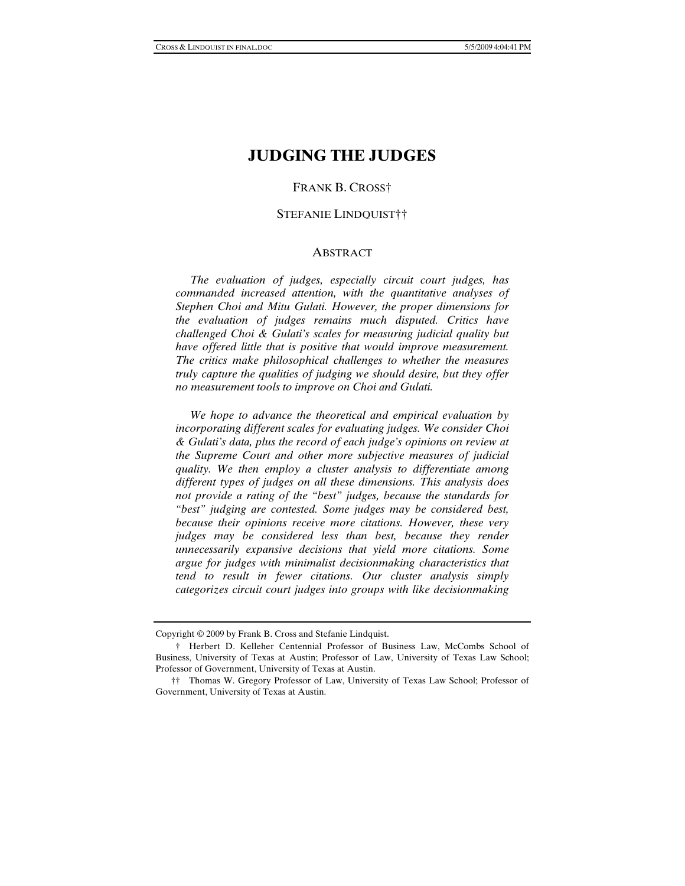# **JUDGING THE JUDGES**

### FRANK B. CROSS†

#### STEFANIE LINDQUIST††

#### ABSTRACT

 *The evaluation of judges, especially circuit court judges, has commanded increased attention, with the quantitative analyses of Stephen Choi and Mitu Gulati. However, the proper dimensions for the evaluation of judges remains much disputed. Critics have challenged Choi & Gulati's scales for measuring judicial quality but have offered little that is positive that would improve measurement. The critics make philosophical challenges to whether the measures truly capture the qualities of judging we should desire, but they offer no measurement tools to improve on Choi and Gulati.* 

 *We hope to advance the theoretical and empirical evaluation by incorporating different scales for evaluating judges. We consider Choi & Gulati's data, plus the record of each judge's opinions on review at the Supreme Court and other more subjective measures of judicial quality. We then employ a cluster analysis to differentiate among different types of judges on all these dimensions. This analysis does not provide a rating of the "best" judges, because the standards for "best" judging are contested. Some judges may be considered best, because their opinions receive more citations. However, these very judges may be considered less than best, because they render unnecessarily expansive decisions that yield more citations. Some argue for judges with minimalist decisionmaking characteristics that tend to result in fewer citations. Our cluster analysis simply categorizes circuit court judges into groups with like decisionmaking* 

Copyright © 2009 by Frank B. Cross and Stefanie Lindquist.

 <sup>†</sup> Herbert D. Kelleher Centennial Professor of Business Law, McCombs School of Business, University of Texas at Austin; Professor of Law, University of Texas Law School; Professor of Government, University of Texas at Austin.

 <sup>††</sup> Thomas W. Gregory Professor of Law, University of Texas Law School; Professor of Government, University of Texas at Austin.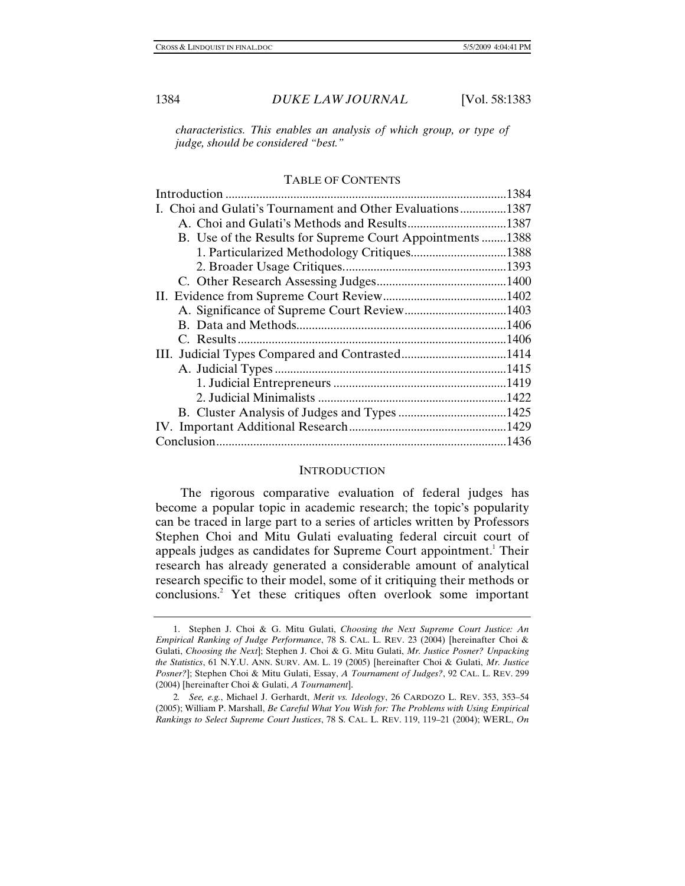*characteristics. This enables an analysis of which group, or type of judge, should be considered "best."* 

#### TABLE OF CONTENTS

|                                                           | .1384 |
|-----------------------------------------------------------|-------|
| I. Choi and Gulati's Tournament and Other Evaluations1387 |       |
|                                                           |       |
| B. Use of the Results for Supreme Court Appointments 1388 |       |
| 1. Particularized Methodology Critiques1388               |       |
|                                                           |       |
|                                                           |       |
|                                                           |       |
|                                                           |       |
|                                                           |       |
|                                                           |       |
|                                                           |       |
|                                                           |       |
|                                                           |       |
|                                                           |       |
|                                                           |       |
|                                                           |       |
|                                                           |       |
|                                                           |       |

#### **INTRODUCTION**

The rigorous comparative evaluation of federal judges has become a popular topic in academic research; the topic's popularity can be traced in large part to a series of articles written by Professors Stephen Choi and Mitu Gulati evaluating federal circuit court of appeals judges as candidates for Supreme Court appointment.<sup>1</sup> Their research has already generated a considerable amount of analytical research specific to their model, some of it critiquing their methods or conclusions.<sup>2</sup> Yet these critiques often overlook some important

 <sup>1.</sup> Stephen J. Choi & G. Mitu Gulati, *Choosing the Next Supreme Court Justice: An Empirical Ranking of Judge Performance*, 78 S. CAL. L. REV. 23 (2004) [hereinafter Choi & Gulati, *Choosing the Next*]; Stephen J. Choi & G. Mitu Gulati, *Mr. Justice Posner? Unpacking the Statistics*, 61 N.Y.U. ANN. SURV. AM. L. 19 (2005) [hereinafter Choi & Gulati, *Mr. Justice Posner?*]; Stephen Choi & Mitu Gulati, Essay, *A Tournament of Judges?*, 92 CAL. L. REV. 299 (2004) [hereinafter Choi & Gulati, *A Tournament*].

<sup>2</sup>*. See, e.g.*, Michael J. Gerhardt, *Merit vs. Ideology*, 26 CARDOZO L. REV. 353, 353–54 (2005); William P. Marshall, *Be Careful What You Wish for: The Problems with Using Empirical Rankings to Select Supreme Court Justices*, 78 S. CAL. L. REV. 119, 119–21 (2004); WERL, *On*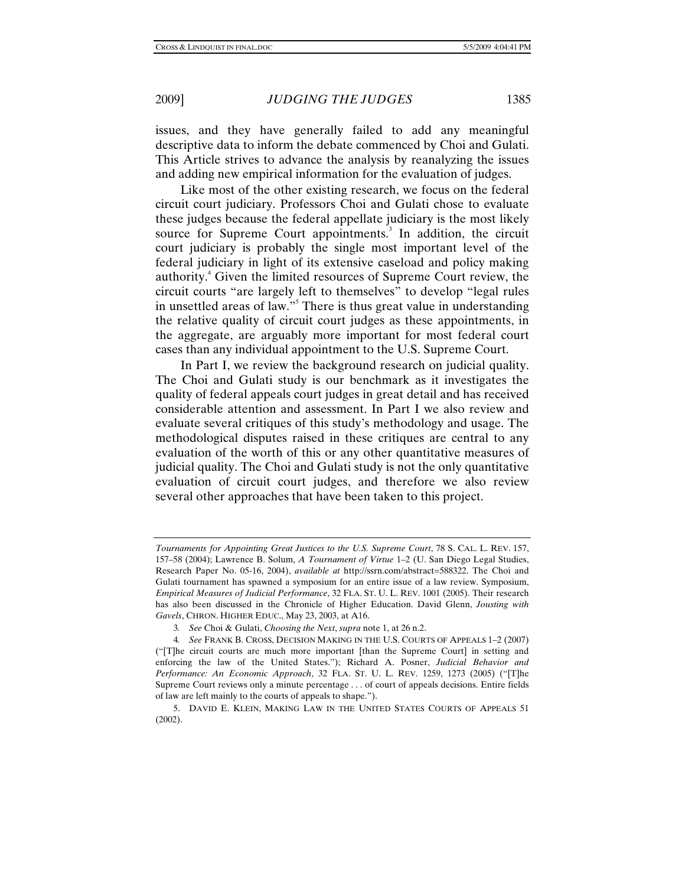issues, and they have generally failed to add any meaningful descriptive data to inform the debate commenced by Choi and Gulati. This Article strives to advance the analysis by reanalyzing the issues and adding new empirical information for the evaluation of judges.

Like most of the other existing research, we focus on the federal circuit court judiciary. Professors Choi and Gulati chose to evaluate these judges because the federal appellate judiciary is the most likely source for Supreme Court appointments.<sup>3</sup> In addition, the circuit court judiciary is probably the single most important level of the federal judiciary in light of its extensive caseload and policy making authority.<sup>4</sup> Given the limited resources of Supreme Court review, the circuit courts "are largely left to themselves" to develop "legal rules in unsettled areas of law."<sup>5</sup> There is thus great value in understanding the relative quality of circuit court judges as these appointments, in the aggregate, are arguably more important for most federal court cases than any individual appointment to the U.S. Supreme Court.

In Part I, we review the background research on judicial quality. The Choi and Gulati study is our benchmark as it investigates the quality of federal appeals court judges in great detail and has received considerable attention and assessment. In Part I we also review and evaluate several critiques of this study's methodology and usage. The methodological disputes raised in these critiques are central to any evaluation of the worth of this or any other quantitative measures of judicial quality. The Choi and Gulati study is not the only quantitative evaluation of circuit court judges, and therefore we also review several other approaches that have been taken to this project.

*Tournaments for Appointing Great Justices to the U.S. Supreme Court*, 78 S. CAL. L. REV. 157, 157–58 (2004); Lawrence B. Solum, *A Tournament of Virtue* 1–2 (U. San Diego Legal Studies, Research Paper No. 05-16, 2004), *available at* http://ssrn.com/abstract=588322. The Choi and Gulati tournament has spawned a symposium for an entire issue of a law review. Symposium, *Empirical Measures of Judicial Performance*, 32 FLA. ST. U. L. REV. 1001 (2005). Their research has also been discussed in the Chronicle of Higher Education. David Glenn, *Jousting with Gavels*, CHRON. HIGHER EDUC., May 23, 2003, at A16.

<sup>3</sup>*. See* Choi & Gulati, *Choosing the Next*, *supra* note 1, at 26 n.2.

<sup>4</sup>*. See* FRANK B. CROSS, DECISION MAKING IN THE U.S. COURTS OF APPEALS 1–2 (2007) ("[T]he circuit courts are much more important [than the Supreme Court] in setting and enforcing the law of the United States."); Richard A. Posner, *Judicial Behavior and Performance: An Economic Approach*, 32 FLA. ST. U. L. REV. 1259, 1273 (2005) ("[T]he Supreme Court reviews only a minute percentage . . . of court of appeals decisions. Entire fields of law are left mainly to the courts of appeals to shape.").

 <sup>5.</sup> DAVID E. KLEIN, MAKING LAW IN THE UNITED STATES COURTS OF APPEALS 51 (2002).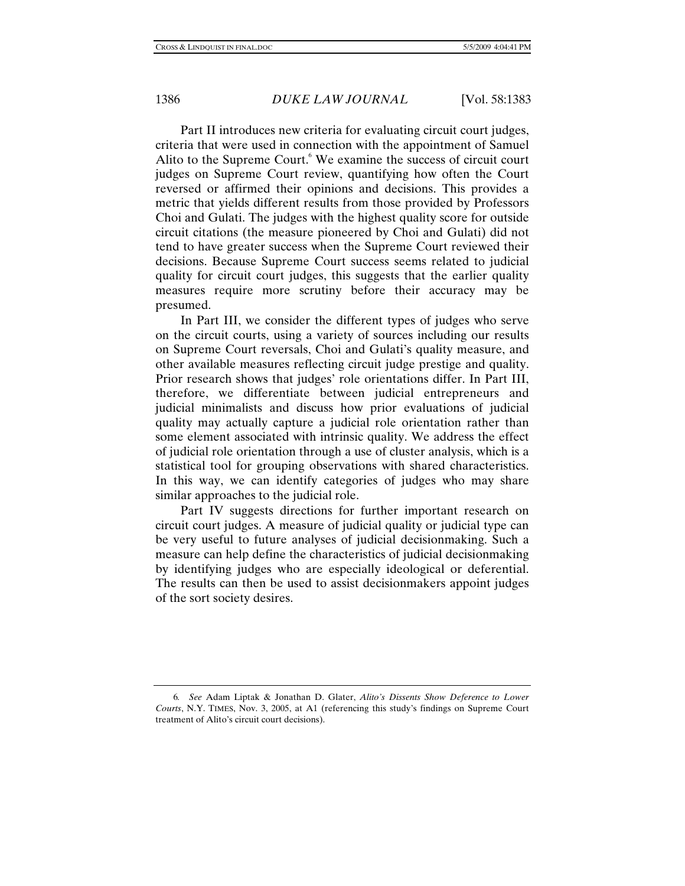Part II introduces new criteria for evaluating circuit court judges, criteria that were used in connection with the appointment of Samuel Alito to the Supreme Court.<sup>6</sup> We examine the success of circuit court judges on Supreme Court review, quantifying how often the Court reversed or affirmed their opinions and decisions. This provides a metric that yields different results from those provided by Professors Choi and Gulati. The judges with the highest quality score for outside circuit citations (the measure pioneered by Choi and Gulati) did not tend to have greater success when the Supreme Court reviewed their decisions. Because Supreme Court success seems related to judicial quality for circuit court judges, this suggests that the earlier quality measures require more scrutiny before their accuracy may be presumed.

In Part III, we consider the different types of judges who serve on the circuit courts, using a variety of sources including our results on Supreme Court reversals, Choi and Gulati's quality measure, and other available measures reflecting circuit judge prestige and quality. Prior research shows that judges' role orientations differ. In Part III, therefore, we differentiate between judicial entrepreneurs and judicial minimalists and discuss how prior evaluations of judicial quality may actually capture a judicial role orientation rather than some element associated with intrinsic quality. We address the effect of judicial role orientation through a use of cluster analysis, which is a statistical tool for grouping observations with shared characteristics. In this way, we can identify categories of judges who may share similar approaches to the judicial role.

Part IV suggests directions for further important research on circuit court judges. A measure of judicial quality or judicial type can be very useful to future analyses of judicial decisionmaking. Such a measure can help define the characteristics of judicial decisionmaking by identifying judges who are especially ideological or deferential. The results can then be used to assist decisionmakers appoint judges of the sort society desires.

<sup>6</sup>*. See* Adam Liptak & Jonathan D. Glater, *Alito's Dissents Show Deference to Lower Courts*, N.Y. TIMES, Nov. 3, 2005, at A1 (referencing this study's findings on Supreme Court treatment of Alito's circuit court decisions).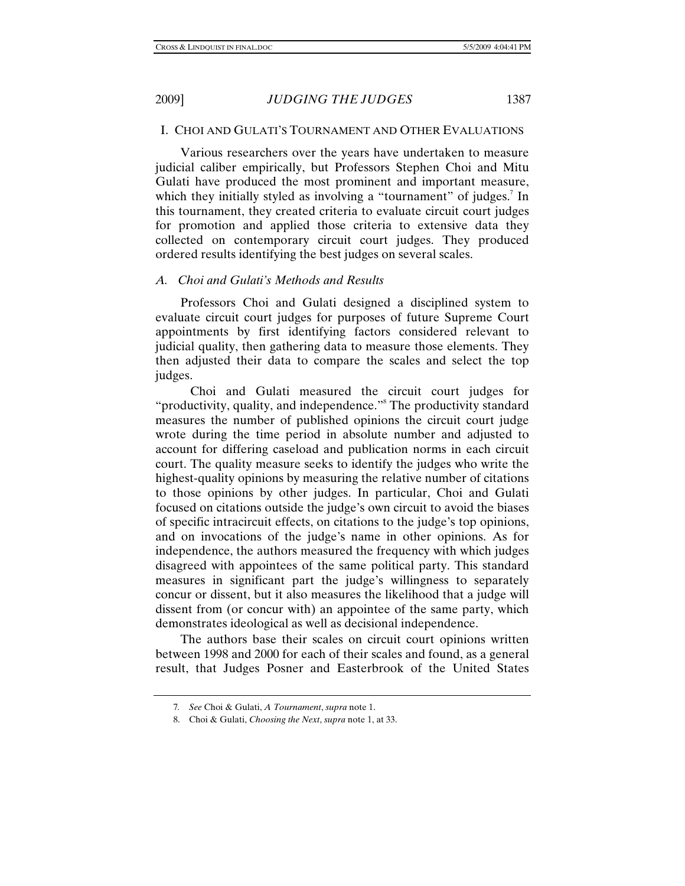Various researchers over the years have undertaken to measure judicial caliber empirically, but Professors Stephen Choi and Mitu Gulati have produced the most prominent and important measure, which they initially styled as involving a "tournament" of judges.<sup>7</sup> In this tournament, they created criteria to evaluate circuit court judges for promotion and applied those criteria to extensive data they collected on contemporary circuit court judges. They produced ordered results identifying the best judges on several scales.

## *A. Choi and Gulati's Methods and Results*

Professors Choi and Gulati designed a disciplined system to evaluate circuit court judges for purposes of future Supreme Court appointments by first identifying factors considered relevant to judicial quality, then gathering data to measure those elements. They then adjusted their data to compare the scales and select the top judges.

 Choi and Gulati measured the circuit court judges for "productivity, quality, and independence."<sup>8</sup> The productivity standard measures the number of published opinions the circuit court judge wrote during the time period in absolute number and adjusted to account for differing caseload and publication norms in each circuit court. The quality measure seeks to identify the judges who write the highest-quality opinions by measuring the relative number of citations to those opinions by other judges. In particular, Choi and Gulati focused on citations outside the judge's own circuit to avoid the biases of specific intracircuit effects, on citations to the judge's top opinions, and on invocations of the judge's name in other opinions. As for independence, the authors measured the frequency with which judges disagreed with appointees of the same political party. This standard measures in significant part the judge's willingness to separately concur or dissent, but it also measures the likelihood that a judge will dissent from (or concur with) an appointee of the same party, which demonstrates ideological as well as decisional independence.

The authors base their scales on circuit court opinions written between 1998 and 2000 for each of their scales and found, as a general result, that Judges Posner and Easterbrook of the United States

<sup>7</sup>*. See* Choi & Gulati, *A Tournament*, *supra* note 1.

 <sup>8.</sup> Choi & Gulati, *Choosing the Next*, *supra* note 1, at 33.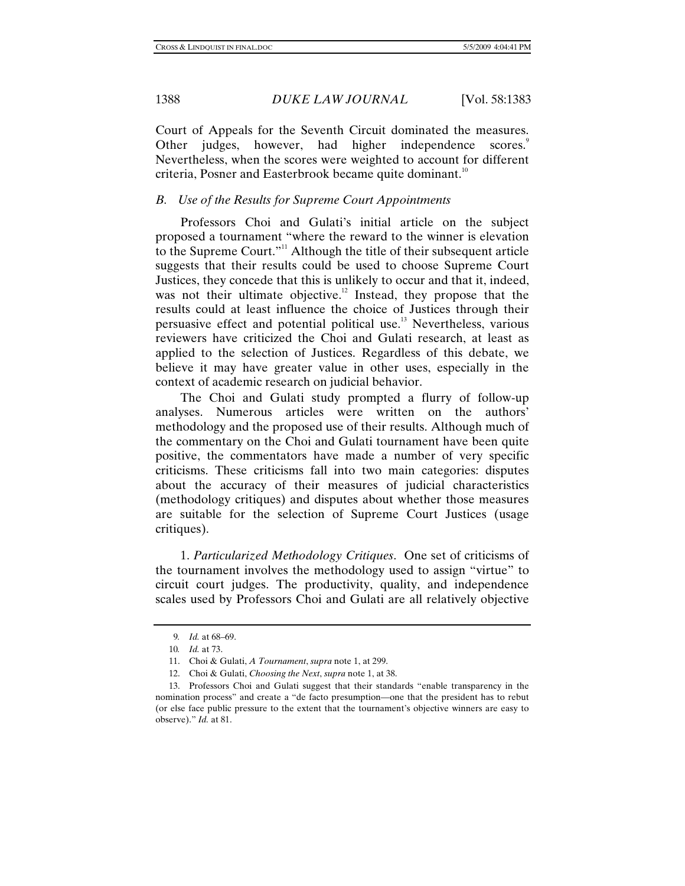Court of Appeals for the Seventh Circuit dominated the measures. Other judges, however, had higher independence scores.<sup>9</sup> Nevertheless, when the scores were weighted to account for different criteria, Posner and Easterbrook became quite dominant.<sup>10</sup>

# *B. Use of the Results for Supreme Court Appointments*

Professors Choi and Gulati's initial article on the subject proposed a tournament "where the reward to the winner is elevation to the Supreme Court."<sup>11</sup> Although the title of their subsequent article suggests that their results could be used to choose Supreme Court Justices, they concede that this is unlikely to occur and that it, indeed, was not their ultimate objective.<sup>12</sup> Instead, they propose that the results could at least influence the choice of Justices through their persuasive effect and potential political use.<sup>13</sup> Nevertheless, various reviewers have criticized the Choi and Gulati research, at least as applied to the selection of Justices. Regardless of this debate, we believe it may have greater value in other uses, especially in the context of academic research on judicial behavior.

The Choi and Gulati study prompted a flurry of follow-up analyses. Numerous articles were written on the authors' methodology and the proposed use of their results. Although much of the commentary on the Choi and Gulati tournament have been quite positive, the commentators have made a number of very specific criticisms. These criticisms fall into two main categories: disputes about the accuracy of their measures of judicial characteristics (methodology critiques) and disputes about whether those measures are suitable for the selection of Supreme Court Justices (usage critiques).

1. *Particularized Methodology Critiques*. One set of criticisms of the tournament involves the methodology used to assign "virtue" to circuit court judges. The productivity, quality, and independence scales used by Professors Choi and Gulati are all relatively objective

<sup>9</sup>*. Id.* at 68–69.

<sup>10</sup>*. Id.* at 73.

 <sup>11.</sup> Choi & Gulati, *A Tournament*, *supra* note 1, at 299.

 <sup>12.</sup> Choi & Gulati, *Choosing the Next*, *supra* note 1, at 38.

 <sup>13.</sup> Professors Choi and Gulati suggest that their standards "enable transparency in the nomination process" and create a "de facto presumption—one that the president has to rebut (or else face public pressure to the extent that the tournament's objective winners are easy to observe)." *Id.* at 81.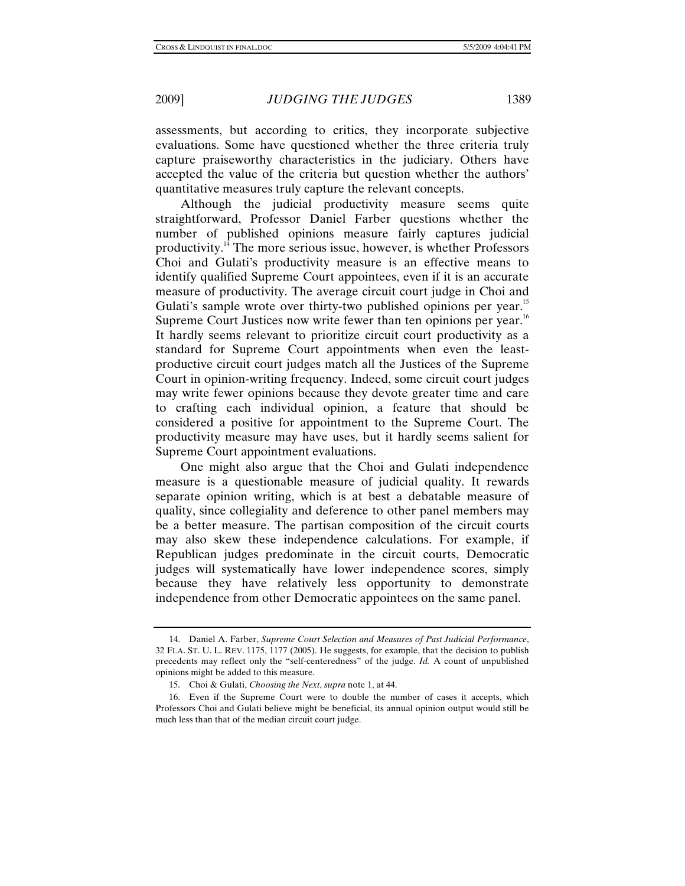assessments, but according to critics, they incorporate subjective evaluations. Some have questioned whether the three criteria truly capture praiseworthy characteristics in the judiciary. Others have accepted the value of the criteria but question whether the authors' quantitative measures truly capture the relevant concepts.

Although the judicial productivity measure seems quite straightforward, Professor Daniel Farber questions whether the number of published opinions measure fairly captures judicial productivity.14 The more serious issue, however, is whether Professors Choi and Gulati's productivity measure is an effective means to identify qualified Supreme Court appointees, even if it is an accurate measure of productivity. The average circuit court judge in Choi and Gulati's sample wrote over thirty-two published opinions per year.<sup>15</sup> Supreme Court Justices now write fewer than ten opinions per year.<sup>16</sup> It hardly seems relevant to prioritize circuit court productivity as a standard for Supreme Court appointments when even the leastproductive circuit court judges match all the Justices of the Supreme Court in opinion-writing frequency. Indeed, some circuit court judges may write fewer opinions because they devote greater time and care to crafting each individual opinion, a feature that should be considered a positive for appointment to the Supreme Court. The productivity measure may have uses, but it hardly seems salient for Supreme Court appointment evaluations.

One might also argue that the Choi and Gulati independence measure is a questionable measure of judicial quality. It rewards separate opinion writing, which is at best a debatable measure of quality, since collegiality and deference to other panel members may be a better measure. The partisan composition of the circuit courts may also skew these independence calculations. For example, if Republican judges predominate in the circuit courts, Democratic judges will systematically have lower independence scores, simply because they have relatively less opportunity to demonstrate independence from other Democratic appointees on the same panel.

 <sup>14.</sup> Daniel A. Farber, *Supreme Court Selection and Measures of Past Judicial Performance*, 32 FLA. ST. U. L. REV. 1175, 1177 (2005). He suggests, for example, that the decision to publish precedents may reflect only the "self-centeredness" of the judge. *Id.* A count of unpublished opinions might be added to this measure.

 <sup>15.</sup> Choi & Gulati, *Choosing the Next*, *supra* note 1, at 44.

 <sup>16.</sup> Even if the Supreme Court were to double the number of cases it accepts, which Professors Choi and Gulati believe might be beneficial, its annual opinion output would still be much less than that of the median circuit court judge.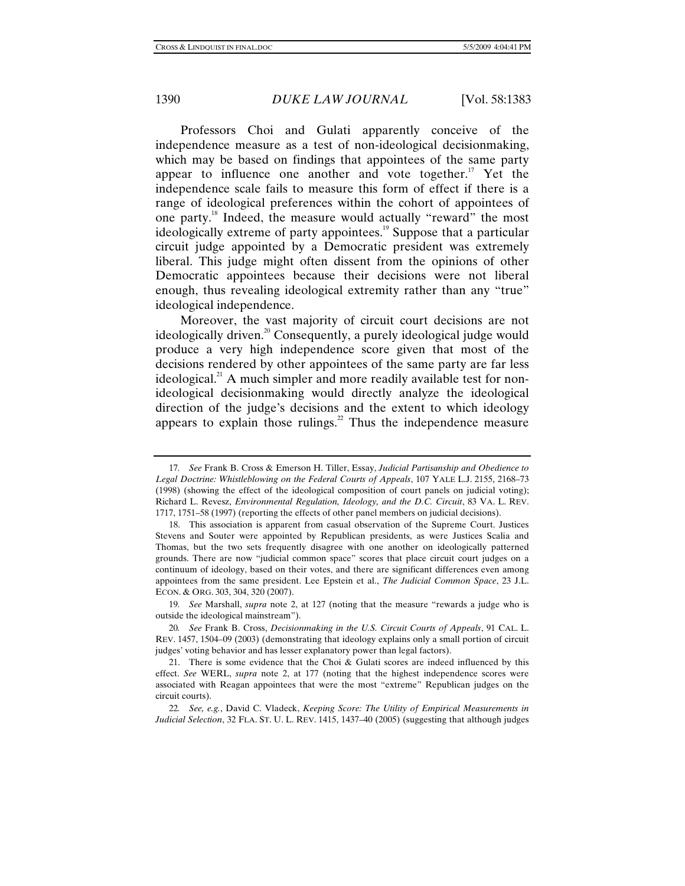Professors Choi and Gulati apparently conceive of the independence measure as a test of non-ideological decisionmaking, which may be based on findings that appointees of the same party appear to influence one another and vote together.<sup>17</sup> Yet the independence scale fails to measure this form of effect if there is a range of ideological preferences within the cohort of appointees of one party.18 Indeed, the measure would actually "reward" the most ideologically extreme of party appointees.<sup>19</sup> Suppose that a particular circuit judge appointed by a Democratic president was extremely liberal. This judge might often dissent from the opinions of other Democratic appointees because their decisions were not liberal enough, thus revealing ideological extremity rather than any "true" ideological independence.

Moreover, the vast majority of circuit court decisions are not ideologically driven.<sup>20</sup> Consequently, a purely ideological judge would produce a very high independence score given that most of the decisions rendered by other appointees of the same party are far less ideological.<sup>21</sup> A much simpler and more readily available test for nonideological decisionmaking would directly analyze the ideological direction of the judge's decisions and the extent to which ideology appears to explain those rulings. $22$  Thus the independence measure

<sup>17</sup>*. See* Frank B. Cross & Emerson H. Tiller, Essay, *Judicial Partisanship and Obedience to Legal Doctrine: Whistleblowing on the Federal Courts of Appeals*, 107 YALE L.J. 2155, 2168–73 (1998) (showing the effect of the ideological composition of court panels on judicial voting); Richard L. Revesz, *Environmental Regulation, Ideology, and the D.C. Circuit*, 83 VA. L. REV. 1717, 1751–58 (1997) (reporting the effects of other panel members on judicial decisions).

 <sup>18.</sup> This association is apparent from casual observation of the Supreme Court. Justices Stevens and Souter were appointed by Republican presidents, as were Justices Scalia and Thomas, but the two sets frequently disagree with one another on ideologically patterned grounds. There are now "judicial common space" scores that place circuit court judges on a continuum of ideology, based on their votes, and there are significant differences even among appointees from the same president. Lee Epstein et al., *The Judicial Common Space*, 23 J.L. ECON. & ORG. 303, 304, 320 (2007).

<sup>19</sup>*. See* Marshall, *supra* note 2, at 127 (noting that the measure "rewards a judge who is outside the ideological mainstream").

<sup>20</sup>*. See* Frank B. Cross, *Decisionmaking in the U.S. Circuit Courts of Appeals*, 91 CAL. L. REV. 1457, 1504–09 (2003) (demonstrating that ideology explains only a small portion of circuit judges' voting behavior and has lesser explanatory power than legal factors).

<sup>21.</sup> There is some evidence that the Choi  $\&$  Gulati scores are indeed influenced by this effect. *See* WERL, *supra* note 2, at 177 (noting that the highest independence scores were associated with Reagan appointees that were the most "extreme" Republican judges on the circuit courts).

<sup>22</sup>*. See, e.g.*, David C. Vladeck, *Keeping Score: The Utility of Empirical Measurements in Judicial Selection*, 32 FLA. ST. U. L. REV. 1415, 1437–40 (2005) (suggesting that although judges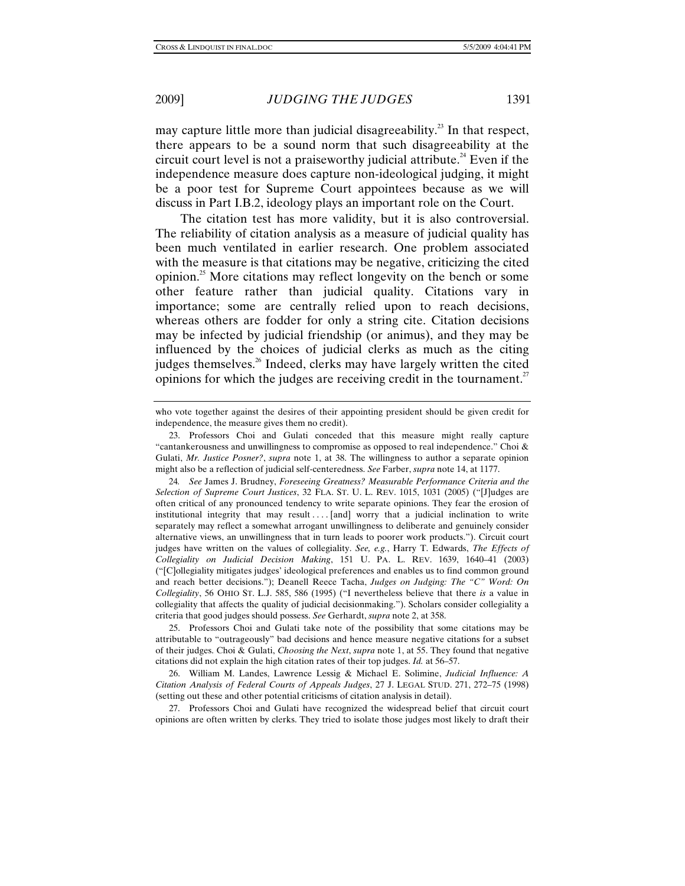may capture little more than judicial disagreeability.<sup>23</sup> In that respect, there appears to be a sound norm that such disagreeability at the circuit court level is not a praiseworthy judicial attribute.<sup>24</sup> Even if the independence measure does capture non-ideological judging, it might be a poor test for Supreme Court appointees because as we will discuss in Part I.B.2, ideology plays an important role on the Court.

The citation test has more validity, but it is also controversial. The reliability of citation analysis as a measure of judicial quality has been much ventilated in earlier research. One problem associated with the measure is that citations may be negative, criticizing the cited opinion.<sup>25</sup> More citations may reflect longevity on the bench or some other feature rather than judicial quality. Citations vary in importance; some are centrally relied upon to reach decisions, whereas others are fodder for only a string cite. Citation decisions may be infected by judicial friendship (or animus), and they may be influenced by the choices of judicial clerks as much as the citing judges themselves.<sup>26</sup> Indeed, clerks may have largely written the cited opinions for which the judges are receiving credit in the tournament.<sup>27</sup>

 25. Professors Choi and Gulati take note of the possibility that some citations may be attributable to "outrageously" bad decisions and hence measure negative citations for a subset of their judges. Choi & Gulati, *Choosing the Next*, *supra* note 1, at 55. They found that negative citations did not explain the high citation rates of their top judges. *Id.* at 56–57.

 26. William M. Landes, Lawrence Lessig & Michael E. Solimine, *Judicial Influence: A Citation Analysis of Federal Courts of Appeals Judges*, 27 J. LEGAL STUD. 271, 272–75 (1998) (setting out these and other potential criticisms of citation analysis in detail).

 27. Professors Choi and Gulati have recognized the widespread belief that circuit court opinions are often written by clerks. They tried to isolate those judges most likely to draft their

who vote together against the desires of their appointing president should be given credit for independence, the measure gives them no credit).

 <sup>23.</sup> Professors Choi and Gulati conceded that this measure might really capture "cantankerousness and unwillingness to compromise as opposed to real independence." Choi & Gulati, *Mr. Justice Posner?*, *supra* note 1, at 38. The willingness to author a separate opinion might also be a reflection of judicial self-centeredness. *See* Farber, *supra* note 14, at 1177.

<sup>24</sup>*. See* James J. Brudney, *Foreseeing Greatness? Measurable Performance Criteria and the Selection of Supreme Court Justices*, 32 FLA. ST. U. L. REV. 1015, 1031 (2005) ("[J]udges are often critical of any pronounced tendency to write separate opinions. They fear the erosion of institutional integrity that may result . . . . [and] worry that a judicial inclination to write separately may reflect a somewhat arrogant unwillingness to deliberate and genuinely consider alternative views, an unwillingness that in turn leads to poorer work products."). Circuit court judges have written on the values of collegiality. *See, e.g.*, Harry T. Edwards, *The Effects of Collegiality on Judicial Decision Making*, 151 U. PA. L. REV. 1639, 1640–41 (2003) ("[C]ollegiality mitigates judges' ideological preferences and enables us to find common ground and reach better decisions."); Deanell Reece Tacha, *Judges on Judging: The "C" Word: On Collegiality*, 56 OHIO ST. L.J. 585, 586 (1995) ("I nevertheless believe that there *is* a value in collegiality that affects the quality of judicial decisionmaking."). Scholars consider collegiality a criteria that good judges should possess. *See* Gerhardt, *supra* note 2, at 358.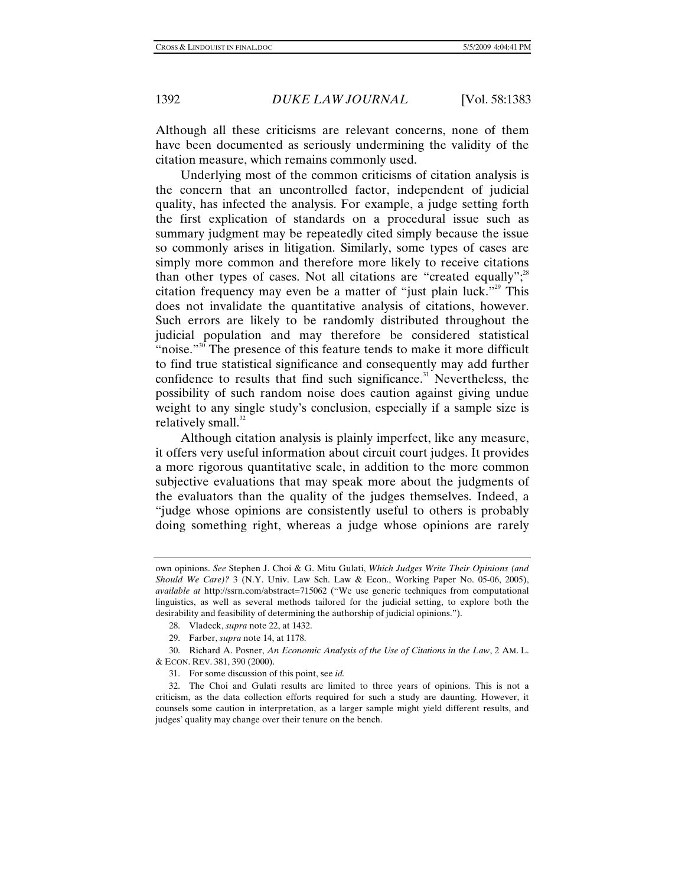Although all these criticisms are relevant concerns, none of them have been documented as seriously undermining the validity of the citation measure, which remains commonly used.

Underlying most of the common criticisms of citation analysis is the concern that an uncontrolled factor, independent of judicial quality, has infected the analysis. For example, a judge setting forth the first explication of standards on a procedural issue such as summary judgment may be repeatedly cited simply because the issue so commonly arises in litigation. Similarly, some types of cases are simply more common and therefore more likely to receive citations than other types of cases. Not all citations are "created equally"; $^{38}$ citation frequency may even be a matter of "just plain luck."<sup>29</sup> This does not invalidate the quantitative analysis of citations, however. Such errors are likely to be randomly distributed throughout the judicial population and may therefore be considered statistical "noise."<sup>30</sup> The presence of this feature tends to make it more difficult to find true statistical significance and consequently may add further confidence to results that find such significance.<sup>31</sup> Nevertheless, the possibility of such random noise does caution against giving undue weight to any single study's conclusion, especially if a sample size is relatively small. $32$ 

Although citation analysis is plainly imperfect, like any measure, it offers very useful information about circuit court judges. It provides a more rigorous quantitative scale, in addition to the more common subjective evaluations that may speak more about the judgments of the evaluators than the quality of the judges themselves. Indeed, a "judge whose opinions are consistently useful to others is probably doing something right, whereas a judge whose opinions are rarely

 30. Richard A. Posner, *An Economic Analysis of the Use of Citations in the Law*, 2 AM. L. & ECON. REV. 381, 390 (2000).

31. For some discussion of this point, see *id.*

 32. The Choi and Gulati results are limited to three years of opinions. This is not a criticism, as the data collection efforts required for such a study are daunting. However, it counsels some caution in interpretation, as a larger sample might yield different results, and judges' quality may change over their tenure on the bench.

own opinions. *See* Stephen J. Choi & G. Mitu Gulati, *Which Judges Write Their Opinions (and Should We Care)?* 3 (N.Y. Univ. Law Sch. Law & Econ., Working Paper No. 05-06, 2005), *available at* http://ssrn.com/abstract=715062 ("We use generic techniques from computational linguistics, as well as several methods tailored for the judicial setting, to explore both the desirability and feasibility of determining the authorship of judicial opinions.").

 <sup>28.</sup> Vladeck, *supra* note 22, at 1432.

 <sup>29.</sup> Farber, *supra* note 14, at 1178.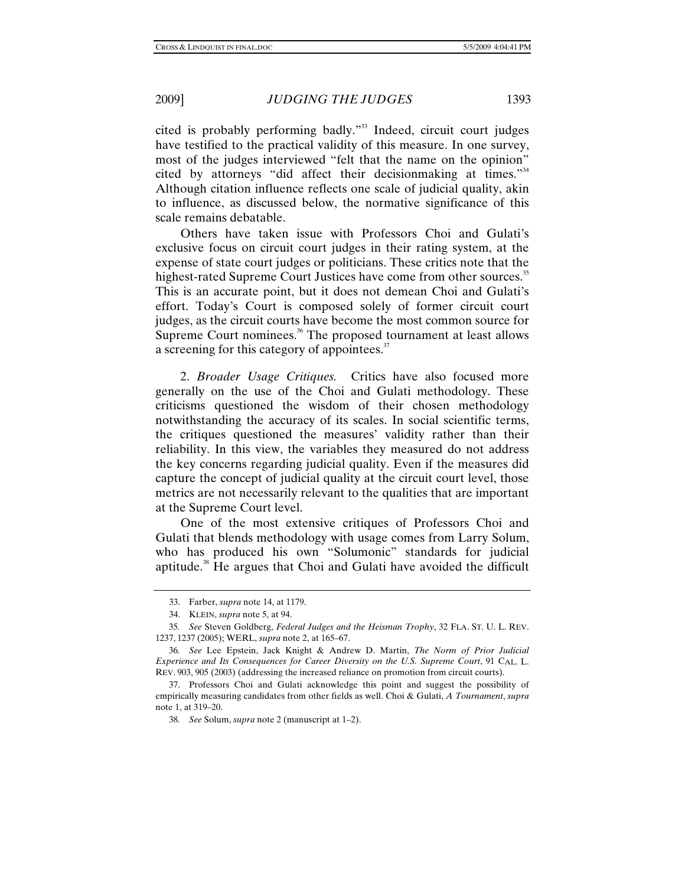cited is probably performing badly."33 Indeed, circuit court judges have testified to the practical validity of this measure. In one survey, most of the judges interviewed "felt that the name on the opinion" cited by attorneys "did affect their decisionmaking at times."<sup>34</sup> Although citation influence reflects one scale of judicial quality, akin to influence, as discussed below, the normative significance of this scale remains debatable.

Others have taken issue with Professors Choi and Gulati's exclusive focus on circuit court judges in their rating system, at the expense of state court judges or politicians. These critics note that the highest-rated Supreme Court Justices have come from other sources.<sup>35</sup> This is an accurate point, but it does not demean Choi and Gulati's effort. Today's Court is composed solely of former circuit court judges, as the circuit courts have become the most common source for Supreme Court nominees.<sup>36</sup> The proposed tournament at least allows a screening for this category of appointees.<sup>37</sup>

2. *Broader Usage Critiques.* Critics have also focused more generally on the use of the Choi and Gulati methodology. These criticisms questioned the wisdom of their chosen methodology notwithstanding the accuracy of its scales. In social scientific terms, the critiques questioned the measures' validity rather than their reliability. In this view, the variables they measured do not address the key concerns regarding judicial quality. Even if the measures did capture the concept of judicial quality at the circuit court level, those metrics are not necessarily relevant to the qualities that are important at the Supreme Court level.

One of the most extensive critiques of Professors Choi and Gulati that blends methodology with usage comes from Larry Solum, who has produced his own "Solumonic" standards for judicial aptitude.<sup>38</sup> He argues that Choi and Gulati have avoided the difficult

 <sup>33.</sup> Farber, *supra* note 14, at 1179.

 <sup>34.</sup> KLEIN, *supra* note 5, at 94.

<sup>35</sup>*. See* Steven Goldberg, *Federal Judges and the Heisman Trophy*, 32 FLA. ST. U. L. REV. 1237, 1237 (2005); WERL, *supra* note 2, at 165–67.

<sup>36</sup>*. See* Lee Epstein, Jack Knight & Andrew D. Martin, *The Norm of Prior Judicial Experience and Its Consequences for Career Diversity on the U.S. Supreme Court*, 91 CAL. L. REV. 903, 905 (2003) (addressing the increased reliance on promotion from circuit courts).

 <sup>37.</sup> Professors Choi and Gulati acknowledge this point and suggest the possibility of empirically measuring candidates from other fields as well. Choi & Gulati, *A Tournament*, *supra* note 1, at 319–20.

<sup>38</sup>*. See* Solum, *supra* note 2 (manuscript at 1–2).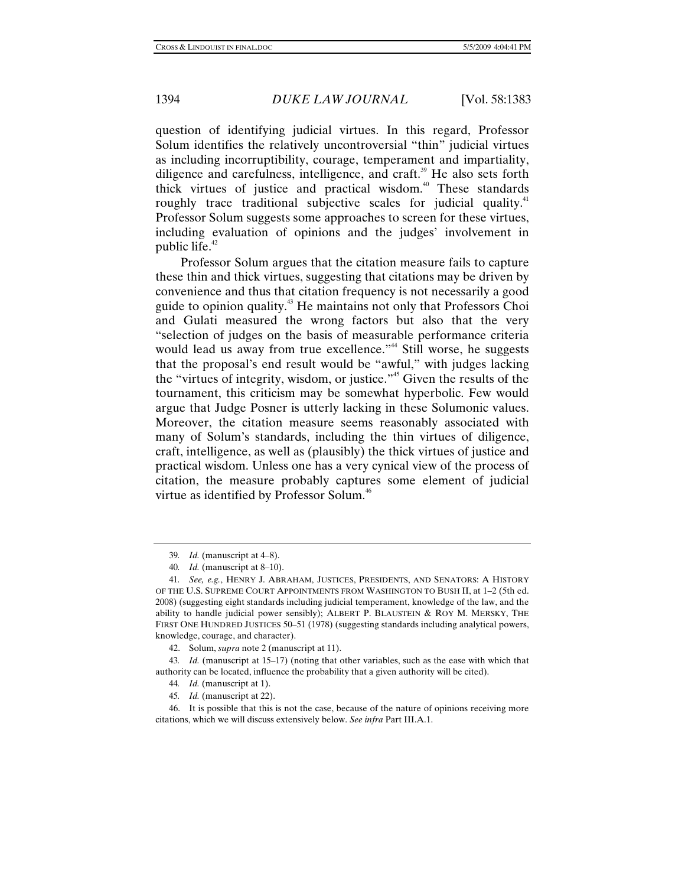question of identifying judicial virtues. In this regard, Professor Solum identifies the relatively uncontroversial "thin" judicial virtues as including incorruptibility, courage, temperament and impartiality, diligence and carefulness, intelligence, and craft.<sup>39</sup> He also sets forth thick virtues of justice and practical wisdom.<sup>40</sup> These standards roughly trace traditional subjective scales for judicial quality.<sup>41</sup> Professor Solum suggests some approaches to screen for these virtues, including evaluation of opinions and the judges' involvement in public life. $42$ 

Professor Solum argues that the citation measure fails to capture these thin and thick virtues, suggesting that citations may be driven by convenience and thus that citation frequency is not necessarily a good guide to opinion quality.43 He maintains not only that Professors Choi and Gulati measured the wrong factors but also that the very "selection of judges on the basis of measurable performance criteria would lead us away from true excellence."<sup>44</sup> Still worse, he suggests that the proposal's end result would be "awful," with judges lacking the "virtues of integrity, wisdom, or justice."45 Given the results of the tournament, this criticism may be somewhat hyperbolic. Few would argue that Judge Posner is utterly lacking in these Solumonic values. Moreover, the citation measure seems reasonably associated with many of Solum's standards, including the thin virtues of diligence, craft, intelligence, as well as (plausibly) the thick virtues of justice and practical wisdom. Unless one has a very cynical view of the process of citation, the measure probably captures some element of judicial virtue as identified by Professor Solum.<sup>46</sup>

45*. Id.* (manuscript at 22).

<sup>39</sup>*. Id.* (manuscript at 4–8).

<sup>40</sup>*. Id.* (manuscript at 8–10).

<sup>41</sup>*. See, e.g.*, HENRY J. ABRAHAM, JUSTICES, PRESIDENTS, AND SENATORS: A HISTORY OF THE U.S. SUPREME COURT APPOINTMENTS FROM WASHINGTON TO BUSH II, at 1–2 (5th ed. 2008) (suggesting eight standards including judicial temperament, knowledge of the law, and the ability to handle judicial power sensibly); ALBERT P. BLAUSTEIN  $&$  ROY M. MERSKY, THE FIRST ONE HUNDRED JUSTICES 50–51 (1978) (suggesting standards including analytical powers, knowledge, courage, and character).

 <sup>42.</sup> Solum, *supra* note 2 (manuscript at 11).

<sup>43</sup>*. Id.* (manuscript at 15–17) (noting that other variables, such as the ease with which that authority can be located, influence the probability that a given authority will be cited).

<sup>44</sup>*. Id.* (manuscript at 1).

 <sup>46.</sup> It is possible that this is not the case, because of the nature of opinions receiving more citations, which we will discuss extensively below. *See infra* Part III.A.1.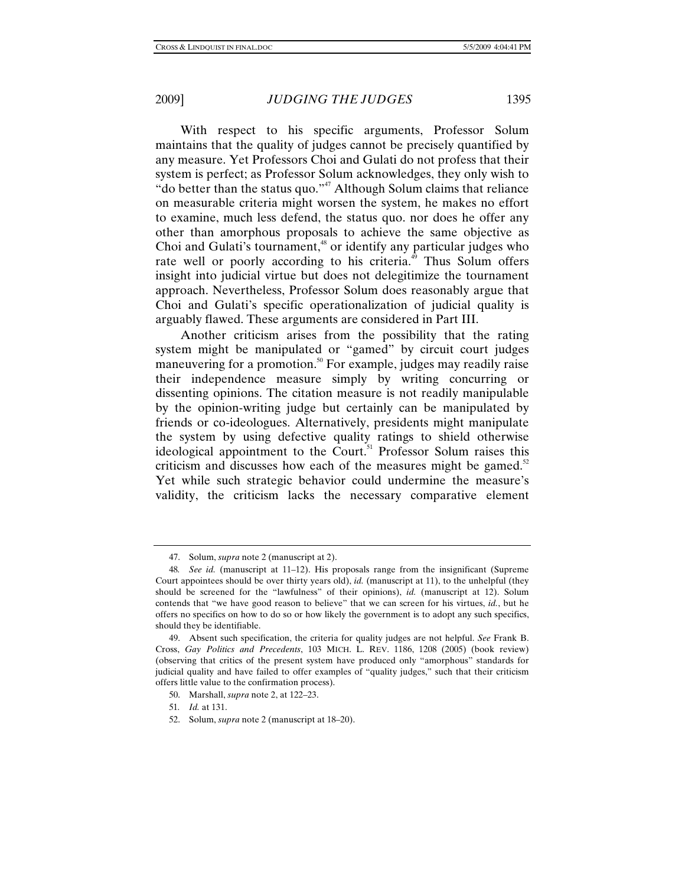With respect to his specific arguments, Professor Solum maintains that the quality of judges cannot be precisely quantified by any measure. Yet Professors Choi and Gulati do not profess that their system is perfect; as Professor Solum acknowledges, they only wish to "do better than the status quo." $47$  Although Solum claims that reliance on measurable criteria might worsen the system, he makes no effort to examine, much less defend, the status quo. nor does he offer any other than amorphous proposals to achieve the same objective as Choi and Gulati's tournament,<sup>48</sup> or identify any particular judges who rate well or poorly according to his criteria.<sup>49</sup> Thus Solum offers insight into judicial virtue but does not delegitimize the tournament approach. Nevertheless, Professor Solum does reasonably argue that Choi and Gulati's specific operationalization of judicial quality is arguably flawed. These arguments are considered in Part III.

Another criticism arises from the possibility that the rating system might be manipulated or "gamed" by circuit court judges maneuvering for a promotion.<sup>50</sup> For example, judges may readily raise their independence measure simply by writing concurring or dissenting opinions. The citation measure is not readily manipulable by the opinion-writing judge but certainly can be manipulated by friends or co-ideologues. Alternatively, presidents might manipulate the system by using defective quality ratings to shield otherwise ideological appointment to the Court.<sup>51</sup> Professor Solum raises this criticism and discusses how each of the measures might be gamed.<sup>52</sup> Yet while such strategic behavior could undermine the measure's validity, the criticism lacks the necessary comparative element

 <sup>47.</sup> Solum, *supra* note 2 (manuscript at 2).

<sup>48</sup>*. See id.* (manuscript at 11–12). His proposals range from the insignificant (Supreme Court appointees should be over thirty years old), *id.* (manuscript at 11), to the unhelpful (they should be screened for the "lawfulness" of their opinions), *id.* (manuscript at 12). Solum contends that "we have good reason to believe" that we can screen for his virtues, *id.*, but he offers no specifics on how to do so or how likely the government is to adopt any such specifics, should they be identifiable.

 <sup>49.</sup> Absent such specification, the criteria for quality judges are not helpful. *See* Frank B. Cross, *Gay Politics and Precedents*, 103 MICH. L. REV. 1186, 1208 (2005) (book review) (observing that critics of the present system have produced only "amorphous" standards for judicial quality and have failed to offer examples of "quality judges," such that their criticism offers little value to the confirmation process).

 <sup>50.</sup> Marshall, *supra* note 2, at 122–23.

<sup>51</sup>*. Id.* at 131.

 <sup>52.</sup> Solum, *supra* note 2 (manuscript at 18–20).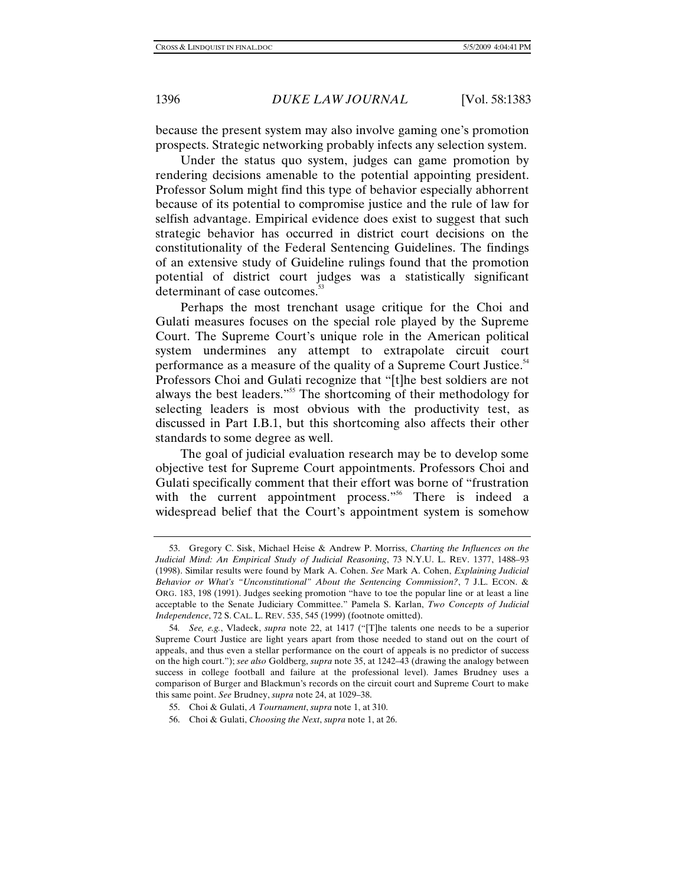because the present system may also involve gaming one's promotion prospects. Strategic networking probably infects any selection system.

Under the status quo system, judges can game promotion by rendering decisions amenable to the potential appointing president. Professor Solum might find this type of behavior especially abhorrent because of its potential to compromise justice and the rule of law for selfish advantage. Empirical evidence does exist to suggest that such strategic behavior has occurred in district court decisions on the constitutionality of the Federal Sentencing Guidelines. The findings of an extensive study of Guideline rulings found that the promotion potential of district court judges was a statistically significant determinant of case outcomes.<sup>53</sup>

Perhaps the most trenchant usage critique for the Choi and Gulati measures focuses on the special role played by the Supreme Court. The Supreme Court's unique role in the American political system undermines any attempt to extrapolate circuit court performance as a measure of the quality of a Supreme Court Justice.<sup>54</sup> Professors Choi and Gulati recognize that "[t]he best soldiers are not always the best leaders."55 The shortcoming of their methodology for selecting leaders is most obvious with the productivity test, as discussed in Part I.B.1, but this shortcoming also affects their other standards to some degree as well.

The goal of judicial evaluation research may be to develop some objective test for Supreme Court appointments. Professors Choi and Gulati specifically comment that their effort was borne of "frustration with the current appointment process."<sup>56</sup> There is indeed a widespread belief that the Court's appointment system is somehow

 <sup>53.</sup> Gregory C. Sisk, Michael Heise & Andrew P. Morriss, *Charting the Influences on the Judicial Mind: An Empirical Study of Judicial Reasoning*, 73 N.Y.U. L. REV. 1377, 1488–93 (1998). Similar results were found by Mark A. Cohen. *See* Mark A. Cohen, *Explaining Judicial Behavior or What's "Unconstitutional" About the Sentencing Commission?*, 7 J.L. ECON. & ORG. 183, 198 (1991). Judges seeking promotion "have to toe the popular line or at least a line acceptable to the Senate Judiciary Committee." Pamela S. Karlan, *Two Concepts of Judicial Independence*, 72 S. CAL. L. REV. 535, 545 (1999) (footnote omitted).

<sup>54</sup>*. See, e.g.*, Vladeck, *supra* note 22, at 1417 ("[T]he talents one needs to be a superior Supreme Court Justice are light years apart from those needed to stand out on the court of appeals, and thus even a stellar performance on the court of appeals is no predictor of success on the high court."); *see also* Goldberg, *supra* note 35, at 1242–43 (drawing the analogy between success in college football and failure at the professional level). James Brudney uses a comparison of Burger and Blackmun's records on the circuit court and Supreme Court to make this same point. *See* Brudney, *supra* note 24, at 1029–38.

 <sup>55.</sup> Choi & Gulati, *A Tournament*, *supra* note 1, at 310.

 <sup>56.</sup> Choi & Gulati, *Choosing the Next*, *supra* note 1, at 26.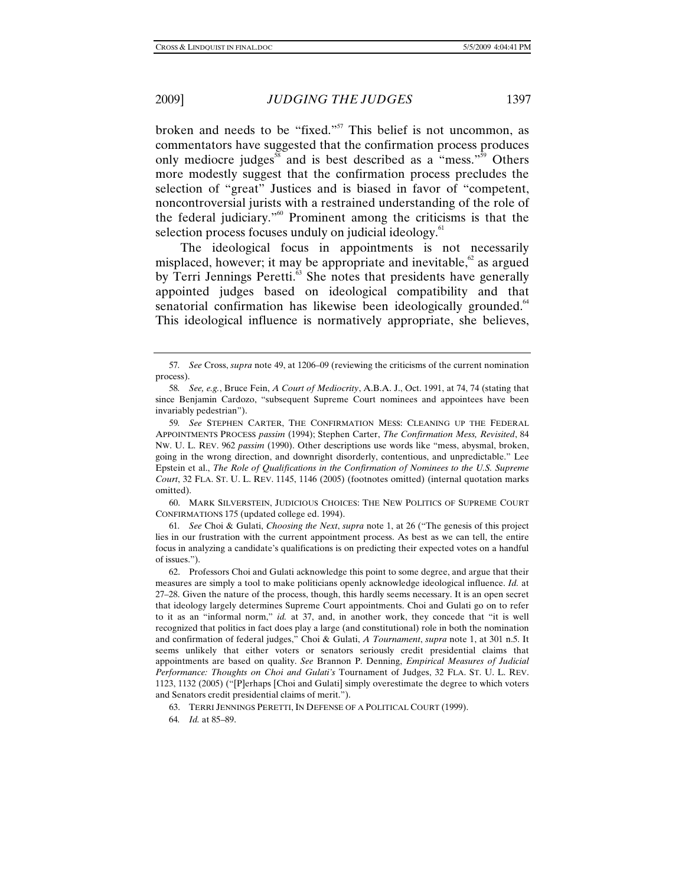broken and needs to be "fixed."<sup>57</sup> This belief is not uncommon, as commentators have suggested that the confirmation process produces only mediocre judges<sup>58</sup> and is best described as a "mess."<sup>59</sup> Others more modestly suggest that the confirmation process precludes the selection of "great" Justices and is biased in favor of "competent, noncontroversial jurists with a restrained understanding of the role of the federal judiciary."60 Prominent among the criticisms is that the selection process focuses unduly on judicial ideology.<sup>61</sup>

The ideological focus in appointments is not necessarily misplaced, however; it may be appropriate and inevitable, $62$  as argued by Terri Jennings Peretti.<sup>63</sup> She notes that presidents have generally appointed judges based on ideological compatibility and that senatorial confirmation has likewise been ideologically grounded.<sup>64</sup> This ideological influence is normatively appropriate, she believes,

 60. MARK SILVERSTEIN, JUDICIOUS CHOICES: THE NEW POLITICS OF SUPREME COURT CONFIRMATIONS 175 (updated college ed. 1994).

61*. See* Choi & Gulati, *Choosing the Next*, *supra* note 1, at 26 ("The genesis of this project lies in our frustration with the current appointment process. As best as we can tell, the entire focus in analyzing a candidate's qualifications is on predicting their expected votes on a handful of issues.").

 62. Professors Choi and Gulati acknowledge this point to some degree, and argue that their measures are simply a tool to make politicians openly acknowledge ideological influence. *Id.* at 27–28. Given the nature of the process, though, this hardly seems necessary. It is an open secret that ideology largely determines Supreme Court appointments. Choi and Gulati go on to refer to it as an "informal norm," *id.* at 37, and, in another work, they concede that "it is well recognized that politics in fact does play a large (and constitutional) role in both the nomination and confirmation of federal judges," Choi & Gulati, *A Tournament*, *supra* note 1, at 301 n.5. It seems unlikely that either voters or senators seriously credit presidential claims that appointments are based on quality. *See* Brannon P. Denning, *Empirical Measures of Judicial Performance: Thoughts on Choi and Gulati's* Tournament of Judges, 32 FLA. ST. U. L. REV. 1123, 1132 (2005) ("[P]erhaps [Choi and Gulati] simply overestimate the degree to which voters and Senators credit presidential claims of merit.").

<sup>57</sup>*. See* Cross, *supra* note 49, at 1206–09 (reviewing the criticisms of the current nomination process).

<sup>58</sup>*. See, e.g.*, Bruce Fein, *A Court of Mediocrity*, A.B.A. J., Oct. 1991, at 74, 74 (stating that since Benjamin Cardozo, "subsequent Supreme Court nominees and appointees have been invariably pedestrian").

<sup>59</sup>*. See* STEPHEN CARTER, THE CONFIRMATION MESS: CLEANING UP THE FEDERAL APPOINTMENTS PROCESS *passim* (1994); Stephen Carter, *The Confirmation Mess, Revisited*, 84 NW. U. L. REV. 962 *passim* (1990). Other descriptions use words like "mess, abysmal, broken, going in the wrong direction, and downright disorderly, contentious, and unpredictable." Lee Epstein et al., *The Role of Qualifications in the Confirmation of Nominees to the U.S. Supreme Court*, 32 FLA. ST. U. L. REV. 1145, 1146 (2005) (footnotes omitted) (internal quotation marks omitted).

 <sup>63.</sup> TERRI JENNINGS PERETTI, IN DEFENSE OF A POLITICAL COURT (1999).

<sup>64</sup>*. Id.* at 85–89.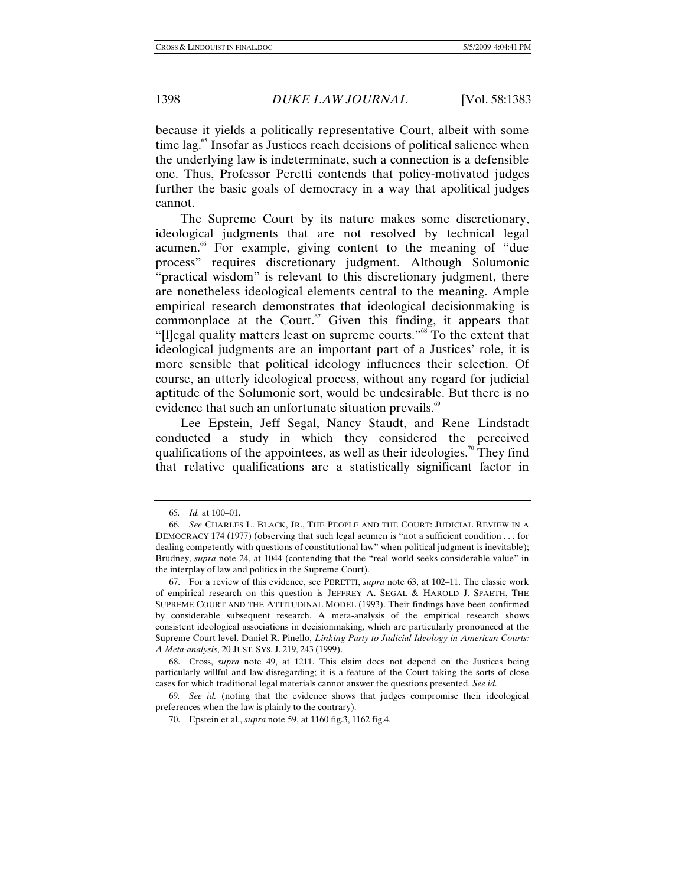because it yields a politically representative Court, albeit with some time lag.<sup>65</sup> Insofar as Justices reach decisions of political salience when the underlying law is indeterminate, such a connection is a defensible one. Thus, Professor Peretti contends that policy-motivated judges further the basic goals of democracy in a way that apolitical judges cannot.

The Supreme Court by its nature makes some discretionary, ideological judgments that are not resolved by technical legal acumen.<sup>66</sup> For example, giving content to the meaning of "due process" requires discretionary judgment. Although Solumonic "practical wisdom" is relevant to this discretionary judgment, there are nonetheless ideological elements central to the meaning. Ample empirical research demonstrates that ideological decisionmaking is commonplace at the Court. $67$  Given this finding, it appears that "[l]egal quality matters least on supreme courts."68 To the extent that ideological judgments are an important part of a Justices' role, it is more sensible that political ideology influences their selection. Of course, an utterly ideological process, without any regard for judicial aptitude of the Solumonic sort, would be undesirable. But there is no evidence that such an unfortunate situation prevails.<sup>69</sup>

Lee Epstein, Jeff Segal, Nancy Staudt, and Rene Lindstadt conducted a study in which they considered the perceived qualifications of the appointees, as well as their ideologies.<sup>70</sup> They find that relative qualifications are a statistically significant factor in

<sup>65</sup>*. Id.* at 100–01.

<sup>66</sup>*. See* CHARLES L. BLACK, JR., THE PEOPLE AND THE COURT: JUDICIAL REVIEW IN A DEMOCRACY 174 (1977) (observing that such legal acumen is "not a sufficient condition . . . for dealing competently with questions of constitutional law" when political judgment is inevitable); Brudney, *supra* note 24, at 1044 (contending that the "real world seeks considerable value" in the interplay of law and politics in the Supreme Court).

 <sup>67.</sup> For a review of this evidence, see PERETTI, *supra* note 63, at 102–11. The classic work of empirical research on this question is JEFFREY A. SEGAL & HAROLD J. SPAETH, THE SUPREME COURT AND THE ATTITUDINAL MODEL (1993). Their findings have been confirmed by considerable subsequent research. A meta-analysis of the empirical research shows consistent ideological associations in decisionmaking, which are particularly pronounced at the Supreme Court level. Daniel R. Pinello, *Linking Party to Judicial Ideology in American Courts: A Meta-analysis*, 20 JUST. SYS. J. 219, 243 (1999).

 <sup>68.</sup> Cross, *supra* note 49, at 1211. This claim does not depend on the Justices being particularly willful and law-disregarding; it is a feature of the Court taking the sorts of close cases for which traditional legal materials cannot answer the questions presented. *See id.*

<sup>69</sup>*. See id.* (noting that the evidence shows that judges compromise their ideological preferences when the law is plainly to the contrary).

 <sup>70.</sup> Epstein et al., *supra* note 59, at 1160 fig.3, 1162 fig.4.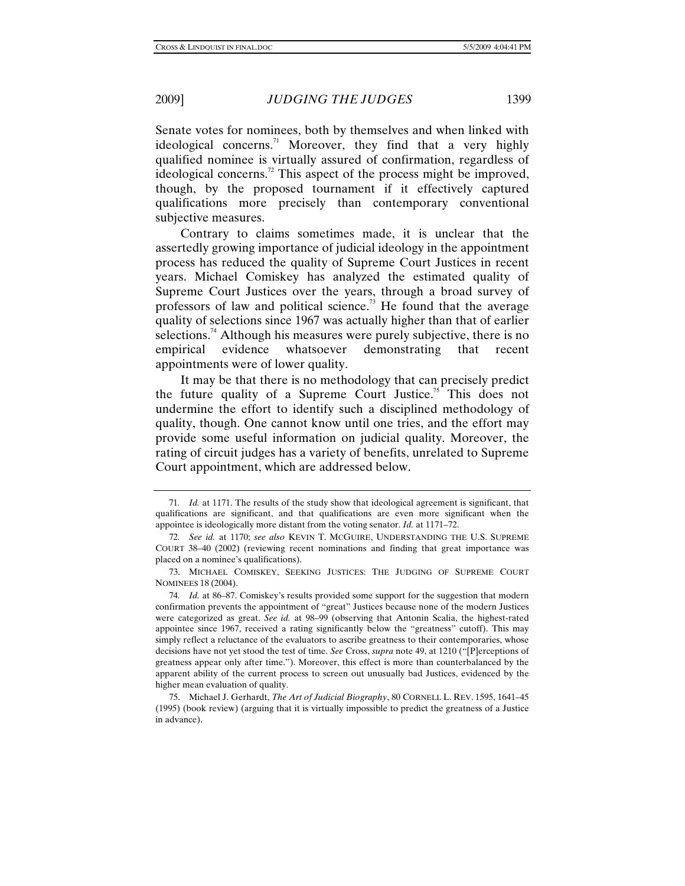Senate votes for nominees, both by themselves and when linked with ideological concerns.<sup>71</sup> Moreover, they find that a very highly qualified nominee is virtually assured of confirmation, regardless of ideological concerns.<sup>72</sup> This aspect of the process might be improved, though, by the proposed tournament if it effectively captured qualifications more precisely than contemporary conventional subjective measures.

Contrary to claims sometimes made, it is unclear that the assertedly growing importance of judicial ideology in the appointment process has reduced the quality of Supreme Court Justices in recent years. Michael Comiskey has analyzed the estimated quality of Supreme Court Justices over the years, through a broad survey of professors of law and political science.<sup>73</sup> He found that the average quality of selections since 1967 was actually higher than that of earlier selections.<sup>74</sup> Although his measures were purely subjective, there is no empirical evidence whatsoever demonstrating that recent appointments were of lower quality.

It may be that there is no methodology that can precisely predict the future quality of a Supreme Court Justice.<sup>75</sup> This does not undermine the effort to identify such a disciplined methodology of quality, though. One cannot know until one tries, and the effort may provide some useful information on judicial quality. Moreover, the rating of circuit judges has a variety of benefits, unrelated to Supreme Court appointment, which are addressed below.

<sup>71</sup>*. Id.* at 1171. The results of the study show that ideological agreement is significant, that qualifications are significant, and that qualifications are even more significant when the appointee is ideologically more distant from the voting senator. *Id.* at 1171–72.

<sup>72</sup>*. See id.* at 1170; *see also* KEVIN T. MCGUIRE, UNDERSTANDING THE U.S. SUPREME COURT 38–40 (2002) (reviewing recent nominations and finding that great importance was placed on a nominee's qualifications).

 <sup>73.</sup> MICHAEL COMISKEY, SEEKING JUSTICES: THE JUDGING OF SUPREME COURT NOMINEES 18 (2004).

<sup>74</sup>*. Id.* at 86–87. Comiskey's results provided some support for the suggestion that modern confirmation prevents the appointment of "great" Justices because none of the modern Justices were categorized as great. *See id.* at 98–99 (observing that Antonin Scalia, the highest-rated appointee since 1967, received a rating significantly below the "greatness" cutoff). This may simply reflect a reluctance of the evaluators to ascribe greatness to their contemporaries, whose decisions have not yet stood the test of time. *See* Cross, *supra* note 49, at 1210 ("[P]erceptions of greatness appear only after time."). Moreover, this effect is more than counterbalanced by the apparent ability of the current process to screen out unusually bad Justices, evidenced by the higher mean evaluation of quality.

 <sup>75.</sup> Michael J. Gerhardt, *The Art of Judicial Biography*, 80 CORNELL L. REV. 1595, 1641–45 (1995) (book review) (arguing that it is virtually impossible to predict the greatness of a Justice in advance).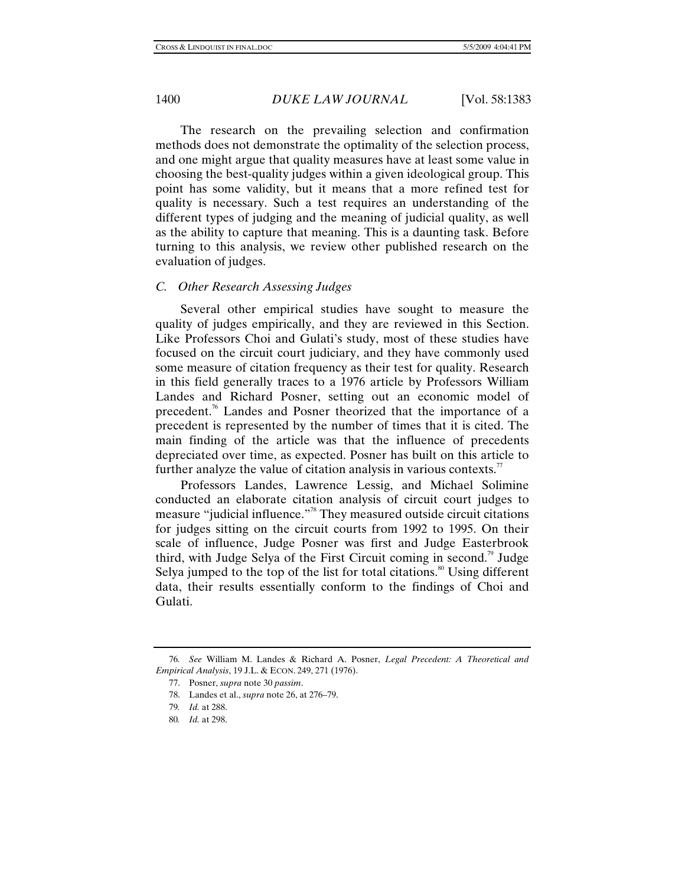The research on the prevailing selection and confirmation methods does not demonstrate the optimality of the selection process, and one might argue that quality measures have at least some value in choosing the best-quality judges within a given ideological group. This point has some validity, but it means that a more refined test for quality is necessary. Such a test requires an understanding of the different types of judging and the meaning of judicial quality, as well as the ability to capture that meaning. This is a daunting task. Before turning to this analysis, we review other published research on the evaluation of judges.

## *C. Other Research Assessing Judges*

Several other empirical studies have sought to measure the quality of judges empirically, and they are reviewed in this Section. Like Professors Choi and Gulati's study, most of these studies have focused on the circuit court judiciary, and they have commonly used some measure of citation frequency as their test for quality. Research in this field generally traces to a 1976 article by Professors William Landes and Richard Posner, setting out an economic model of precedent.<sup>76</sup> Landes and Posner theorized that the importance of a precedent is represented by the number of times that it is cited. The main finding of the article was that the influence of precedents depreciated over time, as expected. Posner has built on this article to further analyze the value of citation analysis in various contexts. $\mathbb{Z}$ 

Professors Landes, Lawrence Lessig, and Michael Solimine conducted an elaborate citation analysis of circuit court judges to measure "judicial influence."78 They measured outside circuit citations for judges sitting on the circuit courts from 1992 to 1995. On their scale of influence, Judge Posner was first and Judge Easterbrook third, with Judge Selya of the First Circuit coming in second.<sup>79</sup> Judge Selya jumped to the top of the list for total citations.<sup>80</sup> Using different data, their results essentially conform to the findings of Choi and Gulati.

<sup>76</sup>*. See* William M. Landes & Richard A. Posner, *Legal Precedent: A Theoretical and Empirical Analysis*, 19 J.L. & ECON. 249, 271 (1976).

 <sup>77.</sup> Posner, *supra* note 30 *passim*.

 <sup>78.</sup> Landes et al., *supra* note 26, at 276–79.

<sup>79</sup>*. Id.* at 288.

<sup>80</sup>*. Id.* at 298.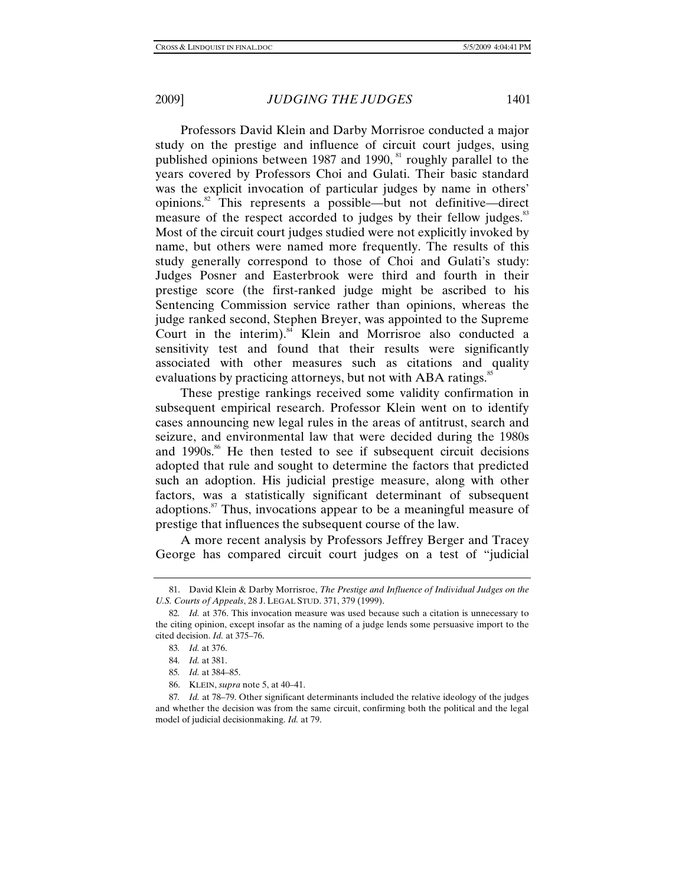Professors David Klein and Darby Morrisroe conducted a major study on the prestige and influence of circuit court judges, using published opinions between 1987 and 1990,  $\frac{81}{1}$  roughly parallel to the years covered by Professors Choi and Gulati. Their basic standard was the explicit invocation of particular judges by name in others' opinions.82 This represents a possible—but not definitive—direct measure of the respect accorded to judges by their fellow judges.<sup>83</sup> Most of the circuit court judges studied were not explicitly invoked by name, but others were named more frequently. The results of this study generally correspond to those of Choi and Gulati's study: Judges Posner and Easterbrook were third and fourth in their prestige score (the first-ranked judge might be ascribed to his Sentencing Commission service rather than opinions, whereas the judge ranked second, Stephen Breyer, was appointed to the Supreme Court in the interim).<sup>84</sup> Klein and Morrisroe also conducted a sensitivity test and found that their results were significantly associated with other measures such as citations and quality evaluations by practicing attorneys, but not with ABA ratings.<sup>85</sup>

These prestige rankings received some validity confirmation in subsequent empirical research. Professor Klein went on to identify cases announcing new legal rules in the areas of antitrust, search and seizure, and environmental law that were decided during the 1980s and  $1990s$ .<sup>86</sup> He then tested to see if subsequent circuit decisions adopted that rule and sought to determine the factors that predicted such an adoption. His judicial prestige measure, along with other factors, was a statistically significant determinant of subsequent adoptions.87 Thus, invocations appear to be a meaningful measure of prestige that influences the subsequent course of the law.

A more recent analysis by Professors Jeffrey Berger and Tracey George has compared circuit court judges on a test of "judicial

 <sup>81.</sup> David Klein & Darby Morrisroe, *The Prestige and Influence of Individual Judges on the U.S. Courts of Appeals*, 28 J. LEGAL STUD. 371, 379 (1999).

<sup>82</sup>*. Id.* at 376. This invocation measure was used because such a citation is unnecessary to the citing opinion, except insofar as the naming of a judge lends some persuasive import to the cited decision. *Id.* at 375–76.

<sup>83</sup>*. Id.* at 376.

<sup>84</sup>*. Id.* at 381.

<sup>85</sup>*. Id.* at 384–85.

 <sup>86.</sup> KLEIN, *supra* note 5, at 40–41.

<sup>87</sup>*. Id.* at 78–79. Other significant determinants included the relative ideology of the judges and whether the decision was from the same circuit, confirming both the political and the legal model of judicial decisionmaking. *Id.* at 79.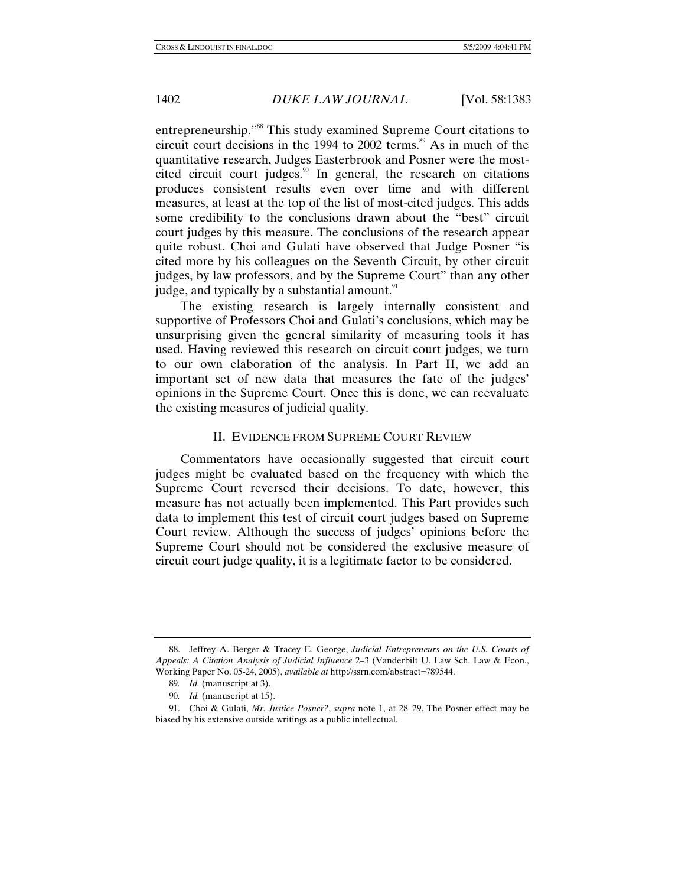entrepreneurship."88 This study examined Supreme Court citations to circuit court decisions in the 1994 to 2002 terms. $\mathrm{^{89}}$  As in much of the quantitative research, Judges Easterbrook and Posner were the mostcited circuit court judges.<sup>90</sup> In general, the research on citations produces consistent results even over time and with different measures, at least at the top of the list of most-cited judges. This adds some credibility to the conclusions drawn about the "best" circuit court judges by this measure. The conclusions of the research appear quite robust. Choi and Gulati have observed that Judge Posner "is cited more by his colleagues on the Seventh Circuit, by other circuit judges, by law professors, and by the Supreme Court" than any other judge, and typically by a substantial amount.<sup>91</sup>

The existing research is largely internally consistent and supportive of Professors Choi and Gulati's conclusions, which may be unsurprising given the general similarity of measuring tools it has used. Having reviewed this research on circuit court judges, we turn to our own elaboration of the analysis. In Part II, we add an important set of new data that measures the fate of the judges' opinions in the Supreme Court. Once this is done, we can reevaluate the existing measures of judicial quality.

### II. EVIDENCE FROM SUPREME COURT REVIEW

Commentators have occasionally suggested that circuit court judges might be evaluated based on the frequency with which the Supreme Court reversed their decisions. To date, however, this measure has not actually been implemented. This Part provides such data to implement this test of circuit court judges based on Supreme Court review. Although the success of judges' opinions before the Supreme Court should not be considered the exclusive measure of circuit court judge quality, it is a legitimate factor to be considered.

 <sup>88.</sup> Jeffrey A. Berger & Tracey E. George, *Judicial Entrepreneurs on the U.S. Courts of Appeals: A Citation Analysis of Judicial Influence* 2–3 (Vanderbilt U. Law Sch. Law & Econ., Working Paper No. 05-24, 2005), *available at* http://ssrn.com/abstract=789544.

<sup>89</sup>*. Id.* (manuscript at 3).

<sup>90</sup>*. Id.* (manuscript at 15).

 <sup>91.</sup> Choi & Gulati, *Mr. Justice Posner?*, *supra* note 1, at 28–29. The Posner effect may be biased by his extensive outside writings as a public intellectual.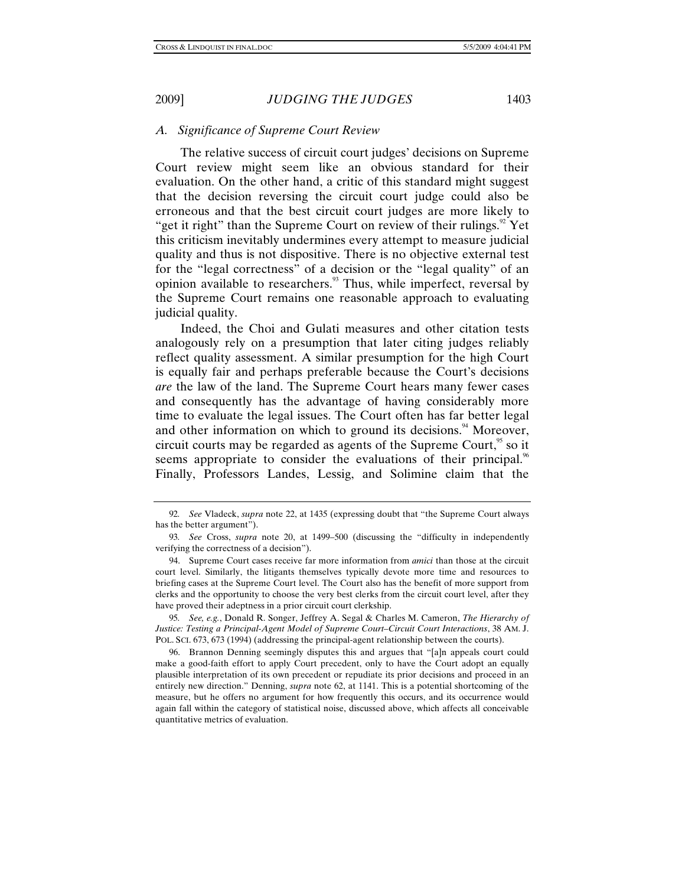## *A. Significance of Supreme Court Review*

The relative success of circuit court judges' decisions on Supreme Court review might seem like an obvious standard for their evaluation. On the other hand, a critic of this standard might suggest that the decision reversing the circuit court judge could also be erroneous and that the best circuit court judges are more likely to "get it right" than the Supreme Court on review of their rulings." Yet this criticism inevitably undermines every attempt to measure judicial quality and thus is not dispositive. There is no objective external test for the "legal correctness" of a decision or the "legal quality" of an opinion available to researchers.<sup>93</sup> Thus, while imperfect, reversal by the Supreme Court remains one reasonable approach to evaluating judicial quality.

Indeed, the Choi and Gulati measures and other citation tests analogously rely on a presumption that later citing judges reliably reflect quality assessment. A similar presumption for the high Court is equally fair and perhaps preferable because the Court's decisions *are* the law of the land. The Supreme Court hears many fewer cases and consequently has the advantage of having considerably more time to evaluate the legal issues. The Court often has far better legal and other information on which to ground its decisions.<sup>94</sup> Moreover, circuit courts may be regarded as agents of the Supreme Court,  $\frac{95}{5}$  so it seems appropriate to consider the evaluations of their principal.<sup>96</sup> Finally, Professors Landes, Lessig, and Solimine claim that the

95*. See, e.g.*, Donald R. Songer, Jeffrey A. Segal & Charles M. Cameron, *The Hierarchy of Justice: Testing a Principal-Agent Model of Supreme Court–Circuit Court Interactions*, 38 AM. J. POL. SCI. 673, 673 (1994) (addressing the principal-agent relationship between the courts).

 96. Brannon Denning seemingly disputes this and argues that "[a]n appeals court could make a good-faith effort to apply Court precedent, only to have the Court adopt an equally plausible interpretation of its own precedent or repudiate its prior decisions and proceed in an entirely new direction." Denning, *supra* note 62, at 1141. This is a potential shortcoming of the measure, but he offers no argument for how frequently this occurs, and its occurrence would again fall within the category of statistical noise, discussed above, which affects all conceivable quantitative metrics of evaluation.

<sup>92</sup>*. See* Vladeck, *supra* note 22, at 1435 (expressing doubt that "the Supreme Court always has the better argument").

<sup>93</sup>*. See* Cross, *supra* note 20, at 1499–500 (discussing the "difficulty in independently verifying the correctness of a decision").

 <sup>94.</sup> Supreme Court cases receive far more information from *amici* than those at the circuit court level. Similarly, the litigants themselves typically devote more time and resources to briefing cases at the Supreme Court level. The Court also has the benefit of more support from clerks and the opportunity to choose the very best clerks from the circuit court level, after they have proved their adeptness in a prior circuit court clerkship.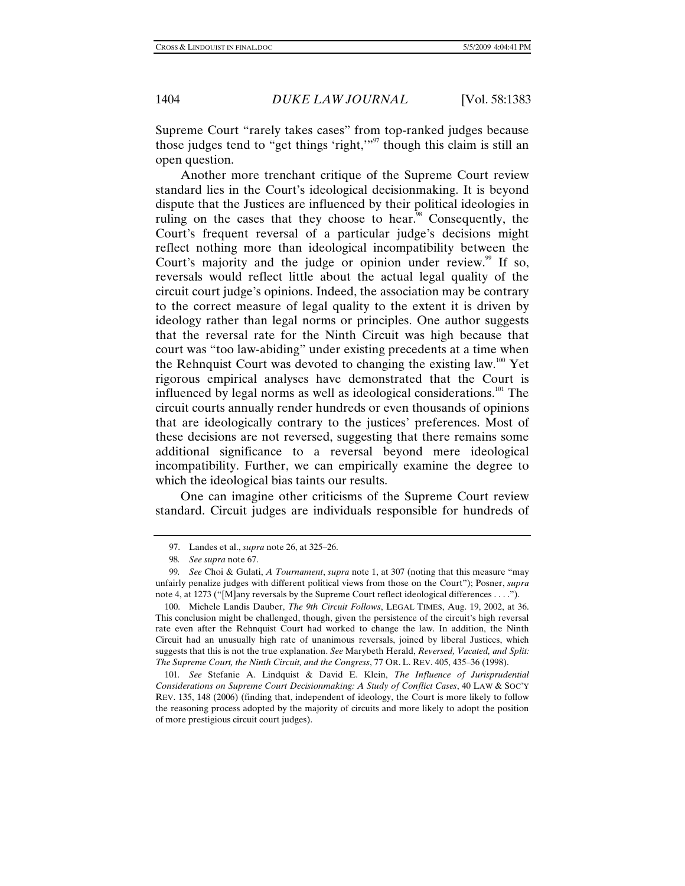Supreme Court "rarely takes cases" from top-ranked judges because those judges tend to "get things 'right,"<sup>97</sup> though this claim is still an open question.

Another more trenchant critique of the Supreme Court review standard lies in the Court's ideological decisionmaking. It is beyond dispute that the Justices are influenced by their political ideologies in ruling on the cases that they choose to hear. $\frac{3}{8}$  Consequently, the Court's frequent reversal of a particular judge's decisions might reflect nothing more than ideological incompatibility between the Court's majority and the judge or opinion under review.<sup>99</sup> If so, reversals would reflect little about the actual legal quality of the circuit court judge's opinions. Indeed, the association may be contrary to the correct measure of legal quality to the extent it is driven by ideology rather than legal norms or principles. One author suggests that the reversal rate for the Ninth Circuit was high because that court was "too law-abiding" under existing precedents at a time when the Rehnquist Court was devoted to changing the existing law.<sup>100</sup> Yet rigorous empirical analyses have demonstrated that the Court is influenced by legal norms as well as ideological considerations.<sup>101</sup> The circuit courts annually render hundreds or even thousands of opinions that are ideologically contrary to the justices' preferences. Most of these decisions are not reversed, suggesting that there remains some additional significance to a reversal beyond mere ideological incompatibility. Further, we can empirically examine the degree to which the ideological bias taints our results.

One can imagine other criticisms of the Supreme Court review standard. Circuit judges are individuals responsible for hundreds of

 <sup>97.</sup> Landes et al., *supra* note 26, at 325–26.

<sup>98</sup>*. See supra* note 67.

<sup>99</sup>*. See* Choi & Gulati, *A Tournament*, *supra* note 1, at 307 (noting that this measure "may unfairly penalize judges with different political views from those on the Court"); Posner, *supra* note 4, at 1273 ("[M]any reversals by the Supreme Court reflect ideological differences . . . .").

 <sup>100.</sup> Michele Landis Dauber, *The 9th Circuit Follows*, LEGAL TIMES, Aug. 19, 2002, at 36. This conclusion might be challenged, though, given the persistence of the circuit's high reversal rate even after the Rehnquist Court had worked to change the law. In addition, the Ninth Circuit had an unusually high rate of unanimous reversals, joined by liberal Justices, which suggests that this is not the true explanation. *See* Marybeth Herald, *Reversed, Vacated, and Split: The Supreme Court, the Ninth Circuit, and the Congress*, 77 OR. L. REV. 405, 435–36 (1998).

<sup>101</sup>*. See* Stefanie A. Lindquist & David E. Klein, *The Influence of Jurisprudential Considerations on Supreme Court Decisionmaking: A Study of Conflict Cases*, 40 LAW & SOC'Y REV. 135, 148 (2006) (finding that, independent of ideology, the Court is more likely to follow the reasoning process adopted by the majority of circuits and more likely to adopt the position of more prestigious circuit court judges).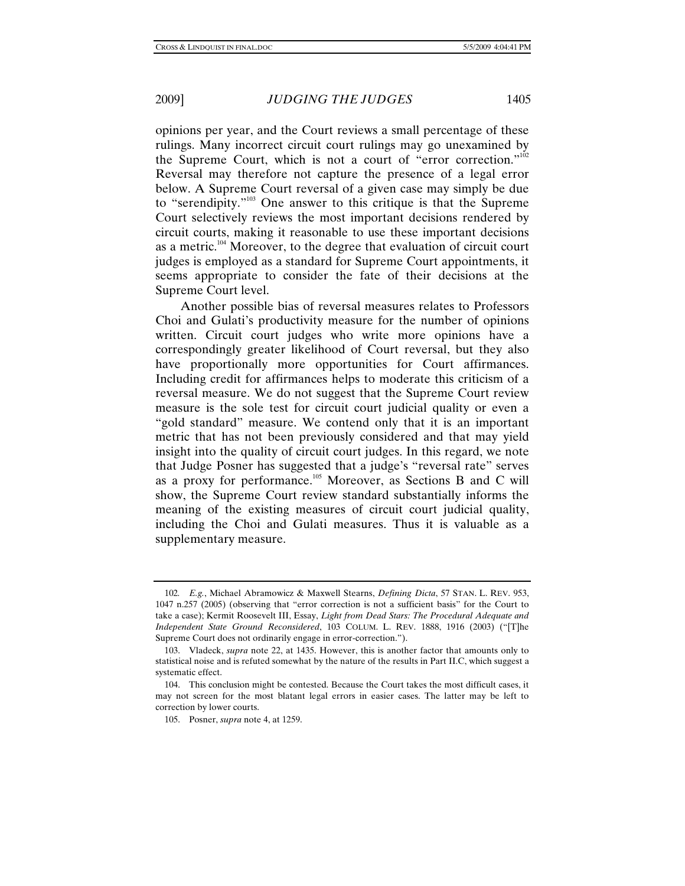opinions per year, and the Court reviews a small percentage of these rulings. Many incorrect circuit court rulings may go unexamined by the Supreme Court, which is not a court of "error correction."<sup>102</sup> Reversal may therefore not capture the presence of a legal error below. A Supreme Court reversal of a given case may simply be due to "serendipity."103 One answer to this critique is that the Supreme Court selectively reviews the most important decisions rendered by circuit courts, making it reasonable to use these important decisions as a metric.<sup>104</sup> Moreover, to the degree that evaluation of circuit court judges is employed as a standard for Supreme Court appointments, it seems appropriate to consider the fate of their decisions at the Supreme Court level.

Another possible bias of reversal measures relates to Professors Choi and Gulati's productivity measure for the number of opinions written. Circuit court judges who write more opinions have a correspondingly greater likelihood of Court reversal, but they also have proportionally more opportunities for Court affirmances. Including credit for affirmances helps to moderate this criticism of a reversal measure. We do not suggest that the Supreme Court review measure is the sole test for circuit court judicial quality or even a "gold standard" measure. We contend only that it is an important metric that has not been previously considered and that may yield insight into the quality of circuit court judges. In this regard, we note that Judge Posner has suggested that a judge's "reversal rate" serves as a proxy for performance.105 Moreover, as Sections B and C will show, the Supreme Court review standard substantially informs the meaning of the existing measures of circuit court judicial quality, including the Choi and Gulati measures. Thus it is valuable as a supplementary measure.

<sup>102</sup>*. E.g.*, Michael Abramowicz & Maxwell Stearns, *Defining Dicta*, 57 STAN. L. REV. 953, 1047 n.257 (2005) (observing that "error correction is not a sufficient basis" for the Court to take a case); Kermit Roosevelt III, Essay, *Light from Dead Stars: The Procedural Adequate and Independent State Ground Reconsidered*, 103 COLUM. L. REV. 1888, 1916 (2003) ("[T]he Supreme Court does not ordinarily engage in error-correction.").

 <sup>103.</sup> Vladeck, *supra* note 22, at 1435. However, this is another factor that amounts only to statistical noise and is refuted somewhat by the nature of the results in Part II.C, which suggest a systematic effect.

 <sup>104.</sup> This conclusion might be contested. Because the Court takes the most difficult cases, it may not screen for the most blatant legal errors in easier cases. The latter may be left to correction by lower courts.

 <sup>105.</sup> Posner, *supra* note 4, at 1259.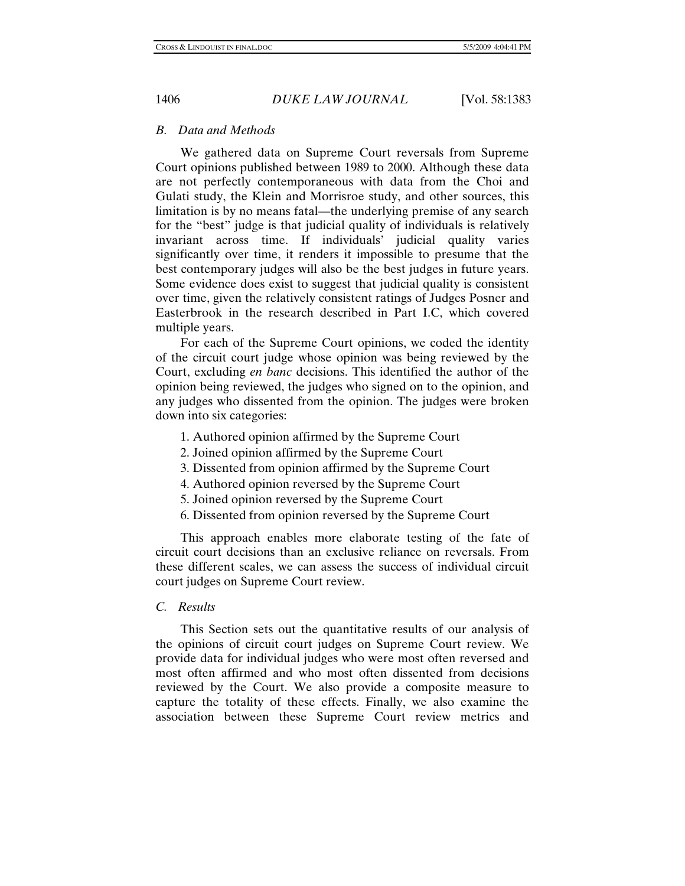# *B. Data and Methods*

We gathered data on Supreme Court reversals from Supreme Court opinions published between 1989 to 2000. Although these data are not perfectly contemporaneous with data from the Choi and Gulati study, the Klein and Morrisroe study, and other sources, this limitation is by no means fatal—the underlying premise of any search for the "best" judge is that judicial quality of individuals is relatively invariant across time. If individuals' judicial quality varies significantly over time, it renders it impossible to presume that the best contemporary judges will also be the best judges in future years. Some evidence does exist to suggest that judicial quality is consistent over time, given the relatively consistent ratings of Judges Posner and Easterbrook in the research described in Part I.C, which covered multiple years.

For each of the Supreme Court opinions, we coded the identity of the circuit court judge whose opinion was being reviewed by the Court, excluding *en banc* decisions. This identified the author of the opinion being reviewed, the judges who signed on to the opinion, and any judges who dissented from the opinion. The judges were broken down into six categories:

- 1. Authored opinion affirmed by the Supreme Court
- 2. Joined opinion affirmed by the Supreme Court
- 3. Dissented from opinion affirmed by the Supreme Court
- 4. Authored opinion reversed by the Supreme Court
- 5. Joined opinion reversed by the Supreme Court
- 6. Dissented from opinion reversed by the Supreme Court

This approach enables more elaborate testing of the fate of circuit court decisions than an exclusive reliance on reversals. From these different scales, we can assess the success of individual circuit court judges on Supreme Court review.

# *C. Results*

This Section sets out the quantitative results of our analysis of the opinions of circuit court judges on Supreme Court review. We provide data for individual judges who were most often reversed and most often affirmed and who most often dissented from decisions reviewed by the Court. We also provide a composite measure to capture the totality of these effects. Finally, we also examine the association between these Supreme Court review metrics and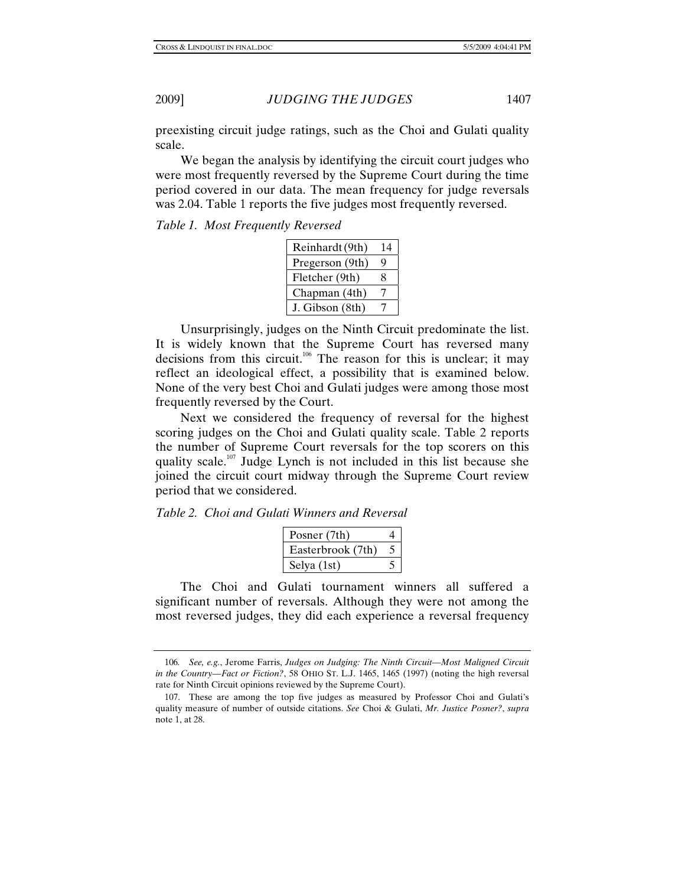preexisting circuit judge ratings, such as the Choi and Gulati quality scale.

We began the analysis by identifying the circuit court judges who were most frequently reversed by the Supreme Court during the time period covered in our data. The mean frequency for judge reversals was 2.04. Table 1 reports the five judges most frequently reversed.

## *Table 1. Most Frequently Reversed*

| Reinhardt (9th) | 14 |
|-----------------|----|
| Pregerson (9th) | q  |
| Fletcher (9th)  | 8  |
| Chapman (4th)   |    |
| J. Gibson (8th) |    |

Unsurprisingly, judges on the Ninth Circuit predominate the list. It is widely known that the Supreme Court has reversed many decisions from this circuit.<sup>106</sup> The reason for this is unclear; it may reflect an ideological effect, a possibility that is examined below. None of the very best Choi and Gulati judges were among those most frequently reversed by the Court.

Next we considered the frequency of reversal for the highest scoring judges on the Choi and Gulati quality scale. Table 2 reports the number of Supreme Court reversals for the top scorers on this quality scale.<sup>107</sup> Judge Lynch is not included in this list because she joined the circuit court midway through the Supreme Court review period that we considered.

*Table 2. Choi and Gulati Winners and Reversal* 

| Posner (7th)      |  |
|-------------------|--|
| Easterbrook (7th) |  |
| Selva (1st)       |  |

The Choi and Gulati tournament winners all suffered a significant number of reversals. Although they were not among the most reversed judges, they did each experience a reversal frequency

<sup>106</sup>*. See, e.g.*, Jerome Farris, *Judges on Judging: The Ninth Circuit—Most Maligned Circuit in the Country—Fact or Fiction?*, 58 OHIO ST. L.J. 1465, 1465 (1997) (noting the high reversal rate for Ninth Circuit opinions reviewed by the Supreme Court).

 <sup>107.</sup> These are among the top five judges as measured by Professor Choi and Gulati's quality measure of number of outside citations. *See* Choi & Gulati, *Mr. Justice Posner?*, *supra* note 1, at 28.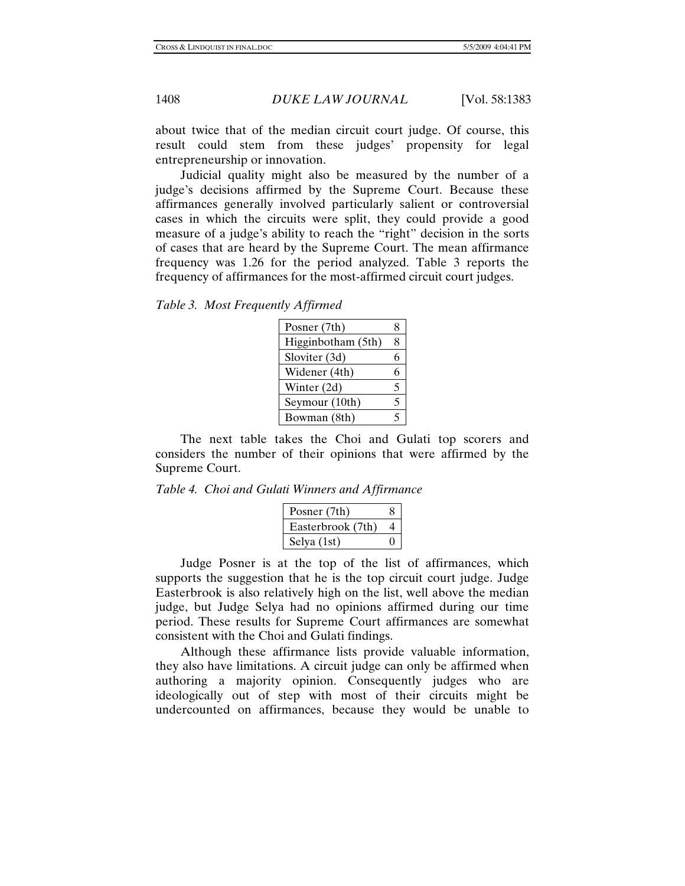about twice that of the median circuit court judge. Of course, this result could stem from these judges' propensity for legal entrepreneurship or innovation.

Judicial quality might also be measured by the number of a judge's decisions affirmed by the Supreme Court. Because these affirmances generally involved particularly salient or controversial cases in which the circuits were split, they could provide a good measure of a judge's ability to reach the "right" decision in the sorts of cases that are heard by the Supreme Court. The mean affirmance frequency was 1.26 for the period analyzed. Table 3 reports the frequency of affirmances for the most-affirmed circuit court judges.

*Table 3. Most Frequently Affirmed* 

| Posner (7th)       | 8 |
|--------------------|---|
| Higginbotham (5th) | 8 |
| Sloviter (3d)      | 6 |
| Widener (4th)      | 6 |
| Winter (2d)        | 5 |
| Seymour (10th)     | 5 |
| Bowman (8th)       | 5 |

The next table takes the Choi and Gulati top scorers and considers the number of their opinions that were affirmed by the Supreme Court.

*Table 4. Choi and Gulati Winners and Affirmance* 

| Posner (7th)      |  |
|-------------------|--|
| Easterbrook (7th) |  |
| Selya (1st)       |  |

Judge Posner is at the top of the list of affirmances, which supports the suggestion that he is the top circuit court judge. Judge Easterbrook is also relatively high on the list, well above the median judge, but Judge Selya had no opinions affirmed during our time period. These results for Supreme Court affirmances are somewhat consistent with the Choi and Gulati findings.

Although these affirmance lists provide valuable information, they also have limitations. A circuit judge can only be affirmed when authoring a majority opinion. Consequently judges who are ideologically out of step with most of their circuits might be undercounted on affirmances, because they would be unable to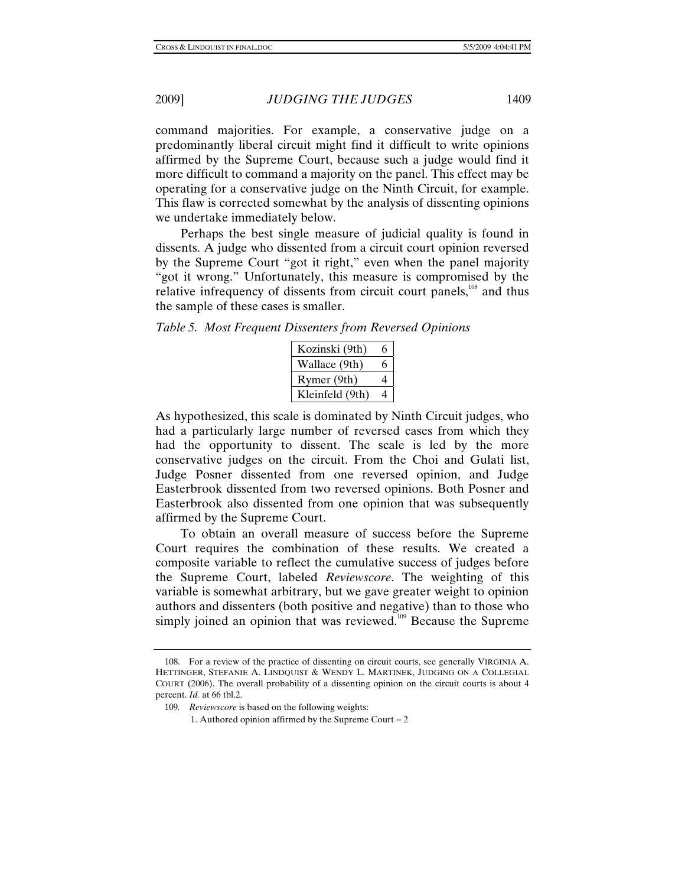command majorities. For example, a conservative judge on a predominantly liberal circuit might find it difficult to write opinions affirmed by the Supreme Court, because such a judge would find it more difficult to command a majority on the panel. This effect may be operating for a conservative judge on the Ninth Circuit, for example. This flaw is corrected somewhat by the analysis of dissenting opinions we undertake immediately below.

Perhaps the best single measure of judicial quality is found in dissents. A judge who dissented from a circuit court opinion reversed by the Supreme Court "got it right," even when the panel majority "got it wrong." Unfortunately, this measure is compromised by the relative infrequency of dissents from circuit court panels,<sup>108</sup> and thus the sample of these cases is smaller.

*Table 5. Most Frequent Dissenters from Reversed Opinions* 

| Kozinski (9th)  | 6        |
|-----------------|----------|
| Wallace (9th)   | 6        |
| Rymer (9th)     | $\Delta$ |
| Kleinfeld (9th) |          |

As hypothesized, this scale is dominated by Ninth Circuit judges, who had a particularly large number of reversed cases from which they had the opportunity to dissent. The scale is led by the more conservative judges on the circuit. From the Choi and Gulati list, Judge Posner dissented from one reversed opinion, and Judge Easterbrook dissented from two reversed opinions. Both Posner and Easterbrook also dissented from one opinion that was subsequently affirmed by the Supreme Court.

To obtain an overall measure of success before the Supreme Court requires the combination of these results. We created a composite variable to reflect the cumulative success of judges before the Supreme Court, labeled *Reviewscore*. The weighting of this variable is somewhat arbitrary, but we gave greater weight to opinion authors and dissenters (both positive and negative) than to those who simply joined an opinion that was reviewed.<sup>109</sup> Because the Supreme

 <sup>108.</sup> For a review of the practice of dissenting on circuit courts, see generally VIRGINIA A. HETTINGER, STEFANIE A. LINDQUIST & WENDY L. MARTINEK, JUDGING ON A COLLEGIAL COURT (2006). The overall probability of a dissenting opinion on the circuit courts is about 4 percent. *Id.* at 66 tbl.2.

<sup>109</sup>*. Reviewscore* is based on the following weights:

<sup>1.</sup> Authored opinion affirmed by the Supreme Court  $= 2$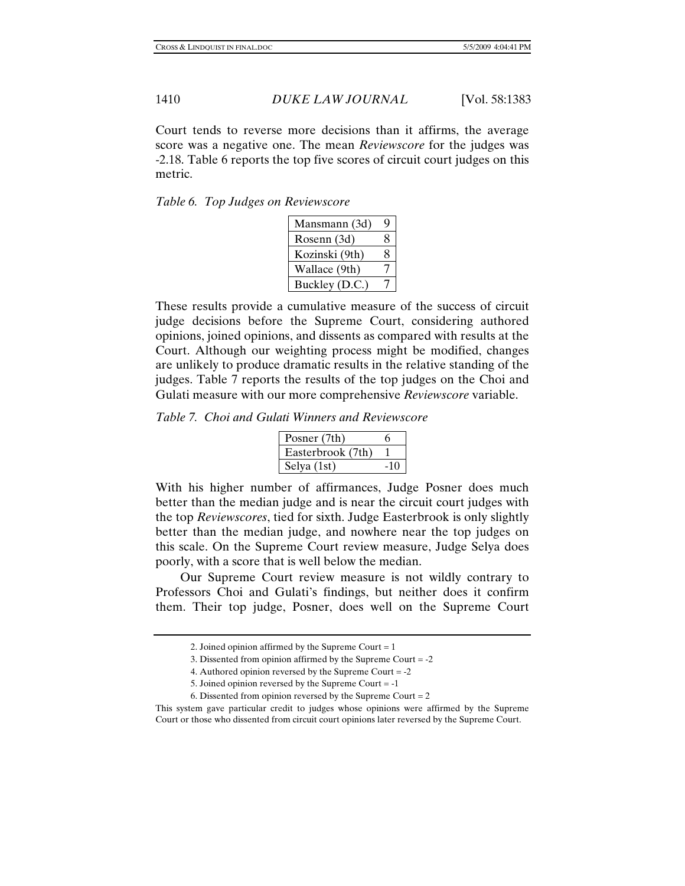Court tends to reverse more decisions than it affirms, the average score was a negative one. The mean *Reviewscore* for the judges was -2.18. Table 6 reports the top five scores of circuit court judges on this metric.

*Table 6. Top Judges on Reviewscore* 

| Mansmann (3d)  | Q |
|----------------|---|
| Rosenn (3d)    | 8 |
| Kozinski (9th) | 8 |
| Wallace (9th)  |   |
| Buckley (D.C.) |   |

These results provide a cumulative measure of the success of circuit judge decisions before the Supreme Court, considering authored opinions, joined opinions, and dissents as compared with results at the Court. Although our weighting process might be modified, changes are unlikely to produce dramatic results in the relative standing of the judges. Table 7 reports the results of the top judges on the Choi and Gulati measure with our more comprehensive *Reviewscore* variable.

*Table 7. Choi and Gulati Winners and Reviewscore* 

| Posner (7th)      |       |
|-------------------|-------|
| Easterbrook (7th) |       |
| Selya (1st)       | $-10$ |

With his higher number of affirmances, Judge Posner does much better than the median judge and is near the circuit court judges with the top *Reviewscores*, tied for sixth. Judge Easterbrook is only slightly better than the median judge, and nowhere near the top judges on this scale. On the Supreme Court review measure, Judge Selya does poorly, with a score that is well below the median.

 Our Supreme Court review measure is not wildly contrary to Professors Choi and Gulati's findings, but neither does it confirm them. Their top judge, Posner, does well on the Supreme Court

<sup>2.</sup> Joined opinion affirmed by the Supreme Court  $= 1$ 

<sup>3.</sup> Dissented from opinion affirmed by the Supreme Court = -2

<sup>4.</sup> Authored opinion reversed by the Supreme Court = -2

<sup>5.</sup> Joined opinion reversed by the Supreme Court = -1

<sup>6.</sup> Dissented from opinion reversed by the Supreme Court  $= 2$ 

This system gave particular credit to judges whose opinions were affirmed by the Supreme Court or those who dissented from circuit court opinions later reversed by the Supreme Court.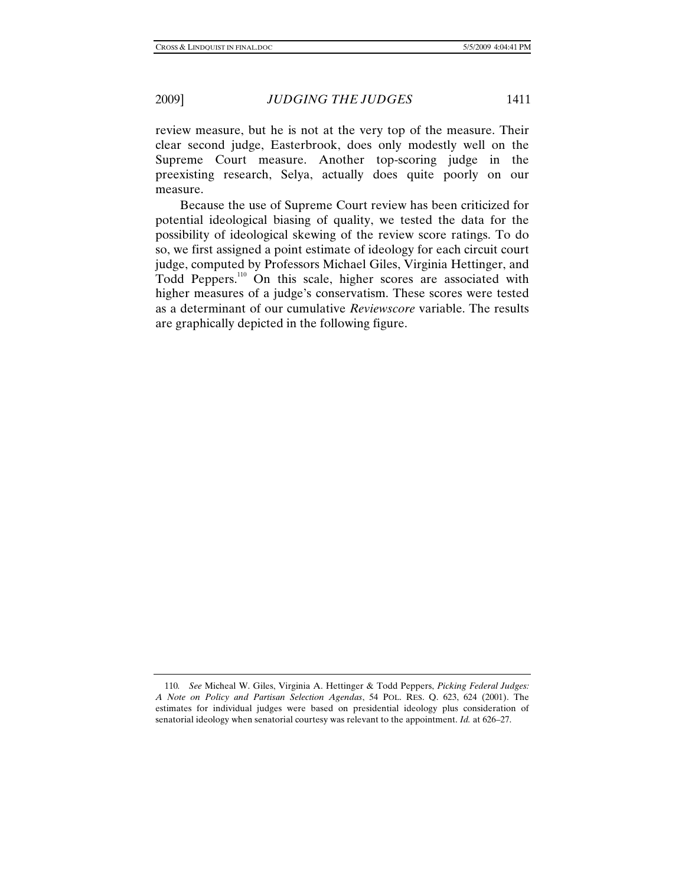measure.

review measure, but he is not at the very top of the measure. Their clear second judge, Easterbrook, does only modestly well on the Supreme Court measure. Another top-scoring judge in the preexisting research, Selya, actually does quite poorly on our

 Because the use of Supreme Court review has been criticized for potential ideological biasing of quality, we tested the data for the possibility of ideological skewing of the review score ratings. To do so, we first assigned a point estimate of ideology for each circuit court judge, computed by Professors Michael Giles, Virginia Hettinger, and Todd Peppers.<sup>110</sup> On this scale, higher scores are associated with higher measures of a judge's conservatism. These scores were tested as a determinant of our cumulative *Reviewscore* variable. The results are graphically depicted in the following figure.

<sup>110</sup>*. See* Micheal W. Giles, Virginia A. Hettinger & Todd Peppers, *Picking Federal Judges: A Note on Policy and Partisan Selection Agendas*, 54 POL. RES. Q. 623, 624 (2001). The estimates for individual judges were based on presidential ideology plus consideration of senatorial ideology when senatorial courtesy was relevant to the appointment. *Id.* at 626–27.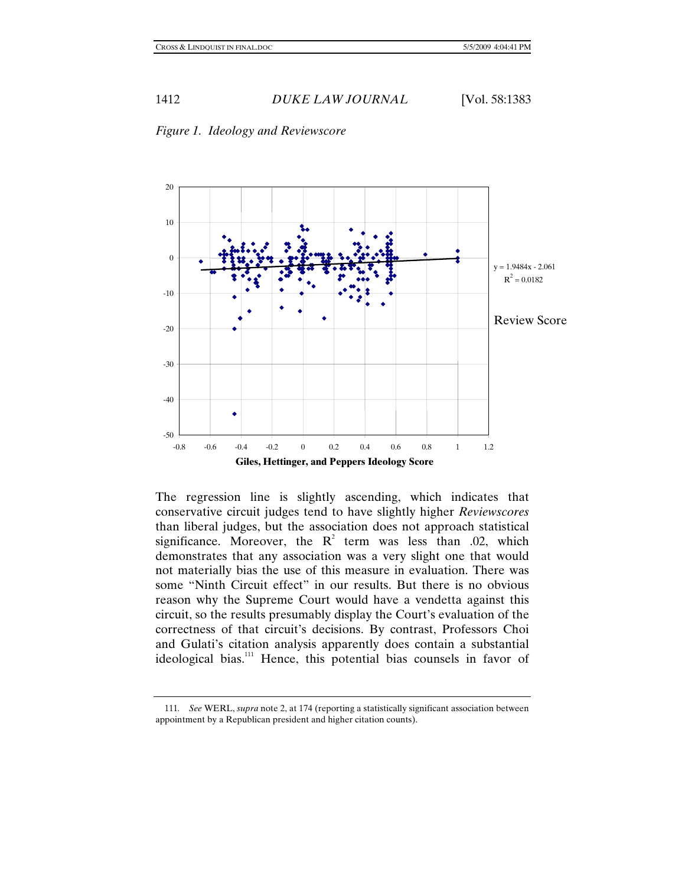



The regression line is slightly ascending, which indicates that conservative circuit judges tend to have slightly higher *Reviewscores* than liberal judges, but the association does not approach statistical significance. Moreover, the  $R^2$  term was less than .02, which demonstrates that any association was a very slight one that would not materially bias the use of this measure in evaluation. There was some "Ninth Circuit effect" in our results. But there is no obvious reason why the Supreme Court would have a vendetta against this circuit, so the results presumably display the Court's evaluation of the correctness of that circuit's decisions. By contrast, Professors Choi and Gulati's citation analysis apparently does contain a substantial ideological bias.<sup>111</sup> Hence, this potential bias counsels in favor of

<sup>111</sup>*. See* WERL, *supra* note 2, at 174 (reporting a statistically significant association between appointment by a Republican president and higher citation counts).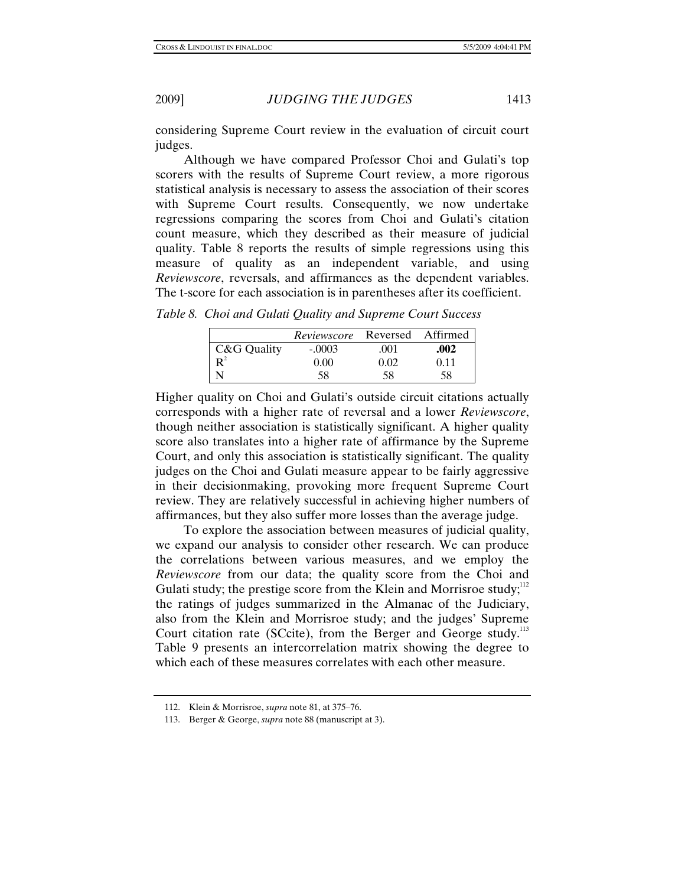considering Supreme Court review in the evaluation of circuit court judges.

 Although we have compared Professor Choi and Gulati's top scorers with the results of Supreme Court review, a more rigorous statistical analysis is necessary to assess the association of their scores with Supreme Court results. Consequently, we now undertake regressions comparing the scores from Choi and Gulati's citation count measure, which they described as their measure of judicial quality. Table 8 reports the results of simple regressions using this measure of quality as an independent variable, and using *Reviewscore*, reversals, and affirmances as the dependent variables. The t-score for each association is in parentheses after its coefficient.

*Table 8. Choi and Gulati Quality and Supreme Court Success* 

|             | <i>Reviewscore</i> Reversed Affirmed |      |      |
|-------------|--------------------------------------|------|------|
| C&G Quality | $-.0003$                             | .001 | .002 |
| $R^2$       | 0.00                                 | 0.02 | 0.11 |
|             | 58                                   | 58   | 58   |

Higher quality on Choi and Gulati's outside circuit citations actually corresponds with a higher rate of reversal and a lower *Reviewscore*, though neither association is statistically significant. A higher quality score also translates into a higher rate of affirmance by the Supreme Court, and only this association is statistically significant. The quality judges on the Choi and Gulati measure appear to be fairly aggressive in their decisionmaking, provoking more frequent Supreme Court review. They are relatively successful in achieving higher numbers of affirmances, but they also suffer more losses than the average judge.

 To explore the association between measures of judicial quality, we expand our analysis to consider other research. We can produce the correlations between various measures, and we employ the *Reviewscore* from our data; the quality score from the Choi and Gulati study; the prestige score from the Klein and Morrisroe study; $^{112}$ the ratings of judges summarized in the Almanac of the Judiciary, also from the Klein and Morrisroe study; and the judges' Supreme Court citation rate (SCcite), from the Berger and George study.<sup>113</sup> Table 9 presents an intercorrelation matrix showing the degree to which each of these measures correlates with each other measure.

 <sup>112.</sup> Klein & Morrisroe, *supra* note 81, at 375–76.

 <sup>113.</sup> Berger & George, *supra* note 88 (manuscript at 3).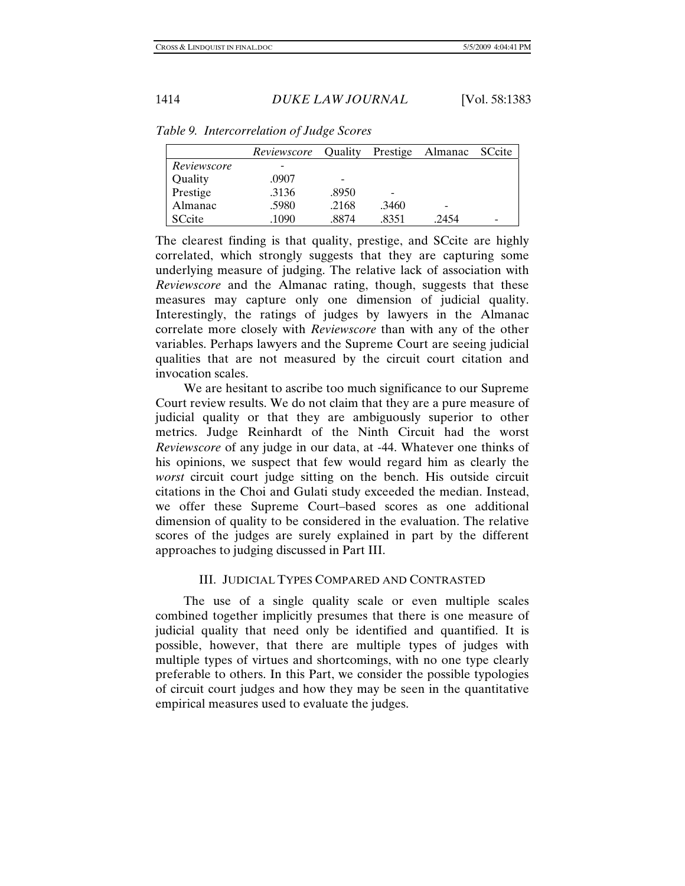|             | Reviewscore | <b>Ouality</b> |                          | Prestige Almanac SCcite  |  |
|-------------|-------------|----------------|--------------------------|--------------------------|--|
| Reviewscore |             |                |                          |                          |  |
| Quality     | .0907       |                |                          |                          |  |
| Prestige    | .3136       | .8950          | $\overline{\phantom{0}}$ |                          |  |
| Almanac     | .5980       | .2168          | .3460                    | $\overline{\phantom{0}}$ |  |
| SCcite      | .1090       | .8874          | .8351                    | .2454                    |  |

*Table 9. Intercorrelation of Judge Scores* 

The clearest finding is that quality, prestige, and SCcite are highly correlated, which strongly suggests that they are capturing some underlying measure of judging. The relative lack of association with *Reviewscore* and the Almanac rating, though, suggests that these measures may capture only one dimension of judicial quality. Interestingly, the ratings of judges by lawyers in the Almanac correlate more closely with *Reviewscore* than with any of the other variables. Perhaps lawyers and the Supreme Court are seeing judicial qualities that are not measured by the circuit court citation and invocation scales.

 We are hesitant to ascribe too much significance to our Supreme Court review results. We do not claim that they are a pure measure of judicial quality or that they are ambiguously superior to other metrics. Judge Reinhardt of the Ninth Circuit had the worst *Reviewscore* of any judge in our data, at -44. Whatever one thinks of his opinions, we suspect that few would regard him as clearly the *worst* circuit court judge sitting on the bench. His outside circuit citations in the Choi and Gulati study exceeded the median. Instead, we offer these Supreme Court–based scores as one additional dimension of quality to be considered in the evaluation. The relative scores of the judges are surely explained in part by the different approaches to judging discussed in Part III.

## III. JUDICIAL TYPES COMPARED AND CONTRASTED

 The use of a single quality scale or even multiple scales combined together implicitly presumes that there is one measure of judicial quality that need only be identified and quantified. It is possible, however, that there are multiple types of judges with multiple types of virtues and shortcomings, with no one type clearly preferable to others. In this Part, we consider the possible typologies of circuit court judges and how they may be seen in the quantitative empirical measures used to evaluate the judges.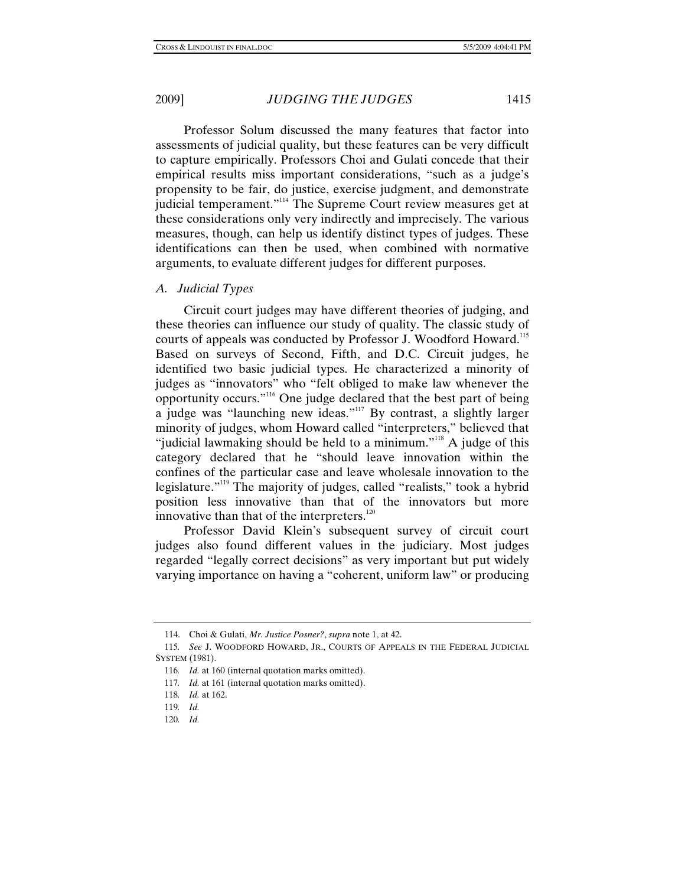Professor Solum discussed the many features that factor into assessments of judicial quality, but these features can be very difficult to capture empirically. Professors Choi and Gulati concede that their empirical results miss important considerations, "such as a judge's propensity to be fair, do justice, exercise judgment, and demonstrate judicial temperament."<sup>114</sup> The Supreme Court review measures get at these considerations only very indirectly and imprecisely. The various measures, though, can help us identify distinct types of judges. These identifications can then be used, when combined with normative arguments, to evaluate different judges for different purposes.

## *A. Judicial Types*

 Circuit court judges may have different theories of judging, and these theories can influence our study of quality. The classic study of courts of appeals was conducted by Professor J. Woodford Howard.<sup>115</sup> Based on surveys of Second, Fifth, and D.C. Circuit judges, he identified two basic judicial types. He characterized a minority of judges as "innovators" who "felt obliged to make law whenever the opportunity occurs."116 One judge declared that the best part of being a judge was "launching new ideas."117 By contrast, a slightly larger minority of judges, whom Howard called "interpreters," believed that "judicial lawmaking should be held to a minimum."<sup>118</sup> A judge of this category declared that he "should leave innovation within the confines of the particular case and leave wholesale innovation to the legislature."<sup>119</sup> The majority of judges, called "realists," took a hybrid position less innovative than that of the innovators but more innovative than that of the interpreters.<sup>120</sup>

 Professor David Klein's subsequent survey of circuit court judges also found different values in the judiciary. Most judges regarded "legally correct decisions" as very important but put widely varying importance on having a "coherent, uniform law" or producing

120*. Id.*

 <sup>114.</sup> Choi & Gulati, *Mr. Justice Posner?*, *supra* note 1, at 42.

<sup>115</sup>*. See* J. WOODFORD HOWARD, JR., COURTS OF APPEALS IN THE FEDERAL JUDICIAL SYSTEM (1981).

<sup>116</sup>*. Id.* at 160 (internal quotation marks omitted).

<sup>117</sup>*. Id.* at 161 (internal quotation marks omitted).

<sup>118</sup>*. Id.* at 162.

<sup>119</sup>*. Id.*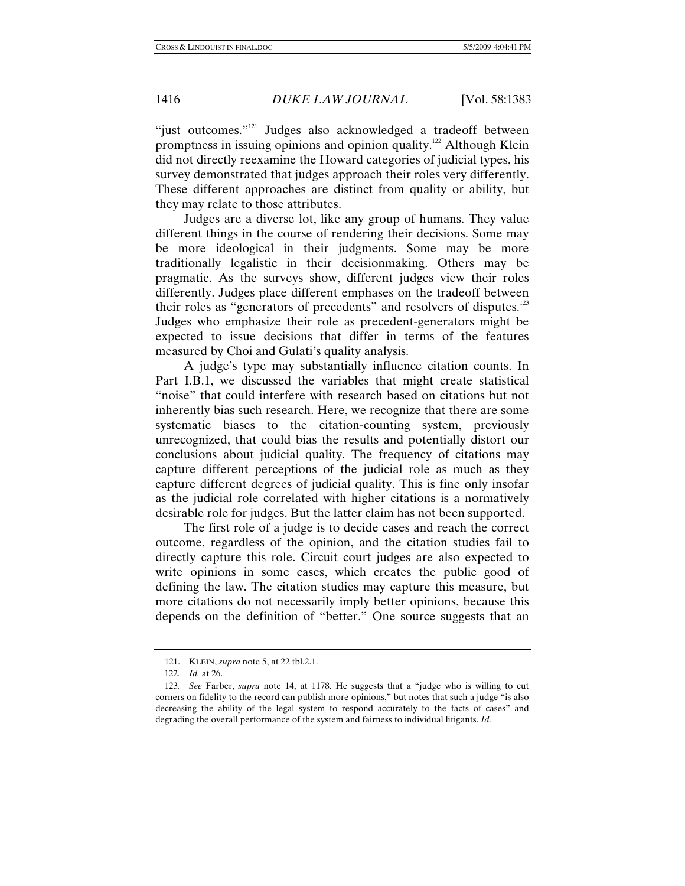"just outcomes."<sup>121</sup> Judges also acknowledged a tradeoff between promptness in issuing opinions and opinion quality.<sup>122</sup> Although Klein did not directly reexamine the Howard categories of judicial types, his survey demonstrated that judges approach their roles very differently. These different approaches are distinct from quality or ability, but they may relate to those attributes.

 Judges are a diverse lot, like any group of humans. They value different things in the course of rendering their decisions. Some may be more ideological in their judgments. Some may be more traditionally legalistic in their decisionmaking. Others may be pragmatic. As the surveys show, different judges view their roles differently. Judges place different emphases on the tradeoff between their roles as "generators of precedents" and resolvers of disputes. $123$ Judges who emphasize their role as precedent-generators might be expected to issue decisions that differ in terms of the features measured by Choi and Gulati's quality analysis.

 A judge's type may substantially influence citation counts. In Part I.B.1, we discussed the variables that might create statistical "noise" that could interfere with research based on citations but not inherently bias such research. Here, we recognize that there are some systematic biases to the citation-counting system, previously unrecognized, that could bias the results and potentially distort our conclusions about judicial quality. The frequency of citations may capture different perceptions of the judicial role as much as they capture different degrees of judicial quality. This is fine only insofar as the judicial role correlated with higher citations is a normatively desirable role for judges. But the latter claim has not been supported.

 The first role of a judge is to decide cases and reach the correct outcome, regardless of the opinion, and the citation studies fail to directly capture this role. Circuit court judges are also expected to write opinions in some cases, which creates the public good of defining the law. The citation studies may capture this measure, but more citations do not necessarily imply better opinions, because this depends on the definition of "better." One source suggests that an

 <sup>121.</sup> KLEIN, *supra* note 5, at 22 tbl.2.1.

<sup>122</sup>*. Id.* at 26.

<sup>123</sup>*. See* Farber, *supra* note 14, at 1178. He suggests that a "judge who is willing to cut corners on fidelity to the record can publish more opinions," but notes that such a judge "is also decreasing the ability of the legal system to respond accurately to the facts of cases" and degrading the overall performance of the system and fairness to individual litigants. *Id.*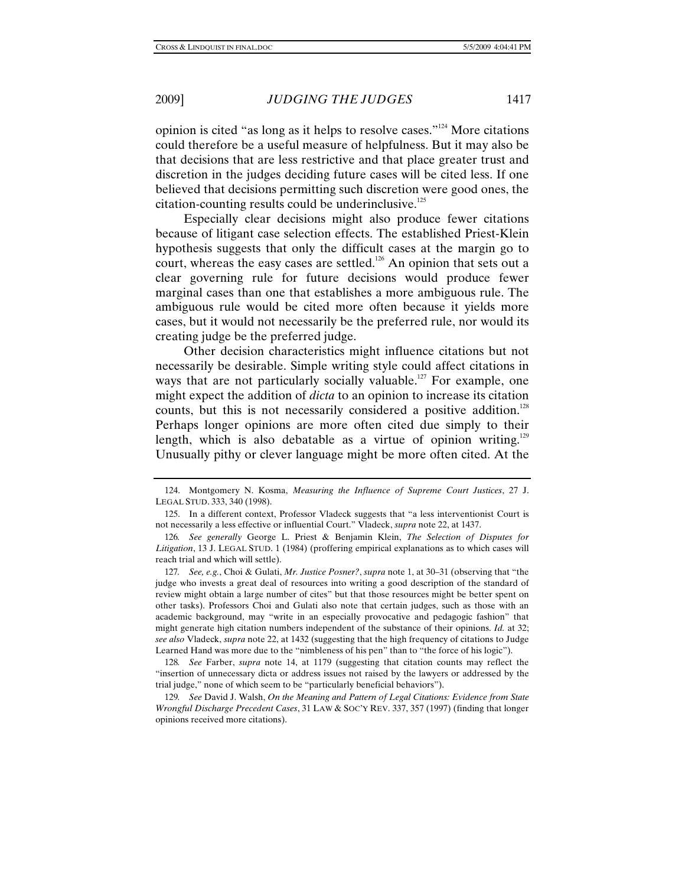opinion is cited "as long as it helps to resolve cases."124 More citations could therefore be a useful measure of helpfulness. But it may also be that decisions that are less restrictive and that place greater trust and discretion in the judges deciding future cases will be cited less. If one believed that decisions permitting such discretion were good ones, the citation-counting results could be underinclusive.<sup>125</sup>

 Especially clear decisions might also produce fewer citations because of litigant case selection effects. The established Priest-Klein hypothesis suggests that only the difficult cases at the margin go to court, whereas the easy cases are settled.<sup>126</sup> An opinion that sets out a clear governing rule for future decisions would produce fewer marginal cases than one that establishes a more ambiguous rule. The ambiguous rule would be cited more often because it yields more cases, but it would not necessarily be the preferred rule, nor would its creating judge be the preferred judge.

 Other decision characteristics might influence citations but not necessarily be desirable. Simple writing style could affect citations in ways that are not particularly socially valuable.<sup>127</sup> For example, one might expect the addition of *dicta* to an opinion to increase its citation counts, but this is not necessarily considered a positive addition.<sup>128</sup> Perhaps longer opinions are more often cited due simply to their length, which is also debatable as a virtue of opinion writing.<sup>129</sup> Unusually pithy or clever language might be more often cited. At the

 <sup>124.</sup> Montgomery N. Kosma, *Measuring the Influence of Supreme Court Justices*, 27 J. LEGAL STUD. 333, 340 (1998).

 <sup>125.</sup> In a different context, Professor Vladeck suggests that "a less interventionist Court is not necessarily a less effective or influential Court." Vladeck, *supra* note 22, at 1437.

<sup>126</sup>*. See generally* George L. Priest & Benjamin Klein, *The Selection of Disputes for Litigation*, 13 J. LEGAL STUD. 1 (1984) (proffering empirical explanations as to which cases will reach trial and which will settle).

<sup>127</sup>*. See, e.g.*, Choi & Gulati, *Mr. Justice Posner?*, *supra* note 1, at 30–31 (observing that "the judge who invests a great deal of resources into writing a good description of the standard of review might obtain a large number of cites" but that those resources might be better spent on other tasks). Professors Choi and Gulati also note that certain judges, such as those with an academic background, may "write in an especially provocative and pedagogic fashion" that might generate high citation numbers independent of the substance of their opinions. *Id.* at 32; *see also* Vladeck, *supra* note 22, at 1432 (suggesting that the high frequency of citations to Judge Learned Hand was more due to the "nimbleness of his pen" than to "the force of his logic").

<sup>128</sup>*. See* Farber, *supra* note 14, at 1179 (suggesting that citation counts may reflect the "insertion of unnecessary dicta or address issues not raised by the lawyers or addressed by the trial judge," none of which seem to be "particularly beneficial behaviors").

<sup>129</sup>*. See* David J. Walsh, *On the Meaning and Pattern of Legal Citations: Evidence from State Wrongful Discharge Precedent Cases*, 31 LAW & SOC'Y REV. 337, 357 (1997) (finding that longer opinions received more citations).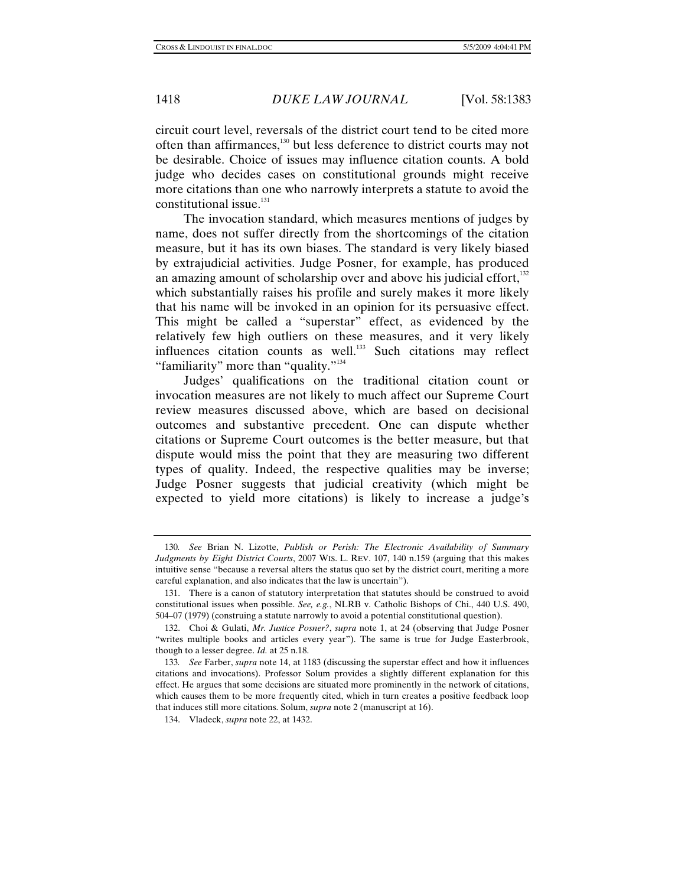circuit court level, reversals of the district court tend to be cited more often than affirmances,130 but less deference to district courts may not be desirable. Choice of issues may influence citation counts. A bold judge who decides cases on constitutional grounds might receive more citations than one who narrowly interprets a statute to avoid the constitutional issue.<sup>131</sup>

 The invocation standard, which measures mentions of judges by name, does not suffer directly from the shortcomings of the citation measure, but it has its own biases. The standard is very likely biased by extrajudicial activities. Judge Posner, for example, has produced an amazing amount of scholarship over and above his judicial effort, $132$ which substantially raises his profile and surely makes it more likely that his name will be invoked in an opinion for its persuasive effect. This might be called a "superstar" effect, as evidenced by the relatively few high outliers on these measures, and it very likely influences citation counts as well.<sup>133</sup> Such citations may reflect "familiarity" more than "quality."<sup>134</sup>

 Judges' qualifications on the traditional citation count or invocation measures are not likely to much affect our Supreme Court review measures discussed above, which are based on decisional outcomes and substantive precedent. One can dispute whether citations or Supreme Court outcomes is the better measure, but that dispute would miss the point that they are measuring two different types of quality. Indeed, the respective qualities may be inverse; Judge Posner suggests that judicial creativity (which might be expected to yield more citations) is likely to increase a judge's

<sup>130</sup>*. See* Brian N. Lizotte, *Publish or Perish: The Electronic Availability of Summary Judgments by Eight District Courts*, 2007 WIS. L. REV. 107, 140 n.159 (arguing that this makes intuitive sense "because a reversal alters the status quo set by the district court, meriting a more careful explanation, and also indicates that the law is uncertain").

 <sup>131.</sup> There is a canon of statutory interpretation that statutes should be construed to avoid constitutional issues when possible. *See, e.g.*, NLRB v. Catholic Bishops of Chi., 440 U.S. 490, 504–07 (1979) (construing a statute narrowly to avoid a potential constitutional question).

 <sup>132.</sup> Choi & Gulati, *Mr. Justice Posner?*, *supra* note 1, at 24 (observing that Judge Posner "writes multiple books and articles every year"). The same is true for Judge Easterbrook, though to a lesser degree. *Id.* at 25 n.18.

<sup>133</sup>*. See* Farber, *supra* note 14, at 1183 (discussing the superstar effect and how it influences citations and invocations). Professor Solum provides a slightly different explanation for this effect. He argues that some decisions are situated more prominently in the network of citations, which causes them to be more frequently cited, which in turn creates a positive feedback loop that induces still more citations. Solum, *supra* note 2 (manuscript at 16).

 <sup>134.</sup> Vladeck, *supra* note 22, at 1432.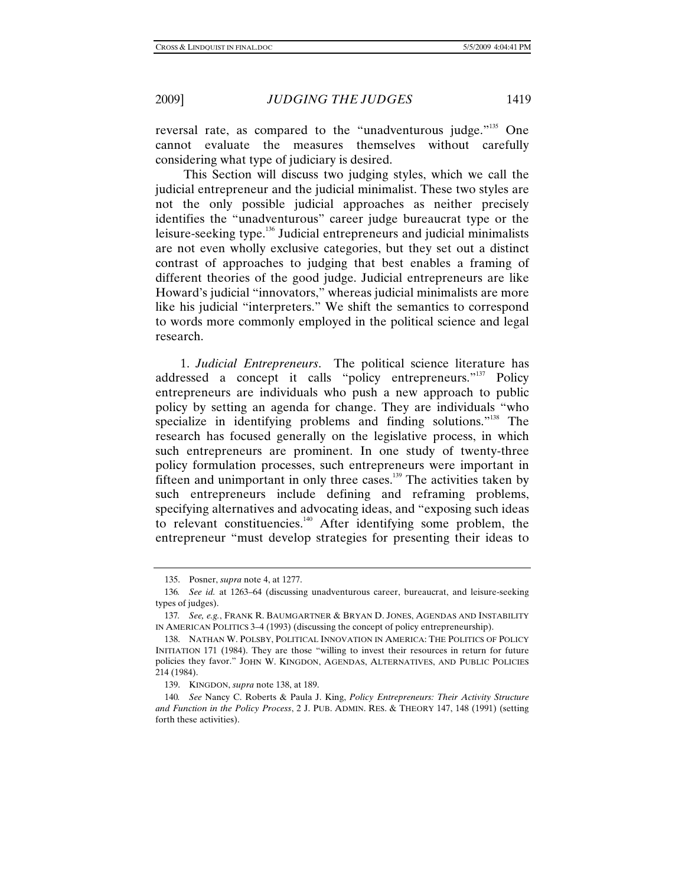reversal rate, as compared to the "unadventurous judge."<sup>135</sup> One cannot evaluate the measures themselves without carefully considering what type of judiciary is desired.

 This Section will discuss two judging styles, which we call the judicial entrepreneur and the judicial minimalist. These two styles are not the only possible judicial approaches as neither precisely identifies the "unadventurous" career judge bureaucrat type or the leisure-seeking type.136 Judicial entrepreneurs and judicial minimalists are not even wholly exclusive categories, but they set out a distinct contrast of approaches to judging that best enables a framing of different theories of the good judge. Judicial entrepreneurs are like Howard's judicial "innovators," whereas judicial minimalists are more like his judicial "interpreters." We shift the semantics to correspond to words more commonly employed in the political science and legal research.

1. *Judicial Entrepreneurs*. The political science literature has addressed a concept it calls "policy entrepreneurs."<sup>137</sup> Policy entrepreneurs are individuals who push a new approach to public policy by setting an agenda for change. They are individuals "who specialize in identifying problems and finding solutions."<sup>138</sup> The research has focused generally on the legislative process, in which such entrepreneurs are prominent. In one study of twenty-three policy formulation processes, such entrepreneurs were important in fifteen and unimportant in only three cases.<sup>139</sup> The activities taken by such entrepreneurs include defining and reframing problems, specifying alternatives and advocating ideas, and "exposing such ideas to relevant constituencies.<sup>140</sup> After identifying some problem, the entrepreneur "must develop strategies for presenting their ideas to

 <sup>135.</sup> Posner, *supra* note 4, at 1277.

<sup>136</sup>*. See id.* at 1263–64 (discussing unadventurous career, bureaucrat, and leisure-seeking types of judges).

<sup>137</sup>*. See, e.g.*, FRANK R. BAUMGARTNER & BRYAN D. JONES, AGENDAS AND INSTABILITY IN AMERICAN POLITICS 3–4 (1993) (discussing the concept of policy entrepreneurship).

 <sup>138.</sup> NATHAN W. POLSBY, POLITICAL INNOVATION IN AMERICA: THE POLITICS OF POLICY INITIATION 171 (1984). They are those "willing to invest their resources in return for future policies they favor." JOHN W. KINGDON, AGENDAS, ALTERNATIVES, AND PUBLIC POLICIES 214 (1984).

 <sup>139.</sup> KINGDON, *supra* note 138, at 189.

<sup>140</sup>*. See* Nancy C. Roberts & Paula J. King, *Policy Entrepreneurs: Their Activity Structure and Function in the Policy Process*, 2 J. PUB. ADMIN. RES. & THEORY 147, 148 (1991) (setting forth these activities).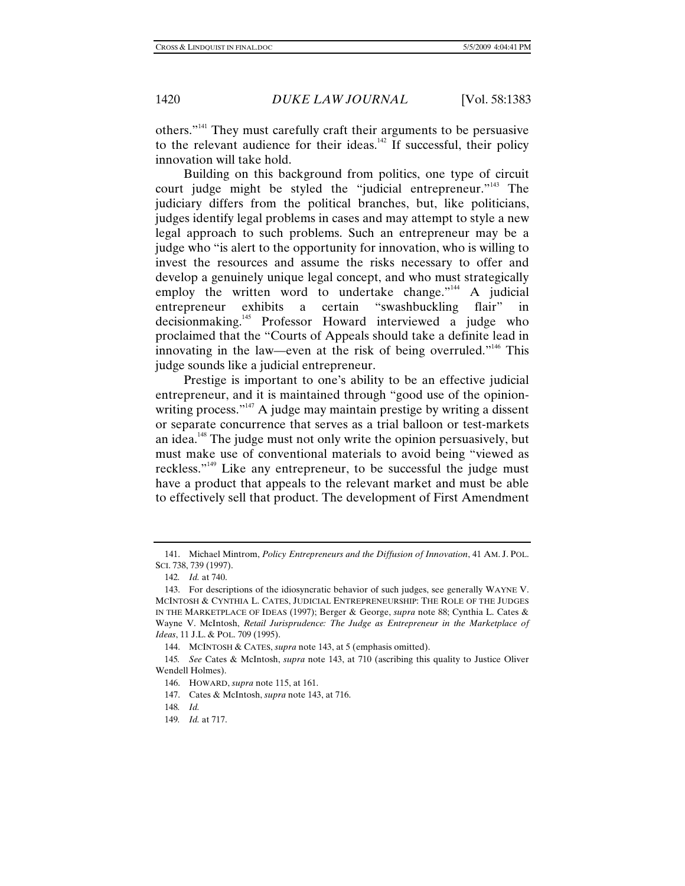others."141 They must carefully craft their arguments to be persuasive to the relevant audience for their ideas.<sup>142</sup> If successful, their policy innovation will take hold.

 Building on this background from politics, one type of circuit court judge might be styled the "judicial entrepreneur."<sup>143</sup> The judiciary differs from the political branches, but, like politicians, judges identify legal problems in cases and may attempt to style a new legal approach to such problems. Such an entrepreneur may be a judge who "is alert to the opportunity for innovation, who is willing to invest the resources and assume the risks necessary to offer and develop a genuinely unique legal concept, and who must strategically employ the written word to undertake change."<sup>144</sup> A judicial entrepreneur exhibits a certain "swashbuckling flair" in decisionmaking.145 Professor Howard interviewed a judge who proclaimed that the "Courts of Appeals should take a definite lead in innovating in the law—even at the risk of being overruled."<sup>146</sup> This judge sounds like a judicial entrepreneur.

 Prestige is important to one's ability to be an effective judicial entrepreneur, and it is maintained through "good use of the opinionwriting process." $147$  A judge may maintain prestige by writing a dissent or separate concurrence that serves as a trial balloon or test-markets an idea.148 The judge must not only write the opinion persuasively, but must make use of conventional materials to avoid being "viewed as reckless."<sup>149</sup> Like any entrepreneur, to be successful the judge must have a product that appeals to the relevant market and must be able to effectively sell that product. The development of First Amendment

 <sup>141.</sup> Michael Mintrom, *Policy Entrepreneurs and the Diffusion of Innovation*, 41 AM. J. POL. SCI. 738, 739 (1997).

<sup>142</sup>*. Id.* at 740.

 <sup>143.</sup> For descriptions of the idiosyncratic behavior of such judges, see generally WAYNE V. MCINTOSH & CYNTHIA L. CATES, JUDICIAL ENTREPRENEURSHIP: THE ROLE OF THE JUDGES IN THE MARKETPLACE OF IDEAS (1997); Berger & George, *supra* note 88; Cynthia L. Cates & Wayne V. McIntosh, *Retail Jurisprudence: The Judge as Entrepreneur in the Marketplace of Ideas*, 11 J.L. & POL. 709 (1995).

 <sup>144.</sup> MCINTOSH & CATES, *supra* note 143, at 5 (emphasis omitted).

<sup>145</sup>*. See* Cates & McIntosh, *supra* note 143, at 710 (ascribing this quality to Justice Oliver Wendell Holmes).

 <sup>146.</sup> HOWARD, *supra* note 115, at 161.

 <sup>147.</sup> Cates & McIntosh, *supra* note 143, at 716.

<sup>148</sup>*. Id.*

<sup>149</sup>*. Id.* at 717.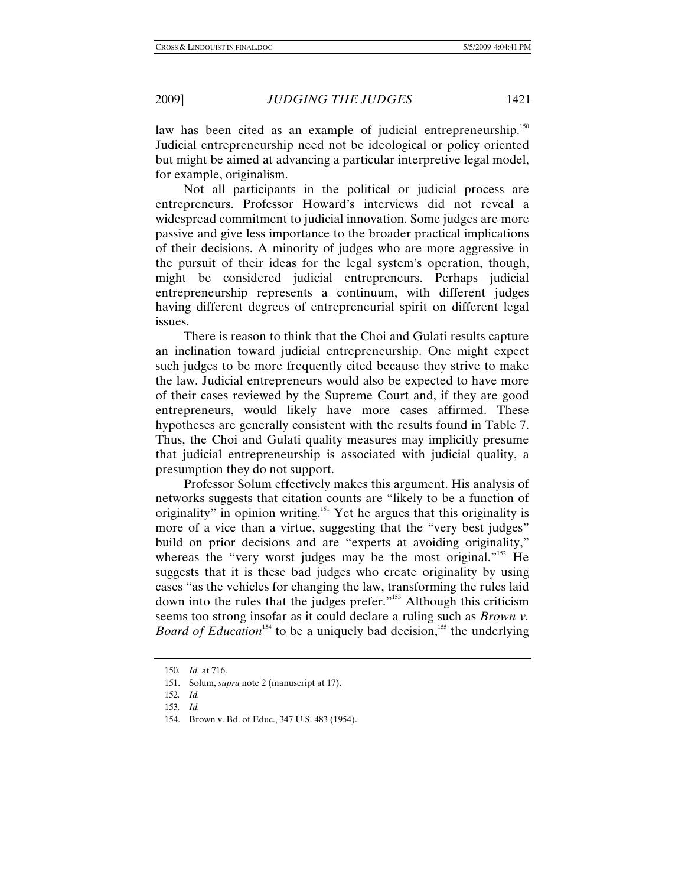law has been cited as an example of judicial entrepreneurship.<sup>150</sup> Judicial entrepreneurship need not be ideological or policy oriented but might be aimed at advancing a particular interpretive legal model, for example, originalism.

 Not all participants in the political or judicial process are entrepreneurs. Professor Howard's interviews did not reveal a widespread commitment to judicial innovation. Some judges are more passive and give less importance to the broader practical implications of their decisions. A minority of judges who are more aggressive in the pursuit of their ideas for the legal system's operation, though, might be considered judicial entrepreneurs. Perhaps judicial entrepreneurship represents a continuum, with different judges having different degrees of entrepreneurial spirit on different legal issues.

 There is reason to think that the Choi and Gulati results capture an inclination toward judicial entrepreneurship. One might expect such judges to be more frequently cited because they strive to make the law. Judicial entrepreneurs would also be expected to have more of their cases reviewed by the Supreme Court and, if they are good entrepreneurs, would likely have more cases affirmed. These hypotheses are generally consistent with the results found in Table 7. Thus, the Choi and Gulati quality measures may implicitly presume that judicial entrepreneurship is associated with judicial quality, a presumption they do not support.

 Professor Solum effectively makes this argument. His analysis of networks suggests that citation counts are "likely to be a function of originality" in opinion writing.<sup>151</sup> Yet he argues that this originality is more of a vice than a virtue, suggesting that the "very best judges" build on prior decisions and are "experts at avoiding originality," whereas the "very worst judges may be the most original."<sup>152</sup> He suggests that it is these bad judges who create originality by using cases "as the vehicles for changing the law, transforming the rules laid down into the rules that the judges prefer."<sup>153</sup> Although this criticism seems too strong insofar as it could declare a ruling such as *Brown v. Board of Education*<sup>154</sup> to be a uniquely bad decision,<sup>155</sup> the underlying

<sup>150</sup>*. Id.* at 716.

 <sup>151.</sup> Solum, *supra* note 2 (manuscript at 17).

<sup>152</sup>*. Id.*

<sup>153</sup>*. Id.*

 <sup>154.</sup> Brown v. Bd. of Educ., 347 U.S. 483 (1954).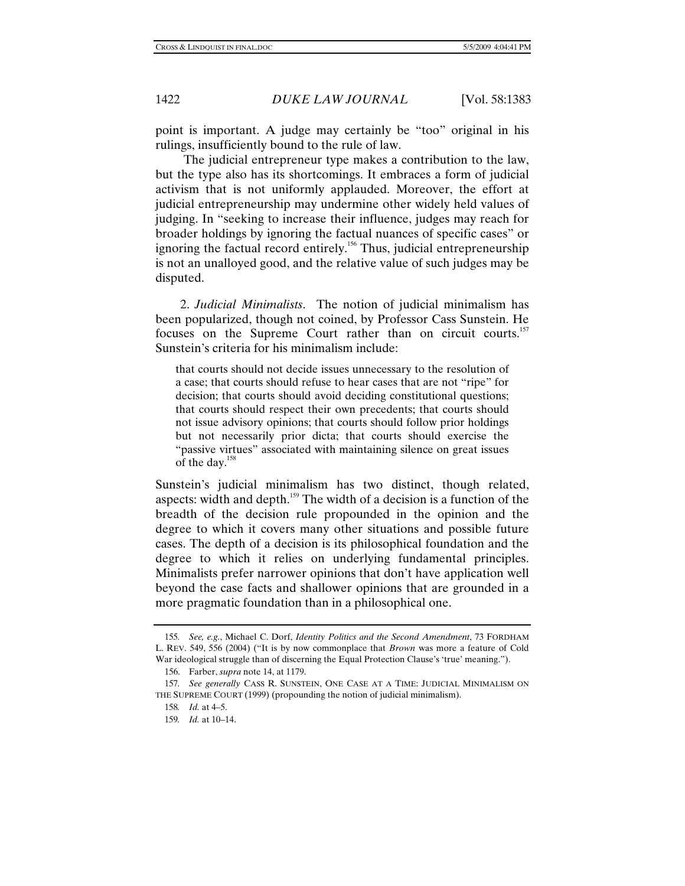point is important. A judge may certainly be "too" original in his rulings, insufficiently bound to the rule of law.

 The judicial entrepreneur type makes a contribution to the law, but the type also has its shortcomings. It embraces a form of judicial activism that is not uniformly applauded. Moreover, the effort at judicial entrepreneurship may undermine other widely held values of judging. In "seeking to increase their influence, judges may reach for broader holdings by ignoring the factual nuances of specific cases" or ignoring the factual record entirely.156 Thus, judicial entrepreneurship is not an unalloyed good, and the relative value of such judges may be disputed.

2. *Judicial Minimalists*. The notion of judicial minimalism has been popularized, though not coined, by Professor Cass Sunstein. He focuses on the Supreme Court rather than on circuit courts.<sup>157</sup> Sunstein's criteria for his minimalism include:

that courts should not decide issues unnecessary to the resolution of a case; that courts should refuse to hear cases that are not "ripe" for decision; that courts should avoid deciding constitutional questions; that courts should respect their own precedents; that courts should not issue advisory opinions; that courts should follow prior holdings but not necessarily prior dicta; that courts should exercise the "passive virtues" associated with maintaining silence on great issues of the day.158

Sunstein's judicial minimalism has two distinct, though related, aspects: width and depth.<sup>159</sup> The width of a decision is a function of the breadth of the decision rule propounded in the opinion and the degree to which it covers many other situations and possible future cases. The depth of a decision is its philosophical foundation and the degree to which it relies on underlying fundamental principles. Minimalists prefer narrower opinions that don't have application well beyond the case facts and shallower opinions that are grounded in a more pragmatic foundation than in a philosophical one.

<sup>155</sup>*. See, e.g.*, Michael C. Dorf, *Identity Politics and the Second Amendment*, 73 FORDHAM L. REV. 549, 556 (2004) ("It is by now commonplace that *Brown* was more a feature of Cold War ideological struggle than of discerning the Equal Protection Clause's 'true' meaning.").

 <sup>156.</sup> Farber, *supra* note 14, at 1179.

<sup>157</sup>*. See generally* CASS R. SUNSTEIN, ONE CASE AT A TIME: JUDICIAL MINIMALISM ON THE SUPREME COURT (1999) (propounding the notion of judicial minimalism).

<sup>158</sup>*. Id.* at 4–5.

<sup>159</sup>*. Id.* at 10–14.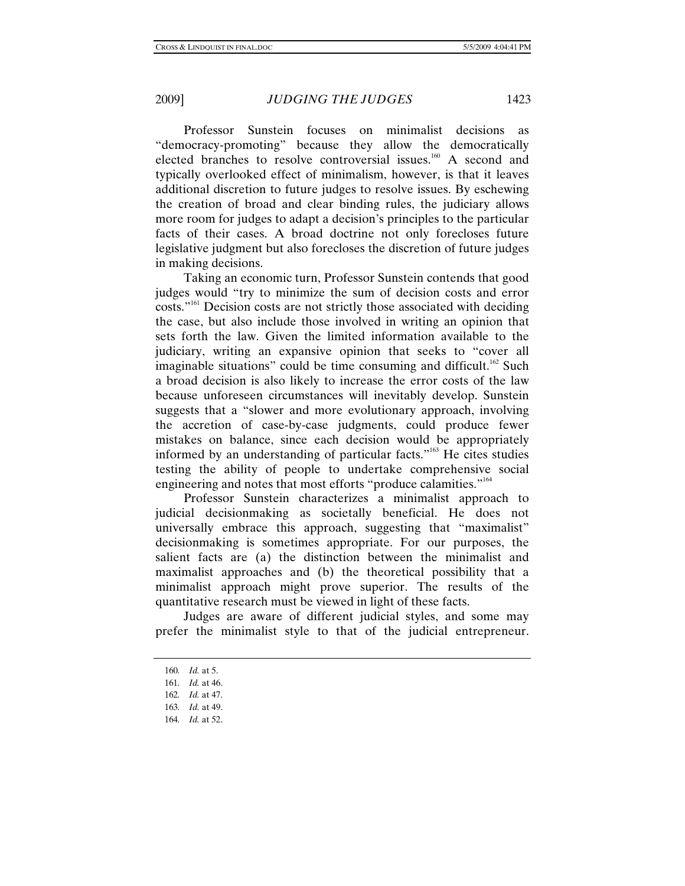Professor Sunstein focuses on minimalist decisions as "democracy-promoting" because they allow the democratically elected branches to resolve controversial issues.<sup>160</sup> A second and typically overlooked effect of minimalism, however, is that it leaves additional discretion to future judges to resolve issues. By eschewing the creation of broad and clear binding rules, the judiciary allows more room for judges to adapt a decision's principles to the particular facts of their cases. A broad doctrine not only forecloses future legislative judgment but also forecloses the discretion of future judges in making decisions.

 Taking an economic turn, Professor Sunstein contends that good judges would "try to minimize the sum of decision costs and error costs."<sup>161</sup> Decision costs are not strictly those associated with deciding the case, but also include those involved in writing an opinion that sets forth the law. Given the limited information available to the judiciary, writing an expansive opinion that seeks to "cover all imaginable situations" could be time consuming and difficult.<sup>162</sup> Such a broad decision is also likely to increase the error costs of the law because unforeseen circumstances will inevitably develop. Sunstein suggests that a "slower and more evolutionary approach, involving the accretion of case-by-case judgments, could produce fewer mistakes on balance, since each decision would be appropriately informed by an understanding of particular facts."163 He cites studies testing the ability of people to undertake comprehensive social engineering and notes that most efforts "produce calamities."<sup>164</sup>

 Professor Sunstein characterizes a minimalist approach to judicial decisionmaking as societally beneficial. He does not universally embrace this approach, suggesting that "maximalist" decisionmaking is sometimes appropriate. For our purposes, the salient facts are (a) the distinction between the minimalist and maximalist approaches and (b) the theoretical possibility that a minimalist approach might prove superior. The results of the quantitative research must be viewed in light of these facts.

 Judges are aware of different judicial styles, and some may prefer the minimalist style to that of the judicial entrepreneur.

164*. Id.* at 52.

<sup>160</sup>*. Id.* at 5.

<sup>161</sup>*. Id.* at 46.

<sup>162</sup>*. Id.* at 47.

<sup>163</sup>*. Id.* at 49.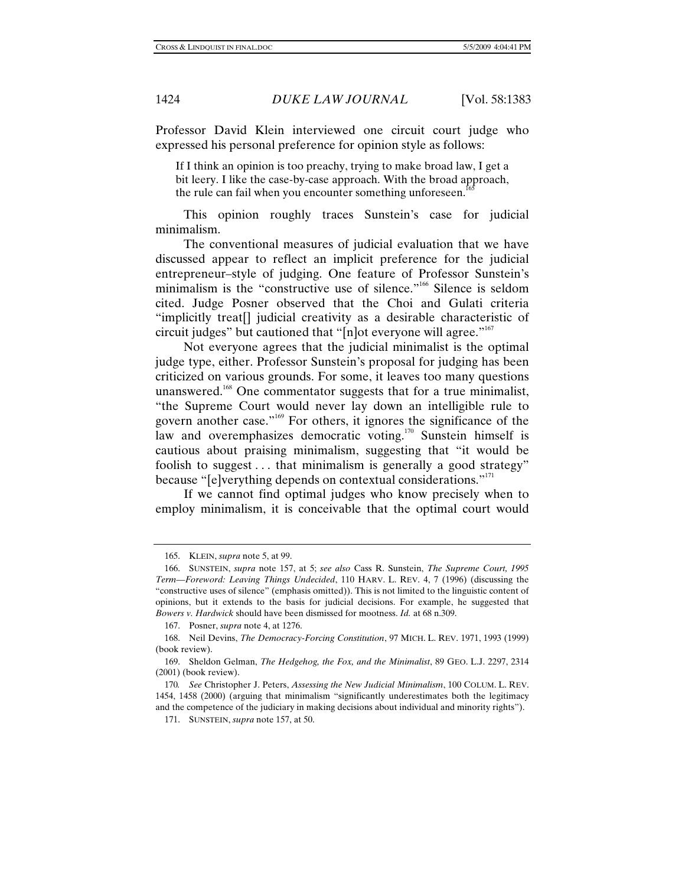Professor David Klein interviewed one circuit court judge who expressed his personal preference for opinion style as follows:

If I think an opinion is too preachy, trying to make broad law, I get a bit leery. I like the case-by-case approach. With the broad approach, the rule can fail when you encounter something unforeseen.<sup>1</sup>

 This opinion roughly traces Sunstein's case for judicial minimalism.

 The conventional measures of judicial evaluation that we have discussed appear to reflect an implicit preference for the judicial entrepreneur–style of judging. One feature of Professor Sunstein's minimalism is the "constructive use of silence."<sup>166</sup> Silence is seldom cited. Judge Posner observed that the Choi and Gulati criteria "implicitly treat[] judicial creativity as a desirable characteristic of circuit judges" but cautioned that "[n]ot everyone will agree." $167$ 

 Not everyone agrees that the judicial minimalist is the optimal judge type, either. Professor Sunstein's proposal for judging has been criticized on various grounds. For some, it leaves too many questions unanswered.<sup>168</sup> One commentator suggests that for a true minimalist, "the Supreme Court would never lay down an intelligible rule to govern another case."169 For others, it ignores the significance of the law and overemphasizes democratic voting.<sup>170</sup> Sunstein himself is cautious about praising minimalism, suggesting that "it would be foolish to suggest . . . that minimalism is generally a good strategy" because "[e]verything depends on contextual considerations."<sup>171</sup>

 If we cannot find optimal judges who know precisely when to employ minimalism, it is conceivable that the optimal court would

 <sup>165.</sup> KLEIN, *supra* note 5, at 99.

 <sup>166.</sup> SUNSTEIN, *supra* note 157, at 5; *see also* Cass R. Sunstein, *The Supreme Court, 1995 Term—Foreword: Leaving Things Undecided*, 110 HARV. L. REV. 4, 7 (1996) (discussing the "constructive uses of silence" (emphasis omitted)). This is not limited to the linguistic content of opinions, but it extends to the basis for judicial decisions. For example, he suggested that *Bowers v. Hardwick* should have been dismissed for mootness. *Id.* at 68 n.309.

 <sup>167.</sup> Posner, *supra* note 4, at 1276.

 <sup>168.</sup> Neil Devins, *The Democracy-Forcing Constitution*, 97 MICH. L. REV. 1971, 1993 (1999) (book review).

 <sup>169.</sup> Sheldon Gelman, *The Hedgehog, the Fox, and the Minimalist*, 89 GEO. L.J. 2297, 2314 (2001) (book review).

<sup>170</sup>*. See* Christopher J. Peters, *Assessing the New Judicial Minimalism*, 100 COLUM. L. REV. 1454, 1458 (2000) (arguing that minimalism "significantly underestimates both the legitimacy and the competence of the judiciary in making decisions about individual and minority rights").

 <sup>171.</sup> SUNSTEIN, *supra* note 157, at 50.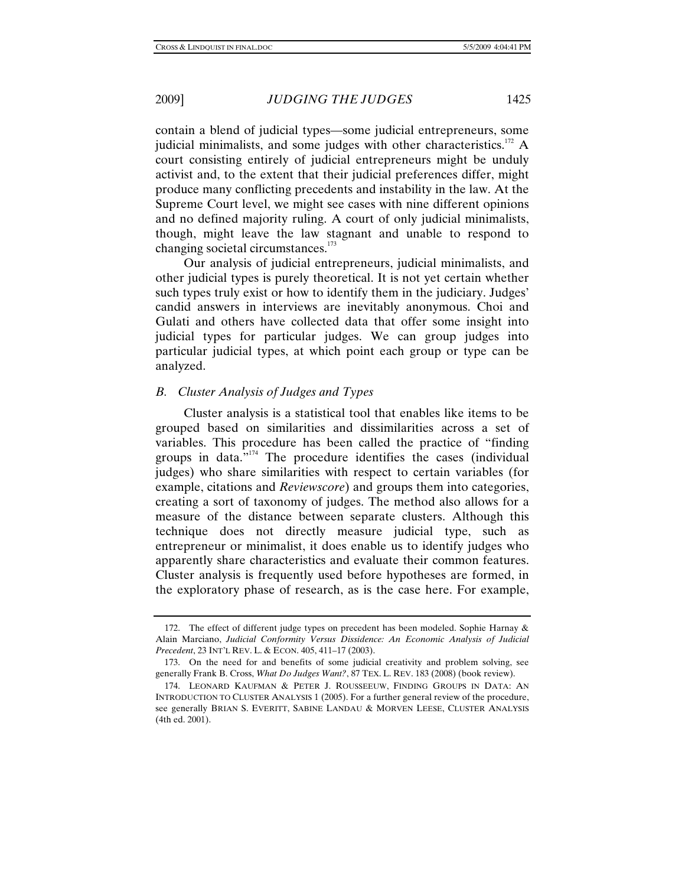contain a blend of judicial types—some judicial entrepreneurs, some judicial minimalists, and some judges with other characteristics.<sup>172</sup> A court consisting entirely of judicial entrepreneurs might be unduly activist and, to the extent that their judicial preferences differ, might produce many conflicting precedents and instability in the law. At the Supreme Court level, we might see cases with nine different opinions and no defined majority ruling. A court of only judicial minimalists, though, might leave the law stagnant and unable to respond to changing societal circumstances.<sup>173</sup>

 Our analysis of judicial entrepreneurs, judicial minimalists, and other judicial types is purely theoretical. It is not yet certain whether such types truly exist or how to identify them in the judiciary. Judges' candid answers in interviews are inevitably anonymous. Choi and Gulati and others have collected data that offer some insight into judicial types for particular judges. We can group judges into particular judicial types, at which point each group or type can be analyzed.

# *B. Cluster Analysis of Judges and Types*

 Cluster analysis is a statistical tool that enables like items to be grouped based on similarities and dissimilarities across a set of variables. This procedure has been called the practice of "finding groups in data."<sup>174</sup> The procedure identifies the cases (individual judges) who share similarities with respect to certain variables (for example, citations and *Reviewscore*) and groups them into categories, creating a sort of taxonomy of judges. The method also allows for a measure of the distance between separate clusters. Although this technique does not directly measure judicial type, such as entrepreneur or minimalist, it does enable us to identify judges who apparently share characteristics and evaluate their common features. Cluster analysis is frequently used before hypotheses are formed, in the exploratory phase of research, as is the case here. For example,

<sup>172.</sup> The effect of different judge types on precedent has been modeled. Sophie Harnay  $\&$ Alain Marciano, *Judicial Conformity Versus Dissidence: An Economic Analysis of Judicial Precedent*, 23 INT'L REV. L. & ECON. 405, 411–17 (2003).

 <sup>173.</sup> On the need for and benefits of some judicial creativity and problem solving, see generally Frank B. Cross, *What Do Judges Want?*, 87 TEX. L. REV. 183 (2008) (book review).

 <sup>174.</sup> LEONARD KAUFMAN & PETER J. ROUSSEEUW, FINDING GROUPS IN DATA: AN INTRODUCTION TO CLUSTER ANALYSIS 1 (2005). For a further general review of the procedure, see generally BRIAN S. EVERITT, SABINE LANDAU & MORVEN LEESE, CLUSTER ANALYSIS (4th ed. 2001).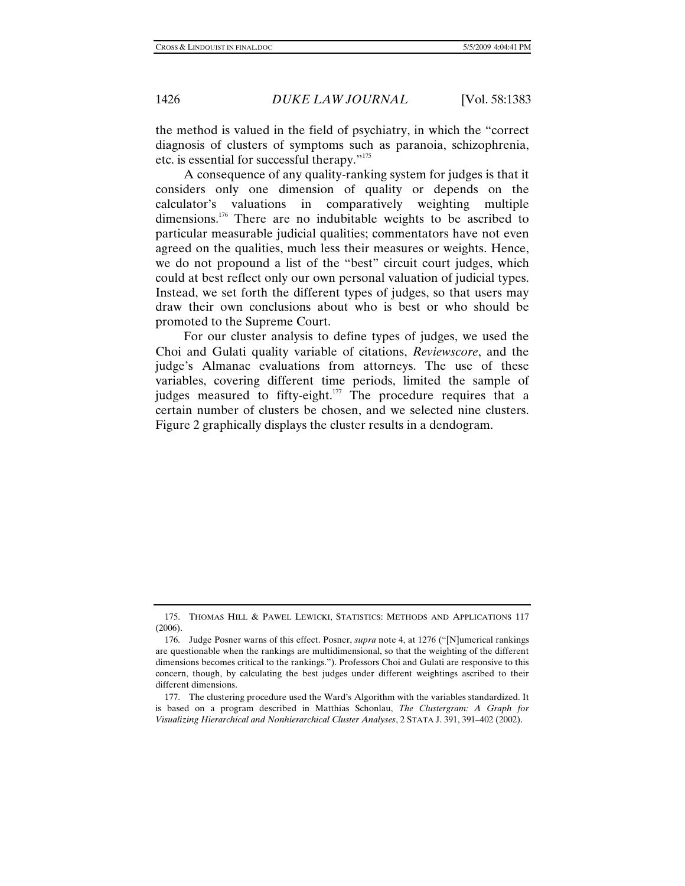the method is valued in the field of psychiatry, in which the "correct diagnosis of clusters of symptoms such as paranoia, schizophrenia, etc. is essential for successful therapy."<sup>175</sup>

 A consequence of any quality-ranking system for judges is that it considers only one dimension of quality or depends on the calculator's valuations in comparatively weighting multiple dimensions.<sup>176</sup> There are no indubitable weights to be ascribed to particular measurable judicial qualities; commentators have not even agreed on the qualities, much less their measures or weights. Hence, we do not propound a list of the "best" circuit court judges, which could at best reflect only our own personal valuation of judicial types. Instead, we set forth the different types of judges, so that users may draw their own conclusions about who is best or who should be promoted to the Supreme Court.

 For our cluster analysis to define types of judges, we used the Choi and Gulati quality variable of citations, *Reviewscore*, and the judge's Almanac evaluations from attorneys. The use of these variables, covering different time periods, limited the sample of judges measured to fifty-eight.<sup>177</sup> The procedure requires that a certain number of clusters be chosen, and we selected nine clusters. Figure 2 graphically displays the cluster results in a dendogram.

 <sup>175.</sup> THOMAS HILL & PAWEL LEWICKI, STATISTICS: METHODS AND APPLICATIONS 117 (2006).

 <sup>176.</sup> Judge Posner warns of this effect. Posner, *supra* note 4, at 1276 ("[N]umerical rankings are questionable when the rankings are multidimensional, so that the weighting of the different dimensions becomes critical to the rankings."). Professors Choi and Gulati are responsive to this concern, though, by calculating the best judges under different weightings ascribed to their different dimensions.

 <sup>177.</sup> The clustering procedure used the Ward's Algorithm with the variables standardized. It is based on a program described in Matthias Schonlau, *The Clustergram: A Graph for Visualizing Hierarchical and Nonhierarchical Cluster Analyses*, 2 STATA J. 391, 391–402 (2002).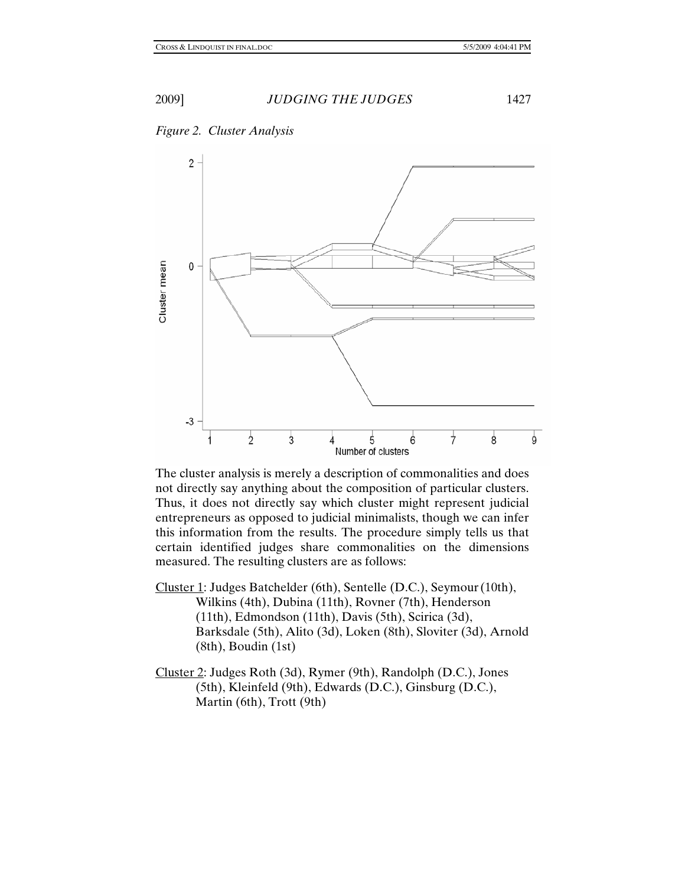



The cluster analysis is merely a description of commonalities and does not directly say anything about the composition of particular clusters. Thus, it does not directly say which cluster might represent judicial entrepreneurs as opposed to judicial minimalists, though we can infer this information from the results. The procedure simply tells us that certain identified judges share commonalities on the dimensions measured. The resulting clusters are as follows:

- Cluster 1: Judges Batchelder (6th), Sentelle (D.C.), Seymour(10th), Wilkins (4th), Dubina (11th), Rovner (7th), Henderson (11th), Edmondson (11th), Davis (5th), Scirica (3d), Barksdale (5th), Alito (3d), Loken (8th), Sloviter (3d), Arnold (8th), Boudin (1st)
- Cluster 2: Judges Roth (3d), Rymer (9th), Randolph (D.C.), Jones (5th), Kleinfeld (9th), Edwards (D.C.), Ginsburg (D.C.), Martin (6th), Trott (9th)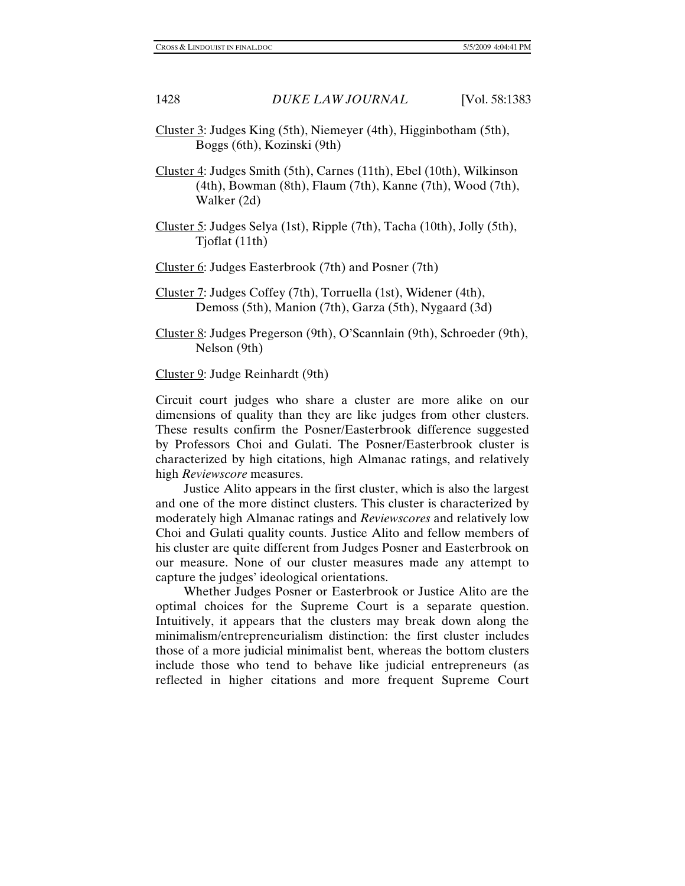- Cluster 3: Judges King (5th), Niemeyer (4th), Higginbotham (5th), Boggs (6th), Kozinski (9th)
- Cluster 4: Judges Smith (5th), Carnes (11th), Ebel (10th), Wilkinson (4th), Bowman (8th), Flaum (7th), Kanne (7th), Wood (7th), Walker (2d)
- Cluster 5: Judges Selya (1st), Ripple (7th), Tacha (10th), Jolly (5th), Tjoflat (11th)

Cluster 6: Judges Easterbrook (7th) and Posner (7th)

- Cluster 7: Judges Coffey (7th), Torruella (1st), Widener (4th), Demoss (5th), Manion (7th), Garza (5th), Nygaard (3d)
- Cluster 8: Judges Pregerson (9th), O'Scannlain (9th), Schroeder (9th), Nelson (9th)

Cluster 9: Judge Reinhardt (9th)

Circuit court judges who share a cluster are more alike on our dimensions of quality than they are like judges from other clusters. These results confirm the Posner/Easterbrook difference suggested by Professors Choi and Gulati. The Posner/Easterbrook cluster is characterized by high citations, high Almanac ratings, and relatively high *Reviewscore* measures.

 Justice Alito appears in the first cluster, which is also the largest and one of the more distinct clusters. This cluster is characterized by moderately high Almanac ratings and *Reviewscores* and relatively low Choi and Gulati quality counts. Justice Alito and fellow members of his cluster are quite different from Judges Posner and Easterbrook on our measure. None of our cluster measures made any attempt to capture the judges' ideological orientations.

 Whether Judges Posner or Easterbrook or Justice Alito are the optimal choices for the Supreme Court is a separate question. Intuitively, it appears that the clusters may break down along the minimalism/entrepreneurialism distinction: the first cluster includes those of a more judicial minimalist bent, whereas the bottom clusters include those who tend to behave like judicial entrepreneurs (as reflected in higher citations and more frequent Supreme Court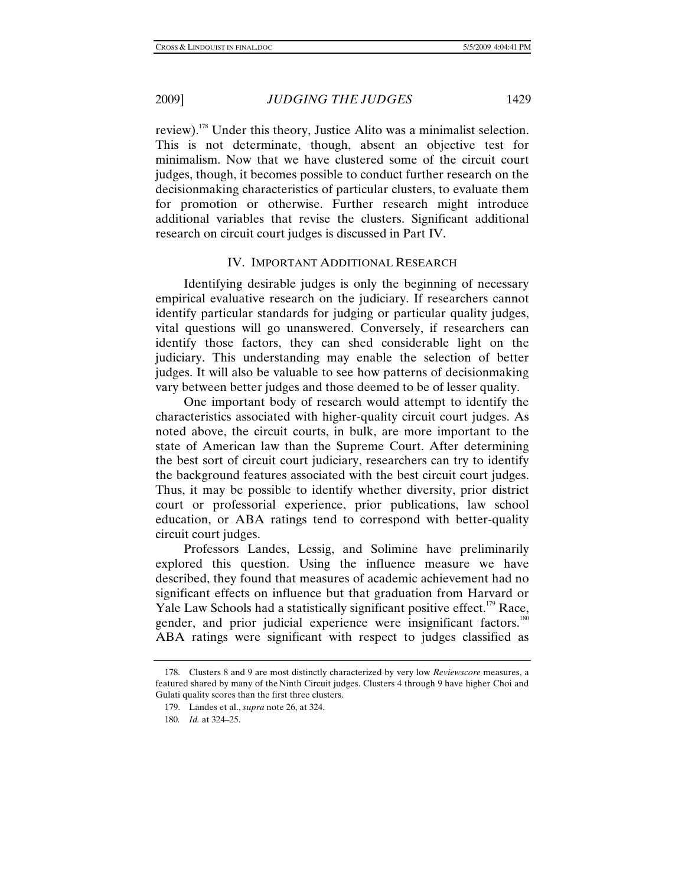review).178 Under this theory, Justice Alito was a minimalist selection. This is not determinate, though, absent an objective test for minimalism. Now that we have clustered some of the circuit court judges, though, it becomes possible to conduct further research on the decisionmaking characteristics of particular clusters, to evaluate them for promotion or otherwise. Further research might introduce additional variables that revise the clusters. Significant additional research on circuit court judges is discussed in Part IV.

# IV. IMPORTANT ADDITIONAL RESEARCH

 Identifying desirable judges is only the beginning of necessary empirical evaluative research on the judiciary. If researchers cannot identify particular standards for judging or particular quality judges, vital questions will go unanswered. Conversely, if researchers can identify those factors, they can shed considerable light on the judiciary. This understanding may enable the selection of better judges. It will also be valuable to see how patterns of decisionmaking vary between better judges and those deemed to be of lesser quality.

 One important body of research would attempt to identify the characteristics associated with higher-quality circuit court judges. As noted above, the circuit courts, in bulk, are more important to the state of American law than the Supreme Court. After determining the best sort of circuit court judiciary, researchers can try to identify the background features associated with the best circuit court judges. Thus, it may be possible to identify whether diversity, prior district court or professorial experience, prior publications, law school education, or ABA ratings tend to correspond with better-quality circuit court judges.

 Professors Landes, Lessig, and Solimine have preliminarily explored this question. Using the influence measure we have described, they found that measures of academic achievement had no significant effects on influence but that graduation from Harvard or Yale Law Schools had a statistically significant positive effect.<sup>179</sup> Race, gender, and prior judicial experience were insignificant factors.<sup>180</sup> ABA ratings were significant with respect to judges classified as

 <sup>178.</sup> Clusters 8 and 9 are most distinctly characterized by very low *Reviewscore* measures, a featured shared by many of the Ninth Circuit judges. Clusters 4 through 9 have higher Choi and Gulati quality scores than the first three clusters.

 <sup>179.</sup> Landes et al., *supra* note 26, at 324.

<sup>180</sup>*. Id.* at 324–25.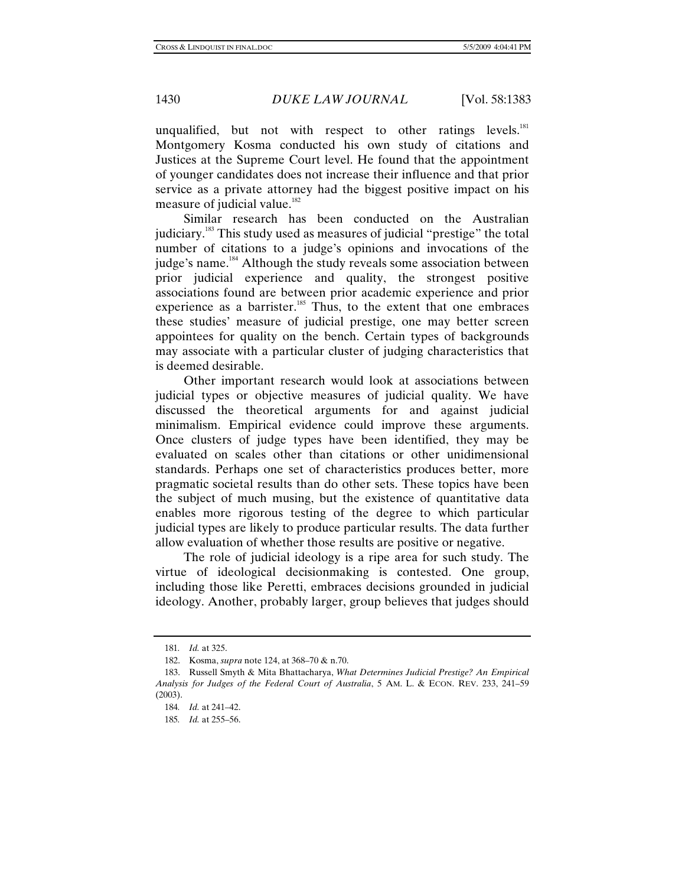unqualified, but not with respect to other ratings levels. $^{181}$ Montgomery Kosma conducted his own study of citations and Justices at the Supreme Court level. He found that the appointment of younger candidates does not increase their influence and that prior service as a private attorney had the biggest positive impact on his measure of judicial value.<sup>182</sup>

 Similar research has been conducted on the Australian judiciary.183 This study used as measures of judicial "prestige" the total number of citations to a judge's opinions and invocations of the judge's name.<sup>184</sup> Although the study reveals some association between prior judicial experience and quality, the strongest positive associations found are between prior academic experience and prior experience as a barrister.<sup>185</sup> Thus, to the extent that one embraces these studies' measure of judicial prestige, one may better screen appointees for quality on the bench. Certain types of backgrounds may associate with a particular cluster of judging characteristics that is deemed desirable.

 Other important research would look at associations between judicial types or objective measures of judicial quality. We have discussed the theoretical arguments for and against judicial minimalism. Empirical evidence could improve these arguments. Once clusters of judge types have been identified, they may be evaluated on scales other than citations or other unidimensional standards. Perhaps one set of characteristics produces better, more pragmatic societal results than do other sets. These topics have been the subject of much musing, but the existence of quantitative data enables more rigorous testing of the degree to which particular judicial types are likely to produce particular results. The data further allow evaluation of whether those results are positive or negative.

 The role of judicial ideology is a ripe area for such study. The virtue of ideological decisionmaking is contested. One group, including those like Peretti, embraces decisions grounded in judicial ideology. Another, probably larger, group believes that judges should

<sup>181</sup>*. Id.* at 325.

 <sup>182.</sup> Kosma, *supra* note 124, at 368–70 & n.70.

 <sup>183.</sup> Russell Smyth & Mita Bhattacharya, *What Determines Judicial Prestige? An Empirical Analysis for Judges of the Federal Court of Australia*, 5 AM. L. & ECON. REV. 233, 241–59 (2003).

<sup>184</sup>*. Id.* at 241–42.

<sup>185</sup>*. Id.* at 255–56.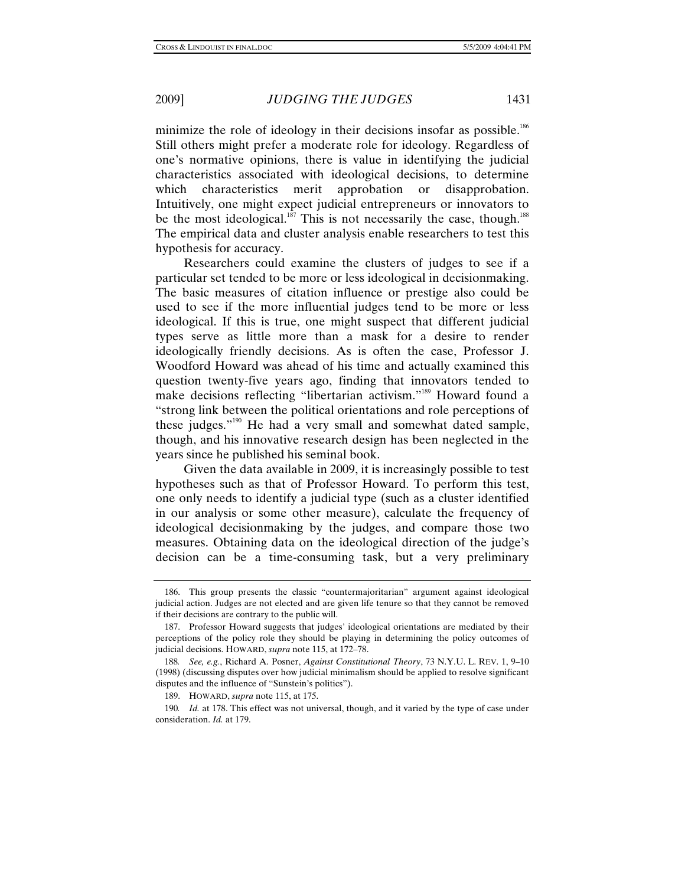minimize the role of ideology in their decisions insofar as possible.<sup>186</sup> Still others might prefer a moderate role for ideology. Regardless of one's normative opinions, there is value in identifying the judicial characteristics associated with ideological decisions, to determine which characteristics merit approbation or disapprobation. Intuitively, one might expect judicial entrepreneurs or innovators to be the most ideological.<sup>187</sup> This is not necessarily the case, though.<sup>188</sup> The empirical data and cluster analysis enable researchers to test this hypothesis for accuracy.

 Researchers could examine the clusters of judges to see if a particular set tended to be more or less ideological in decisionmaking. The basic measures of citation influence or prestige also could be used to see if the more influential judges tend to be more or less ideological. If this is true, one might suspect that different judicial types serve as little more than a mask for a desire to render ideologically friendly decisions. As is often the case, Professor J. Woodford Howard was ahead of his time and actually examined this question twenty-five years ago, finding that innovators tended to make decisions reflecting "libertarian activism."189 Howard found a "strong link between the political orientations and role perceptions of these judges."190 He had a very small and somewhat dated sample, though, and his innovative research design has been neglected in the years since he published his seminal book.

 Given the data available in 2009, it is increasingly possible to test hypotheses such as that of Professor Howard. To perform this test, one only needs to identify a judicial type (such as a cluster identified in our analysis or some other measure), calculate the frequency of ideological decisionmaking by the judges, and compare those two measures. Obtaining data on the ideological direction of the judge's decision can be a time-consuming task, but a very preliminary

 <sup>186.</sup> This group presents the classic "countermajoritarian" argument against ideological judicial action. Judges are not elected and are given life tenure so that they cannot be removed if their decisions are contrary to the public will.

 <sup>187.</sup> Professor Howard suggests that judges' ideological orientations are mediated by their perceptions of the policy role they should be playing in determining the policy outcomes of judicial decisions. HOWARD, *supra* note 115, at 172–78.

<sup>188</sup>*. See, e.g.*, Richard A. Posner, *Against Constitutional Theory*, 73 N.Y.U. L. REV. 1, 9–10 (1998) (discussing disputes over how judicial minimalism should be applied to resolve significant disputes and the influence of "Sunstein's politics").

 <sup>189.</sup> HOWARD, *supra* note 115, at 175.

<sup>190</sup>*. Id.* at 178. This effect was not universal, though, and it varied by the type of case under consideration. *Id.* at 179.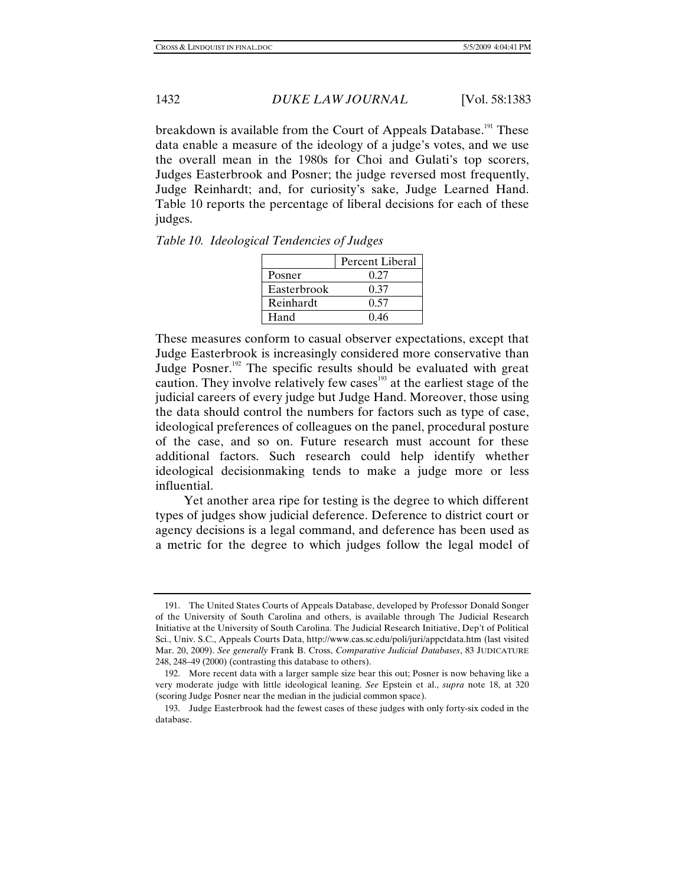breakdown is available from the Court of Appeals Database.<sup>191</sup> These data enable a measure of the ideology of a judge's votes, and we use the overall mean in the 1980s for Choi and Gulati's top scorers, Judges Easterbrook and Posner; the judge reversed most frequently, Judge Reinhardt; and, for curiosity's sake, Judge Learned Hand. Table 10 reports the percentage of liberal decisions for each of these judges.

| Table 10. Ideological Tendencies of Judges |  |  |
|--------------------------------------------|--|--|
|--------------------------------------------|--|--|

|             | Percent Liberal |
|-------------|-----------------|
| Posner      | 0.27            |
| Easterbrook | 0.37            |
| Reinhardt   | 0.57            |
| Hand        | 0.46            |

These measures conform to casual observer expectations, except that Judge Easterbrook is increasingly considered more conservative than Judge Posner.<sup>192</sup> The specific results should be evaluated with great caution. They involve relatively few cases<sup>193</sup> at the earliest stage of the judicial careers of every judge but Judge Hand. Moreover, those using the data should control the numbers for factors such as type of case, ideological preferences of colleagues on the panel, procedural posture of the case, and so on. Future research must account for these additional factors. Such research could help identify whether ideological decisionmaking tends to make a judge more or less influential.

 Yet another area ripe for testing is the degree to which different types of judges show judicial deference. Deference to district court or agency decisions is a legal command, and deference has been used as a metric for the degree to which judges follow the legal model of

 <sup>191.</sup> The United States Courts of Appeals Database, developed by Professor Donald Songer of the University of South Carolina and others, is available through The Judicial Research Initiative at the University of South Carolina. The Judicial Research Initiative, Dep't of Political Sci., Univ. S.C., Appeals Courts Data, http://www.cas.sc.edu/poli/juri/appctdata.htm (last visited Mar. 20, 2009). *See generally* Frank B. Cross, *Comparative Judicial Databases*, 83 JUDICATURE 248, 248–49 (2000) (contrasting this database to others).

 <sup>192.</sup> More recent data with a larger sample size bear this out; Posner is now behaving like a very moderate judge with little ideological leaning. *See* Epstein et al., *supra* note 18, at 320 (scoring Judge Posner near the median in the judicial common space).

 <sup>193.</sup> Judge Easterbrook had the fewest cases of these judges with only forty-six coded in the database.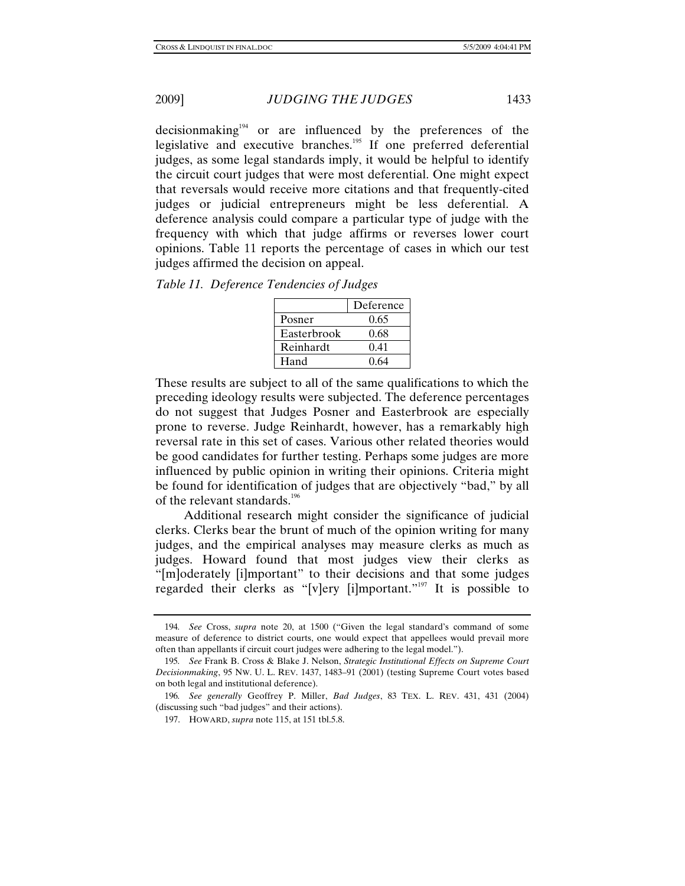decision making<sup>194</sup> or are influenced by the preferences of the legislative and executive branches.<sup>195</sup> If one preferred deferential judges, as some legal standards imply, it would be helpful to identify the circuit court judges that were most deferential. One might expect that reversals would receive more citations and that frequently-cited judges or judicial entrepreneurs might be less deferential. A deference analysis could compare a particular type of judge with the frequency with which that judge affirms or reverses lower court opinions. Table 11 reports the percentage of cases in which our test judges affirmed the decision on appeal.

|             | Deference |
|-------------|-----------|
| Posner      | 0.65      |
| Easterbrook | 0.68      |
| Reinhardt   | 0.41      |
| Hand        | 0.64      |

These results are subject to all of the same qualifications to which the preceding ideology results were subjected. The deference percentages do not suggest that Judges Posner and Easterbrook are especially prone to reverse. Judge Reinhardt, however, has a remarkably high reversal rate in this set of cases. Various other related theories would be good candidates for further testing. Perhaps some judges are more influenced by public opinion in writing their opinions. Criteria might be found for identification of judges that are objectively "bad," by all of the relevant standards.<sup>196</sup>

 Additional research might consider the significance of judicial clerks. Clerks bear the brunt of much of the opinion writing for many judges, and the empirical analyses may measure clerks as much as judges. Howard found that most judges view their clerks as "[m]oderately [i]mportant" to their decisions and that some judges regarded their clerks as "[v]ery [i]mportant."197 It is possible to

<sup>194</sup>*. See* Cross, *supra* note 20, at 1500 ("Given the legal standard's command of some measure of deference to district courts, one would expect that appellees would prevail more often than appellants if circuit court judges were adhering to the legal model.").

<sup>195</sup>*. See* Frank B. Cross & Blake J. Nelson, *Strategic Institutional Effects on Supreme Court Decisionmaking*, 95 NW. U. L. REV. 1437, 1483–91 (2001) (testing Supreme Court votes based on both legal and institutional deference).

<sup>196</sup>*. See generally* Geoffrey P. Miller, *Bad Judges*, 83 TEX. L. REV. 431, 431 (2004) (discussing such "bad judges" and their actions).

 <sup>197.</sup> HOWARD, *supra* note 115, at 151 tbl.5.8.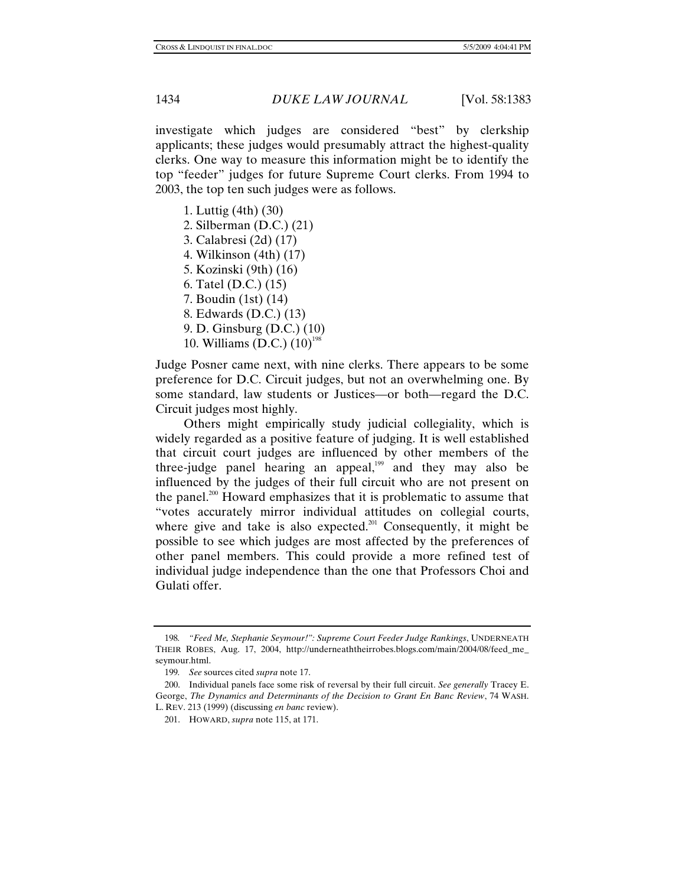investigate which judges are considered "best" by clerkship applicants; these judges would presumably attract the highest-quality clerks. One way to measure this information might be to identify the top "feeder" judges for future Supreme Court clerks. From 1994 to 2003, the top ten such judges were as follows.

 1. Luttig (4th) (30) 2. Silberman (D.C.) (21) 3. Calabresi (2d) (17) 4. Wilkinson (4th) (17) 5. Kozinski (9th) (16) 6. Tatel (D.C.) (15) 7. Boudin (1st) (14) 8. Edwards (D.C.) (13) 9. D. Ginsburg (D.C.) (10) 10. Williams (D.C.)  $(10)^{198}$ 

Judge Posner came next, with nine clerks. There appears to be some preference for D.C. Circuit judges, but not an overwhelming one. By some standard, law students or Justices—or both—regard the D.C. Circuit judges most highly.

 Others might empirically study judicial collegiality, which is widely regarded as a positive feature of judging. It is well established that circuit court judges are influenced by other members of the three-judge panel hearing an appeal, $199$  and they may also be influenced by the judges of their full circuit who are not present on the panel.<sup>200</sup> Howard emphasizes that it is problematic to assume that "votes accurately mirror individual attitudes on collegial courts, where give and take is also expected.<sup>201</sup> Consequently, it might be possible to see which judges are most affected by the preferences of other panel members. This could provide a more refined test of individual judge independence than the one that Professors Choi and Gulati offer.

<sup>198</sup>*. "Feed Me, Stephanie Seymour!": Supreme Court Feeder Judge Rankings*, UNDERNEATH THEIR ROBES, Aug. 17, 2004, http://underneaththeirrobes.blogs.com/main/2004/08/feed\_me\_ seymour.html.

<sup>199</sup>*. See* sources cited *supra* note 17.

 <sup>200.</sup> Individual panels face some risk of reversal by their full circuit. *See generally* Tracey E. George, *The Dynamics and Determinants of the Decision to Grant En Banc Review*, 74 WASH. L. REV. 213 (1999) (discussing *en banc* review).

 <sup>201.</sup> HOWARD, *supra* note 115, at 171.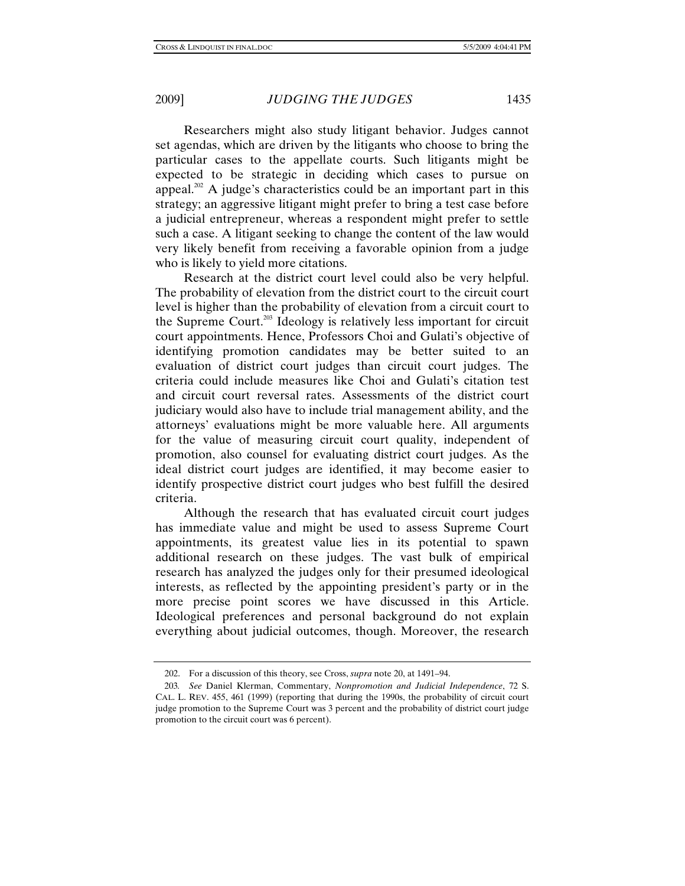Researchers might also study litigant behavior. Judges cannot set agendas, which are driven by the litigants who choose to bring the particular cases to the appellate courts. Such litigants might be expected to be strategic in deciding which cases to pursue on appeal.<sup>202</sup> A judge's characteristics could be an important part in this strategy; an aggressive litigant might prefer to bring a test case before a judicial entrepreneur, whereas a respondent might prefer to settle such a case. A litigant seeking to change the content of the law would very likely benefit from receiving a favorable opinion from a judge who is likely to yield more citations.

 Research at the district court level could also be very helpful. The probability of elevation from the district court to the circuit court level is higher than the probability of elevation from a circuit court to the Supreme Court.203 Ideology is relatively less important for circuit court appointments. Hence, Professors Choi and Gulati's objective of identifying promotion candidates may be better suited to an evaluation of district court judges than circuit court judges. The criteria could include measures like Choi and Gulati's citation test and circuit court reversal rates. Assessments of the district court judiciary would also have to include trial management ability, and the attorneys' evaluations might be more valuable here. All arguments for the value of measuring circuit court quality, independent of promotion, also counsel for evaluating district court judges. As the ideal district court judges are identified, it may become easier to identify prospective district court judges who best fulfill the desired criteria.

 Although the research that has evaluated circuit court judges has immediate value and might be used to assess Supreme Court appointments, its greatest value lies in its potential to spawn additional research on these judges. The vast bulk of empirical research has analyzed the judges only for their presumed ideological interests, as reflected by the appointing president's party or in the more precise point scores we have discussed in this Article. Ideological preferences and personal background do not explain everything about judicial outcomes, though. Moreover, the research

 <sup>202.</sup> For a discussion of this theory, see Cross, *supra* note 20, at 1491–94.

<sup>203</sup>*. See* Daniel Klerman, Commentary, *Nonpromotion and Judicial Independence*, 72 S. CAL. L. REV. 455, 461 (1999) (reporting that during the 1990s, the probability of circuit court judge promotion to the Supreme Court was 3 percent and the probability of district court judge promotion to the circuit court was 6 percent).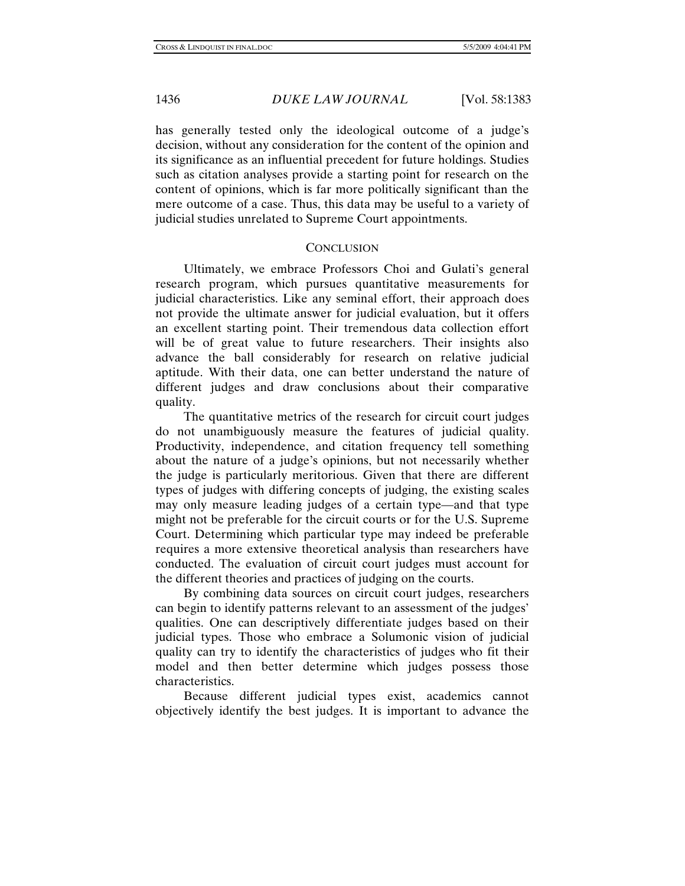has generally tested only the ideological outcome of a judge's decision, without any consideration for the content of the opinion and its significance as an influential precedent for future holdings. Studies such as citation analyses provide a starting point for research on the content of opinions, which is far more politically significant than the mere outcome of a case. Thus, this data may be useful to a variety of judicial studies unrelated to Supreme Court appointments.

### **CONCLUSION**

 Ultimately, we embrace Professors Choi and Gulati's general research program, which pursues quantitative measurements for judicial characteristics. Like any seminal effort, their approach does not provide the ultimate answer for judicial evaluation, but it offers an excellent starting point. Their tremendous data collection effort will be of great value to future researchers. Their insights also advance the ball considerably for research on relative judicial aptitude. With their data, one can better understand the nature of different judges and draw conclusions about their comparative quality.

 The quantitative metrics of the research for circuit court judges do not unambiguously measure the features of judicial quality. Productivity, independence, and citation frequency tell something about the nature of a judge's opinions, but not necessarily whether the judge is particularly meritorious. Given that there are different types of judges with differing concepts of judging, the existing scales may only measure leading judges of a certain type—and that type might not be preferable for the circuit courts or for the U.S. Supreme Court. Determining which particular type may indeed be preferable requires a more extensive theoretical analysis than researchers have conducted. The evaluation of circuit court judges must account for the different theories and practices of judging on the courts.

 By combining data sources on circuit court judges, researchers can begin to identify patterns relevant to an assessment of the judges' qualities. One can descriptively differentiate judges based on their judicial types. Those who embrace a Solumonic vision of judicial quality can try to identify the characteristics of judges who fit their model and then better determine which judges possess those characteristics.

 Because different judicial types exist, academics cannot objectively identify the best judges. It is important to advance the